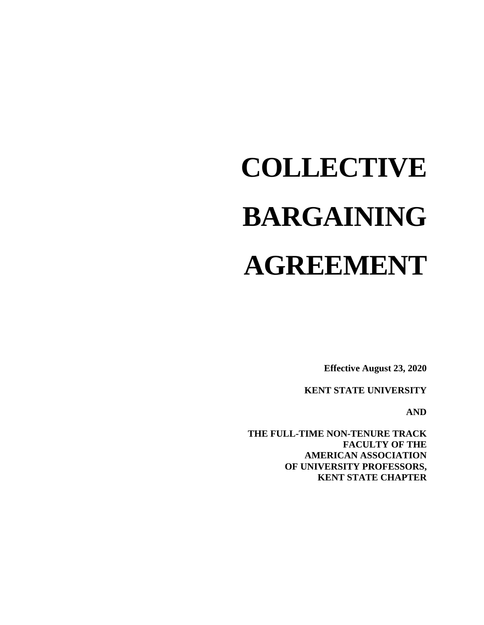# **COLLECTIVE BARGAINING AGREEMENT**

**Effective August 23, 2020**

**KENT STATE UNIVERSITY**

**AND**

**THE FULL-TIME NON-TENURE TRACK FACULTY OF THE AMERICAN ASSOCIATION OF UNIVERSITY PROFESSORS, KENT STATE CHAPTER**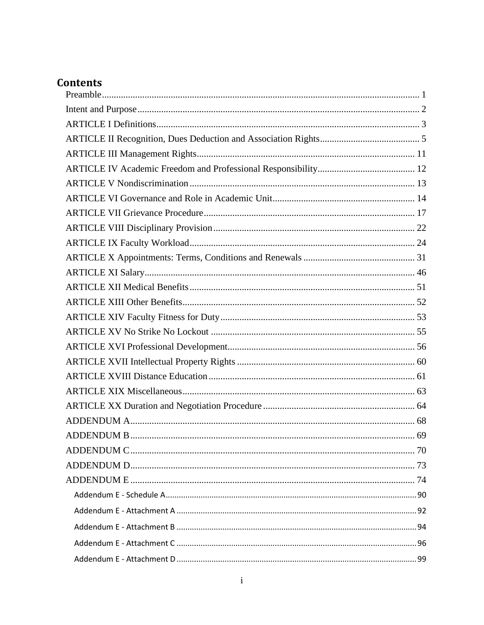# **Contents**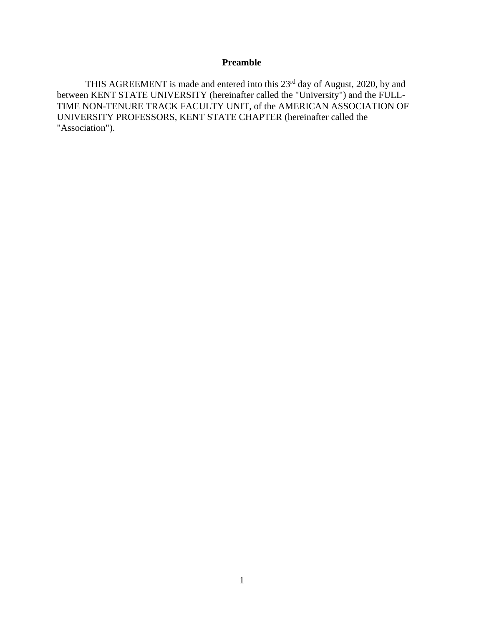# **Preamble**

<span id="page-3-0"></span>THIS AGREEMENT is made and entered into this 23<sup>rd</sup> day of August, 2020, by and between KENT STATE UNIVERSITY (hereinafter called the "University") and the FULL-TIME NON-TENURE TRACK FACULTY UNIT, of the AMERICAN ASSOCIATION OF UNIVERSITY PROFESSORS, KENT STATE CHAPTER (hereinafter called the "Association").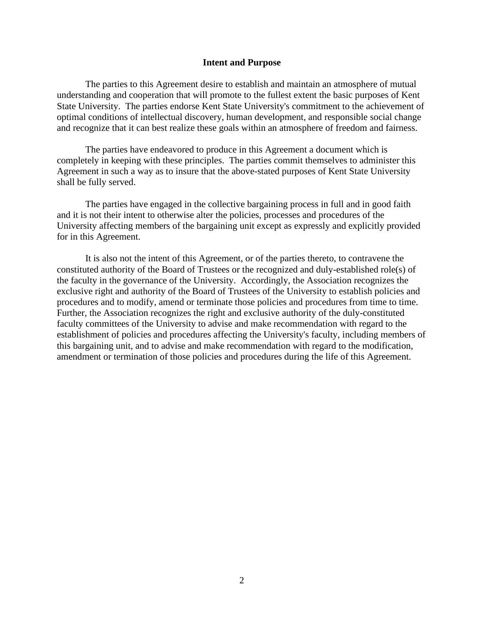#### **Intent and Purpose**

<span id="page-4-0"></span>The parties to this Agreement desire to establish and maintain an atmosphere of mutual understanding and cooperation that will promote to the fullest extent the basic purposes of Kent State University. The parties endorse Kent State University's commitment to the achievement of optimal conditions of intellectual discovery, human development, and responsible social change and recognize that it can best realize these goals within an atmosphere of freedom and fairness.

The parties have endeavored to produce in this Agreement a document which is completely in keeping with these principles. The parties commit themselves to administer this Agreement in such a way as to insure that the above-stated purposes of Kent State University shall be fully served.

The parties have engaged in the collective bargaining process in full and in good faith and it is not their intent to otherwise alter the policies, processes and procedures of the University affecting members of the bargaining unit except as expressly and explicitly provided for in this Agreement.

It is also not the intent of this Agreement, or of the parties thereto, to contravene the constituted authority of the Board of Trustees or the recognized and duly-established role(s) of the faculty in the governance of the University. Accordingly, the Association recognizes the exclusive right and authority of the Board of Trustees of the University to establish policies and procedures and to modify, amend or terminate those policies and procedures from time to time. Further, the Association recognizes the right and exclusive authority of the duly-constituted faculty committees of the University to advise and make recommendation with regard to the establishment of policies and procedures affecting the University's faculty, including members of this bargaining unit, and to advise and make recommendation with regard to the modification, amendment or termination of those policies and procedures during the life of this Agreement.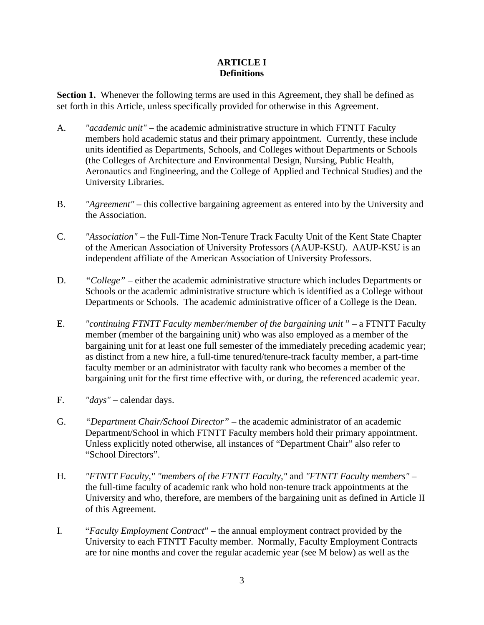# **ARTICLE I Definitions**

<span id="page-5-0"></span>**Section 1.** Whenever the following terms are used in this Agreement, they shall be defined as set forth in this Article, unless specifically provided for otherwise in this Agreement.

- A. *"academic unit"*  the academic administrative structure in which FTNTT Faculty members hold academic status and their primary appointment. Currently, these include units identified as Departments, Schools, and Colleges without Departments or Schools (the Colleges of Architecture and Environmental Design, Nursing, Public Health, Aeronautics and Engineering, and the College of Applied and Technical Studies) and the University Libraries.
- B. *"Agreement"* this collective bargaining agreement as entered into by the University and the Association.
- C. *"Association"*  the Full-Time Non-Tenure Track Faculty Unit of the Kent State Chapter of the American Association of University Professors (AAUP-KSU). AAUP-KSU is an independent affiliate of the American Association of University Professors.
- D. *"College"*  either the academic administrative structure which includes Departments or Schools or the academic administrative structure which is identified as a College without Departments or Schools. The academic administrative officer of a College is the Dean.
- E. *"continuing FTNTT Faculty member/member of the bargaining unit* " a FTNTT Faculty member (member of the bargaining unit) who was also employed as a member of the bargaining unit for at least one full semester of the immediately preceding academic year; as distinct from a new hire, a full-time tenured/tenure-track faculty member, a part-time faculty member or an administrator with faculty rank who becomes a member of the bargaining unit for the first time effective with, or during, the referenced academic year.
- F. *"days"* calendar days.
- G. *"Department Chair/School Director"* the academic administrator of an academic Department/School in which FTNTT Faculty members hold their primary appointment. Unless explicitly noted otherwise, all instances of "Department Chair" also refer to "School Directors".
- H. *"FTNTT Faculty," "members of the FTNTT Faculty,"* and *"FTNTT Faculty members"*  the full-time faculty of academic rank who hold non-tenure track appointments at the University and who, therefore, are members of the bargaining unit as defined in Article II of this Agreement.
- I. "*Faculty Employment Contract*" the annual employment contract provided by the University to each FTNTT Faculty member. Normally, Faculty Employment Contracts are for nine months and cover the regular academic year (see M below) as well as the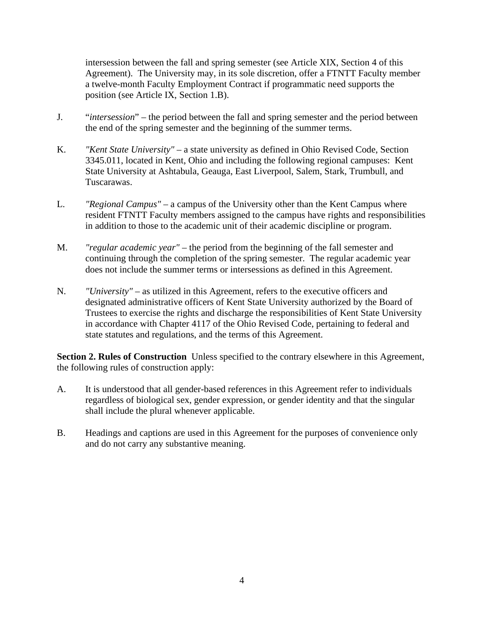intersession between the fall and spring semester (see Article XIX, Section 4 of this Agreement). The University may, in its sole discretion, offer a FTNTT Faculty member a twelve-month Faculty Employment Contract if programmatic need supports the position (see Article IX, Section 1.B).

- J. "*intersession*" the period between the fall and spring semester and the period between the end of the spring semester and the beginning of the summer terms.
- K. *"Kent State University"*  a state university as defined in Ohio Revised Code, Section 3345.011, located in Kent, Ohio and including the following regional campuses: Kent State University at Ashtabula, Geauga, East Liverpool, Salem, Stark, Trumbull, and Tuscarawas.
- L. *"Regional Campus"* a campus of the University other than the Kent Campus where resident FTNTT Faculty members assigned to the campus have rights and responsibilities in addition to those to the academic unit of their academic discipline or program.
- M. *"regular academic year"*  the period from the beginning of the fall semester and continuing through the completion of the spring semester. The regular academic year does not include the summer terms or intersessions as defined in this Agreement.
- N. *"University"* as utilized in this Agreement, refers to the executive officers and designated administrative officers of Kent State University authorized by the Board of Trustees to exercise the rights and discharge the responsibilities of Kent State University in accordance with Chapter 4117 of the Ohio Revised Code, pertaining to federal and state statutes and regulations, and the terms of this Agreement.

**Section 2. Rules of Construction** Unless specified to the contrary elsewhere in this Agreement, the following rules of construction apply:

- A. It is understood that all gender-based references in this Agreement refer to individuals regardless of biological sex, gender expression, or gender identity and that the singular shall include the plural whenever applicable.
- B. Headings and captions are used in this Agreement for the purposes of convenience only and do not carry any substantive meaning.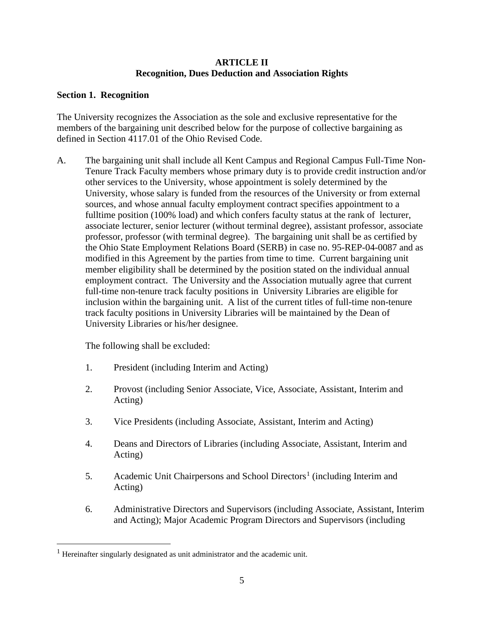# **ARTICLE II Recognition, Dues Deduction and Association Rights**

# <span id="page-7-0"></span>**Section 1. Recognition**

The University recognizes the Association as the sole and exclusive representative for the members of the bargaining unit described below for the purpose of collective bargaining as defined in Section 4117.01 of the Ohio Revised Code.

A. The bargaining unit shall include all Kent Campus and Regional Campus Full-Time Non-Tenure Track Faculty members whose primary duty is to provide credit instruction and/or other services to the University, whose appointment is solely determined by the University, whose salary is funded from the resources of the University or from external sources, and whose annual faculty employment contract specifies appointment to a fulltime position (100% load) and which confers faculty status at the rank of lecturer, associate lecturer, senior lecturer (without terminal degree), assistant professor, associate professor, professor (with terminal degree). The bargaining unit shall be as certified by the Ohio State Employment Relations Board (SERB) in case no. 95-REP-04-0087 and as modified in this Agreement by the parties from time to time. Current bargaining unit member eligibility shall be determined by the position stated on the individual annual employment contract. The University and the Association mutually agree that current full-time non-tenure track faculty positions in University Libraries are eligible for inclusion within the bargaining unit. A list of the current titles of full-time non-tenure track faculty positions in University Libraries will be maintained by the Dean of University Libraries or his/her designee.

The following shall be excluded:

- 1. President (including Interim and Acting)
- 2. Provost (including Senior Associate, Vice, Associate, Assistant, Interim and Acting)
- 3. Vice Presidents (including Associate, Assistant, Interim and Acting)
- 4. Deans and Directors of Libraries (including Associate, Assistant, Interim and Acting)
- 5. Academic Unit Chairpersons and School Directors<sup>[1](#page-7-1)</sup> (including Interim and Acting)
- 6. Administrative Directors and Supervisors (including Associate, Assistant, Interim and Acting); Major Academic Program Directors and Supervisors (including

<span id="page-7-1"></span><sup>&</sup>lt;sup>1</sup> Hereinafter singularly designated as unit administrator and the academic unit.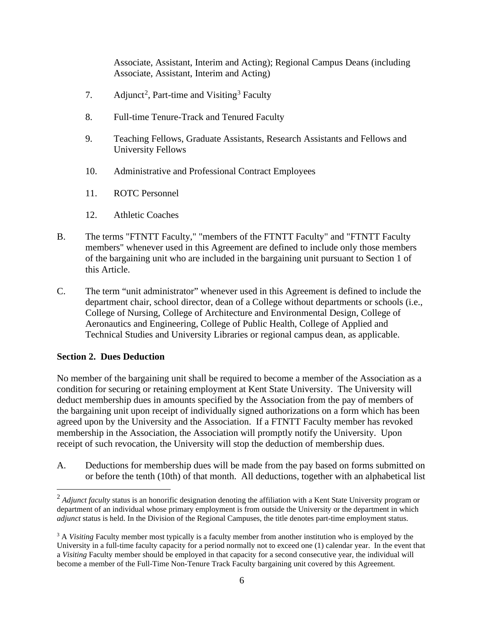Associate, Assistant, Interim and Acting); Regional Campus Deans (including Associate, Assistant, Interim and Acting)

- 7. Adjunct<sup>[2](#page-8-0)</sup>, Part-time and Visiting<sup>[3](#page-8-1)</sup> Faculty
- 8. Full-time Tenure-Track and Tenured Faculty
- 9. Teaching Fellows, Graduate Assistants, Research Assistants and Fellows and University Fellows
- 10. Administrative and Professional Contract Employees
- 11. ROTC Personnel
- 12. Athletic Coaches
- B. The terms "FTNTT Faculty," "members of the FTNTT Faculty" and "FTNTT Faculty members" whenever used in this Agreement are defined to include only those members of the bargaining unit who are included in the bargaining unit pursuant to Section 1 of this Article.
- C. The term "unit administrator" whenever used in this Agreement is defined to include the department chair, school director, dean of a College without departments or schools (i.e., College of Nursing, College of Architecture and Environmental Design, College of Aeronautics and Engineering, College of Public Health, College of Applied and Technical Studies and University Libraries or regional campus dean, as applicable.

# **Section 2. Dues Deduction**

No member of the bargaining unit shall be required to become a member of the Association as a condition for securing or retaining employment at Kent State University. The University will deduct membership dues in amounts specified by the Association from the pay of members of the bargaining unit upon receipt of individually signed authorizations on a form which has been agreed upon by the University and the Association. If a FTNTT Faculty member has revoked membership in the Association, the Association will promptly notify the University. Upon receipt of such revocation, the University will stop the deduction of membership dues.

A. Deductions for membership dues will be made from the pay based on forms submitted on or before the tenth (10th) of that month. All deductions, together with an alphabetical list

<span id="page-8-0"></span><sup>&</sup>lt;sup>2</sup> *Adjunct faculty* status is an honorific designation denoting the affiliation with a Kent State University program or department of an individual whose primary employment is from outside the University or the department in which *adjunct* status is held. In the Division of the Regional Campuses, the title denotes part-time employment status.

<span id="page-8-1"></span><sup>&</sup>lt;sup>3</sup> A *Visiting* Faculty member most typically is a faculty member from another institution who is employed by the University in a full-time faculty capacity for a period normally not to exceed one (1) calendar year. In the event that a *Visiting* Faculty member should be employed in that capacity for a second consecutive year, the individual will become a member of the Full-Time Non-Tenure Track Faculty bargaining unit covered by this Agreement.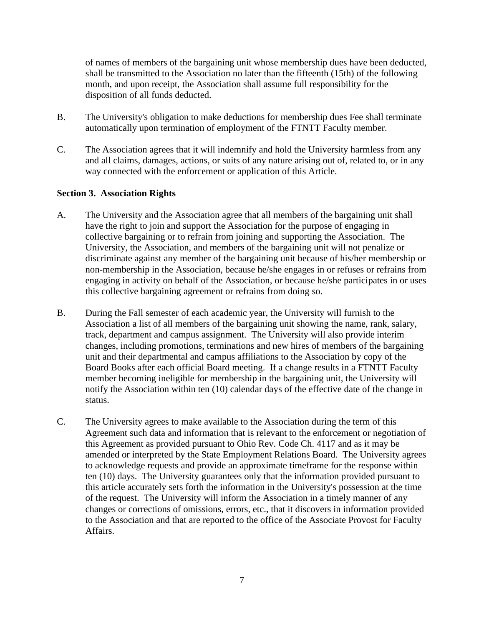of names of members of the bargaining unit whose membership dues have been deducted, shall be transmitted to the Association no later than the fifteenth (15th) of the following month, and upon receipt, the Association shall assume full responsibility for the disposition of all funds deducted.

- B. The University's obligation to make deductions for membership dues Fee shall terminate automatically upon termination of employment of the FTNTT Faculty member.
- C. The Association agrees that it will indemnify and hold the University harmless from any and all claims, damages, actions, or suits of any nature arising out of, related to, or in any way connected with the enforcement or application of this Article.

# **Section 3. Association Rights**

- A. The University and the Association agree that all members of the bargaining unit shall have the right to join and support the Association for the purpose of engaging in collective bargaining or to refrain from joining and supporting the Association. The University, the Association, and members of the bargaining unit will not penalize or discriminate against any member of the bargaining unit because of his/her membership or non-membership in the Association, because he/she engages in or refuses or refrains from engaging in activity on behalf of the Association, or because he/she participates in or uses this collective bargaining agreement or refrains from doing so.
- B. During the Fall semester of each academic year, the University will furnish to the Association a list of all members of the bargaining unit showing the name, rank, salary, track, department and campus assignment. The University will also provide interim changes, including promotions, terminations and new hires of members of the bargaining unit and their departmental and campus affiliations to the Association by copy of the Board Books after each official Board meeting. If a change results in a FTNTT Faculty member becoming ineligible for membership in the bargaining unit, the University will notify the Association within ten (10) calendar days of the effective date of the change in status.
- C. The University agrees to make available to the Association during the term of this Agreement such data and information that is relevant to the enforcement or negotiation of this Agreement as provided pursuant to Ohio Rev. Code Ch. 4117 and as it may be amended or interpreted by the State Employment Relations Board. The University agrees to acknowledge requests and provide an approximate timeframe for the response within ten (10) days. The University guarantees only that the information provided pursuant to this article accurately sets forth the information in the University's possession at the time of the request. The University will inform the Association in a timely manner of any changes or corrections of omissions, errors, etc., that it discovers in information provided to the Association and that are reported to the office of the Associate Provost for Faculty Affairs.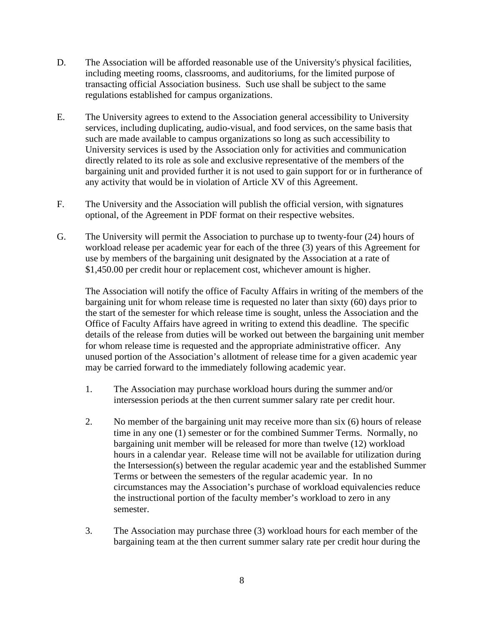- D. The Association will be afforded reasonable use of the University's physical facilities, including meeting rooms, classrooms, and auditoriums, for the limited purpose of transacting official Association business. Such use shall be subject to the same regulations established for campus organizations.
- E. The University agrees to extend to the Association general accessibility to University services, including duplicating, audio-visual, and food services, on the same basis that such are made available to campus organizations so long as such accessibility to University services is used by the Association only for activities and communication directly related to its role as sole and exclusive representative of the members of the bargaining unit and provided further it is not used to gain support for or in furtherance of any activity that would be in violation of Article XV of this Agreement.
- F. The University and the Association will publish the official version, with signatures optional, of the Agreement in PDF format on their respective websites.
- G. The University will permit the Association to purchase up to twenty-four (24) hours of workload release per academic year for each of the three (3) years of this Agreement for use by members of the bargaining unit designated by the Association at a rate of \$1,450.00 per credit hour or replacement cost, whichever amount is higher.

The Association will notify the office of Faculty Affairs in writing of the members of the bargaining unit for whom release time is requested no later than sixty (60) days prior to the start of the semester for which release time is sought, unless the Association and the Office of Faculty Affairs have agreed in writing to extend this deadline. The specific details of the release from duties will be worked out between the bargaining unit member for whom release time is requested and the appropriate administrative officer. Any unused portion of the Association's allotment of release time for a given academic year may be carried forward to the immediately following academic year.

- 1. The Association may purchase workload hours during the summer and/or intersession periods at the then current summer salary rate per credit hour.
- 2. No member of the bargaining unit may receive more than six (6) hours of release time in any one (1) semester or for the combined Summer Terms. Normally, no bargaining unit member will be released for more than twelve (12) workload hours in a calendar year. Release time will not be available for utilization during the Intersession(s) between the regular academic year and the established Summer Terms or between the semesters of the regular academic year. In no circumstances may the Association's purchase of workload equivalencies reduce the instructional portion of the faculty member's workload to zero in any semester.
- 3. The Association may purchase three (3) workload hours for each member of the bargaining team at the then current summer salary rate per credit hour during the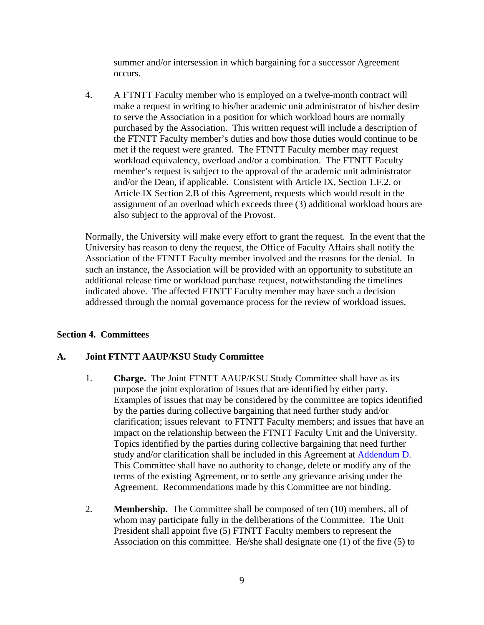summer and/or intersession in which bargaining for a successor Agreement occurs.

4. A FTNTT Faculty member who is employed on a twelve-month contract will make a request in writing to his/her academic unit administrator of his/her desire to serve the Association in a position for which workload hours are normally purchased by the Association. This written request will include a description of the FTNTT Faculty member's duties and how those duties would continue to be met if the request were granted. The FTNTT Faculty member may request workload equivalency, overload and/or a combination. The FTNTT Faculty member's request is subject to the approval of the academic unit administrator and/or the Dean, if applicable. Consistent with Article IX, Section 1.F.2. or Article IX Section 2.B of this Agreement, requests which would result in the assignment of an overload which exceeds three (3) additional workload hours are also subject to the approval of the Provost.

Normally, the University will make every effort to grant the request. In the event that the University has reason to deny the request, the Office of Faculty Affairs shall notify the Association of the FTNTT Faculty member involved and the reasons for the denial. In such an instance, the Association will be provided with an opportunity to substitute an additional release time or workload purchase request, notwithstanding the timelines indicated above. The affected FTNTT Faculty member may have such a decision addressed through the normal governance process for the review of workload issues.

#### **Section 4. Committees**

# **A. Joint FTNTT AAUP/KSU Study Committee**

- 1. **Charge.** The Joint FTNTT AAUP/KSU Study Committee shall have as its purpose the joint exploration of issues that are identified by either party. Examples of issues that may be considered by the committee are topics identified by the parties during collective bargaining that need further study and/or clarification; issues relevant to FTNTT Faculty members; and issues that have an impact on the relationship between the FTNTT Faculty Unit and the University. Topics identified by the parties during collective bargaining that need further study and/or clarification shall be included in this Agreement at [Addendum D.](#page-75-0) This Committee shall have no authority to change, delete or modify any of the terms of the existing Agreement, or to settle any grievance arising under the Agreement. Recommendations made by this Committee are not binding.
- 2. **Membership.** The Committee shall be composed of ten (10) members, all of whom may participate fully in the deliberations of the Committee. The Unit President shall appoint five (5) FTNTT Faculty members to represent the Association on this committee. He/she shall designate one (1) of the five (5) to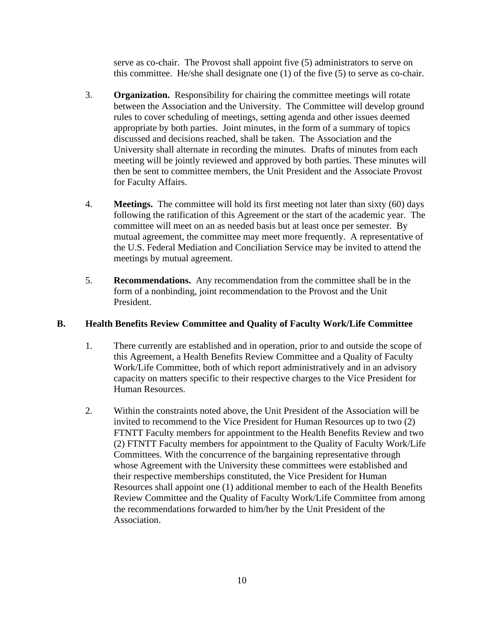serve as co-chair. The Provost shall appoint five (5) administrators to serve on this committee. He/she shall designate one (1) of the five (5) to serve as co-chair.

- 3. **Organization.** Responsibility for chairing the committee meetings will rotate between the Association and the University. The Committee will develop ground rules to cover scheduling of meetings, setting agenda and other issues deemed appropriate by both parties. Joint minutes, in the form of a summary of topics discussed and decisions reached, shall be taken. The Association and the University shall alternate in recording the minutes. Drafts of minutes from each meeting will be jointly reviewed and approved by both parties. These minutes will then be sent to committee members, the Unit President and the Associate Provost for Faculty Affairs.
- 4. **Meetings.** The committee will hold its first meeting not later than sixty (60) days following the ratification of this Agreement or the start of the academic year. The committee will meet on an as needed basis but at least once per semester. By mutual agreement, the committee may meet more frequently. A representative of the U.S. Federal Mediation and Conciliation Service may be invited to attend the meetings by mutual agreement.
- 5. **Recommendations.** Any recommendation from the committee shall be in the form of a nonbinding, joint recommendation to the Provost and the Unit President.

# **B. Health Benefits Review Committee and Quality of Faculty Work/Life Committee**

- 1. There currently are established and in operation, prior to and outside the scope of this Agreement, a Health Benefits Review Committee and a Quality of Faculty Work/Life Committee, both of which report administratively and in an advisory capacity on matters specific to their respective charges to the Vice President for Human Resources.
- 2. Within the constraints noted above, the Unit President of the Association will be invited to recommend to the Vice President for Human Resources up to two (2) FTNTT Faculty members for appointment to the Health Benefits Review and two (2) FTNTT Faculty members for appointment to the Quality of Faculty Work/Life Committees. With the concurrence of the bargaining representative through whose Agreement with the University these committees were established and their respective memberships constituted, the Vice President for Human Resources shall appoint one (1) additional member to each of the Health Benefits Review Committee and the Quality of Faculty Work/Life Committee from among the recommendations forwarded to him/her by the Unit President of the Association.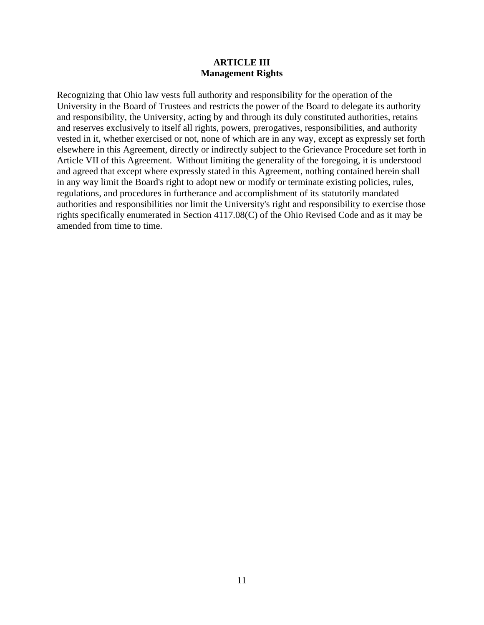#### **ARTICLE III Management Rights**

<span id="page-13-0"></span>Recognizing that Ohio law vests full authority and responsibility for the operation of the University in the Board of Trustees and restricts the power of the Board to delegate its authority and responsibility, the University, acting by and through its duly constituted authorities, retains and reserves exclusively to itself all rights, powers, prerogatives, responsibilities, and authority vested in it, whether exercised or not, none of which are in any way, except as expressly set forth elsewhere in this Agreement, directly or indirectly subject to the Grievance Procedure set forth in Article VII of this Agreement. Without limiting the generality of the foregoing, it is understood and agreed that except where expressly stated in this Agreement, nothing contained herein shall in any way limit the Board's right to adopt new or modify or terminate existing policies, rules, regulations, and procedures in furtherance and accomplishment of its statutorily mandated authorities and responsibilities nor limit the University's right and responsibility to exercise those rights specifically enumerated in Section 4117.08(C) of the Ohio Revised Code and as it may be amended from time to time.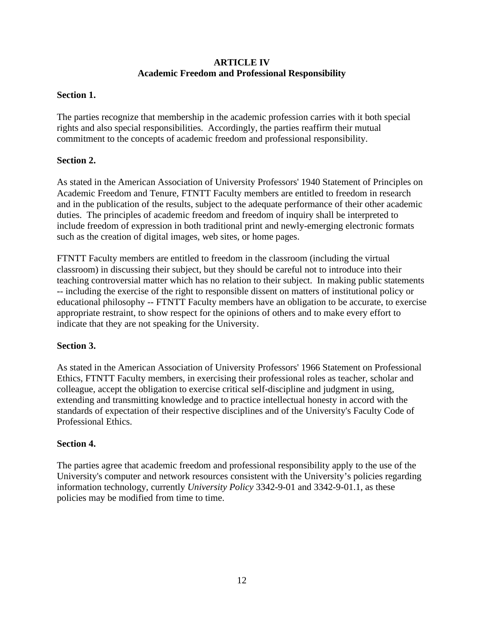# **ARTICLE IV Academic Freedom and Professional Responsibility**

# <span id="page-14-0"></span>**Section 1.**

The parties recognize that membership in the academic profession carries with it both special rights and also special responsibilities. Accordingly, the parties reaffirm their mutual commitment to the concepts of academic freedom and professional responsibility.

# **Section 2.**

As stated in the American Association of University Professors' 1940 Statement of Principles on Academic Freedom and Tenure, FTNTT Faculty members are entitled to freedom in research and in the publication of the results, subject to the adequate performance of their other academic duties. The principles of academic freedom and freedom of inquiry shall be interpreted to include freedom of expression in both traditional print and newly-emerging electronic formats such as the creation of digital images, web sites, or home pages.

FTNTT Faculty members are entitled to freedom in the classroom (including the virtual classroom) in discussing their subject, but they should be careful not to introduce into their teaching controversial matter which has no relation to their subject. In making public statements -- including the exercise of the right to responsible dissent on matters of institutional policy or educational philosophy -- FTNTT Faculty members have an obligation to be accurate, to exercise appropriate restraint, to show respect for the opinions of others and to make every effort to indicate that they are not speaking for the University.

#### **Section 3.**

As stated in the American Association of University Professors' 1966 Statement on Professional Ethics, FTNTT Faculty members, in exercising their professional roles as teacher, scholar and colleague, accept the obligation to exercise critical self-discipline and judgment in using, extending and transmitting knowledge and to practice intellectual honesty in accord with the standards of expectation of their respective disciplines and of the University's Faculty Code of Professional Ethics.

#### **Section 4.**

The parties agree that academic freedom and professional responsibility apply to the use of the University's computer and network resources consistent with the University's policies regarding information technology, currently *University Policy* 3342-9-01 and 3342-9-01.1, as these policies may be modified from time to time.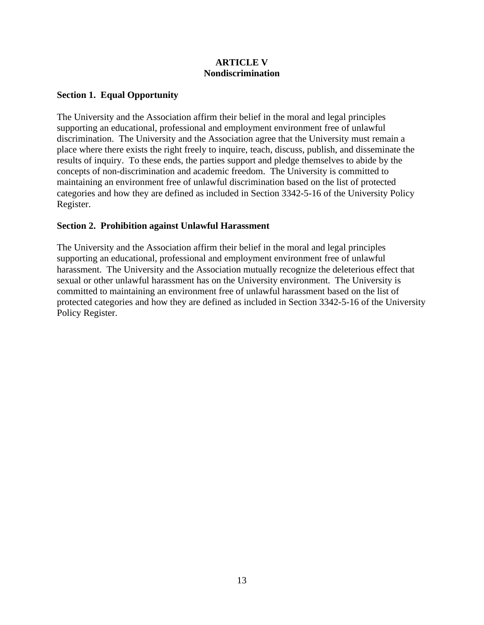# **ARTICLE V Nondiscrimination**

# <span id="page-15-0"></span>**Section 1. Equal Opportunity**

The University and the Association affirm their belief in the moral and legal principles supporting an educational, professional and employment environment free of unlawful discrimination. The University and the Association agree that the University must remain a place where there exists the right freely to inquire, teach, discuss, publish, and disseminate the results of inquiry. To these ends, the parties support and pledge themselves to abide by the concepts of non-discrimination and academic freedom. The University is committed to maintaining an environment free of unlawful discrimination based on the list of protected categories and how they are defined as included in Section 3342-5-16 of the University Policy Register.

# **Section 2. Prohibition against Unlawful Harassment**

The University and the Association affirm their belief in the moral and legal principles supporting an educational, professional and employment environment free of unlawful harassment. The University and the Association mutually recognize the deleterious effect that sexual or other unlawful harassment has on the University environment. The University is committed to maintaining an environment free of unlawful harassment based on the list of protected categories and how they are defined as included in Section 3342-5-16 of the University Policy Register.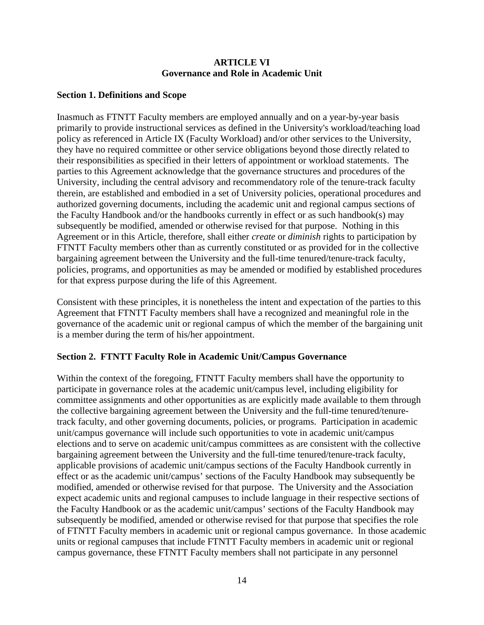#### **ARTICLE VI Governance and Role in Academic Unit**

#### <span id="page-16-0"></span>**Section 1. Definitions and Scope**

Inasmuch as FTNTT Faculty members are employed annually and on a year-by-year basis primarily to provide instructional services as defined in the University's workload/teaching load policy as referenced in Article IX (Faculty Workload) and/or other services to the University, they have no required committee or other service obligations beyond those directly related to their responsibilities as specified in their letters of appointment or workload statements. The parties to this Agreement acknowledge that the governance structures and procedures of the University, including the central advisory and recommendatory role of the tenure-track faculty therein, are established and embodied in a set of University policies, operational procedures and authorized governing documents, including the academic unit and regional campus sections of the Faculty Handbook and/or the handbooks currently in effect or as such handbook(s) may subsequently be modified, amended or otherwise revised for that purpose. Nothing in this Agreement or in this Article, therefore, shall either *create* or *diminish* rights to participation by FTNTT Faculty members other than as currently constituted or as provided for in the collective bargaining agreement between the University and the full-time tenured/tenure-track faculty, policies, programs, and opportunities as may be amended or modified by established procedures for that express purpose during the life of this Agreement.

Consistent with these principles, it is nonetheless the intent and expectation of the parties to this Agreement that FTNTT Faculty members shall have a recognized and meaningful role in the governance of the academic unit or regional campus of which the member of the bargaining unit is a member during the term of his/her appointment.

# **Section 2. FTNTT Faculty Role in Academic Unit/Campus Governance**

Within the context of the foregoing, FTNTT Faculty members shall have the opportunity to participate in governance roles at the academic unit/campus level, including eligibility for committee assignments and other opportunities as are explicitly made available to them through the collective bargaining agreement between the University and the full-time tenured/tenuretrack faculty, and other governing documents, policies, or programs. Participation in academic unit/campus governance will include such opportunities to vote in academic unit/campus elections and to serve on academic unit/campus committees as are consistent with the collective bargaining agreement between the University and the full-time tenured/tenure-track faculty, applicable provisions of academic unit/campus sections of the Faculty Handbook currently in effect or as the academic unit/campus' sections of the Faculty Handbook may subsequently be modified, amended or otherwise revised for that purpose. The University and the Association expect academic units and regional campuses to include language in their respective sections of the Faculty Handbook or as the academic unit/campus' sections of the Faculty Handbook may subsequently be modified, amended or otherwise revised for that purpose that specifies the role of FTNTT Faculty members in academic unit or regional campus governance. In those academic units or regional campuses that include FTNTT Faculty members in academic unit or regional campus governance, these FTNTT Faculty members shall not participate in any personnel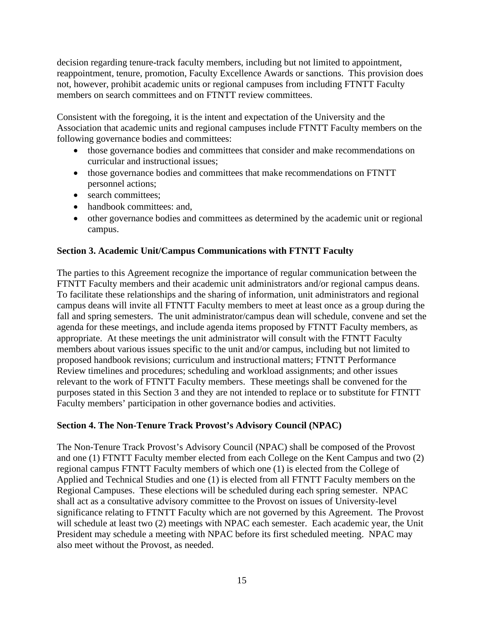decision regarding tenure-track faculty members, including but not limited to appointment, reappointment, tenure, promotion, Faculty Excellence Awards or sanctions. This provision does not, however, prohibit academic units or regional campuses from including FTNTT Faculty members on search committees and on FTNTT review committees.

Consistent with the foregoing, it is the intent and expectation of the University and the Association that academic units and regional campuses include FTNTT Faculty members on the following governance bodies and committees:

- those governance bodies and committees that consider and make recommendations on curricular and instructional issues;
- those governance bodies and committees that make recommendations on FTNTT personnel actions;
- search committees;
- handbook committees: and,
- other governance bodies and committees as determined by the academic unit or regional campus.

# **Section 3. Academic Unit/Campus Communications with FTNTT Faculty**

The parties to this Agreement recognize the importance of regular communication between the FTNTT Faculty members and their academic unit administrators and/or regional campus deans. To facilitate these relationships and the sharing of information, unit administrators and regional campus deans will invite all FTNTT Faculty members to meet at least once as a group during the fall and spring semesters. The unit administrator/campus dean will schedule, convene and set the agenda for these meetings, and include agenda items proposed by FTNTT Faculty members, as appropriate. At these meetings the unit administrator will consult with the FTNTT Faculty members about various issues specific to the unit and/or campus, including but not limited to proposed handbook revisions; curriculum and instructional matters; FTNTT Performance Review timelines and procedures; scheduling and workload assignments; and other issues relevant to the work of FTNTT Faculty members. These meetings shall be convened for the purposes stated in this Section 3 and they are not intended to replace or to substitute for FTNTT Faculty members' participation in other governance bodies and activities.

# **Section 4. The Non-Tenure Track Provost's Advisory Council (NPAC)**

The Non-Tenure Track Provost's Advisory Council (NPAC) shall be composed of the Provost and one (1) FTNTT Faculty member elected from each College on the Kent Campus and two (2) regional campus FTNTT Faculty members of which one (1) is elected from the College of Applied and Technical Studies and one (1) is elected from all FTNTT Faculty members on the Regional Campuses. These elections will be scheduled during each spring semester. NPAC shall act as a consultative advisory committee to the Provost on issues of University-level significance relating to FTNTT Faculty which are not governed by this Agreement. The Provost will schedule at least two (2) meetings with NPAC each semester. Each academic year, the Unit President may schedule a meeting with NPAC before its first scheduled meeting. NPAC may also meet without the Provost, as needed.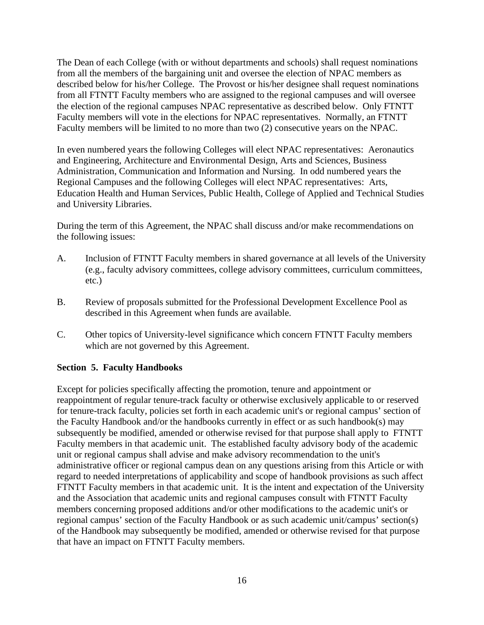The Dean of each College (with or without departments and schools) shall request nominations from all the members of the bargaining unit and oversee the election of NPAC members as described below for his/her College. The Provost or his/her designee shall request nominations from all FTNTT Faculty members who are assigned to the regional campuses and will oversee the election of the regional campuses NPAC representative as described below. Only FTNTT Faculty members will vote in the elections for NPAC representatives. Normally, an FTNTT Faculty members will be limited to no more than two (2) consecutive years on the NPAC.

In even numbered years the following Colleges will elect NPAC representatives: Aeronautics and Engineering, Architecture and Environmental Design, Arts and Sciences, Business Administration, Communication and Information and Nursing. In odd numbered years the Regional Campuses and the following Colleges will elect NPAC representatives: Arts, Education Health and Human Services, Public Health, College of Applied and Technical Studies and University Libraries.

During the term of this Agreement, the NPAC shall discuss and/or make recommendations on the following issues:

- A. Inclusion of FTNTT Faculty members in shared governance at all levels of the University (e.g., faculty advisory committees, college advisory committees, curriculum committees, etc.)
- B. Review of proposals submitted for the Professional Development Excellence Pool as described in this Agreement when funds are available.
- C. Other topics of University-level significance which concern FTNTT Faculty members which are not governed by this Agreement.

#### **Section 5. Faculty Handbooks**

Except for policies specifically affecting the promotion, tenure and appointment or reappointment of regular tenure-track faculty or otherwise exclusively applicable to or reserved for tenure-track faculty, policies set forth in each academic unit's or regional campus' section of the Faculty Handbook and/or the handbooks currently in effect or as such handbook(s) may subsequently be modified, amended or otherwise revised for that purpose shall apply to FTNTT Faculty members in that academic unit. The established faculty advisory body of the academic unit or regional campus shall advise and make advisory recommendation to the unit's administrative officer or regional campus dean on any questions arising from this Article or with regard to needed interpretations of applicability and scope of handbook provisions as such affect FTNTT Faculty members in that academic unit. It is the intent and expectation of the University and the Association that academic units and regional campuses consult with FTNTT Faculty members concerning proposed additions and/or other modifications to the academic unit's or regional campus' section of the Faculty Handbook or as such academic unit/campus' section(s) of the Handbook may subsequently be modified, amended or otherwise revised for that purpose that have an impact on FTNTT Faculty members.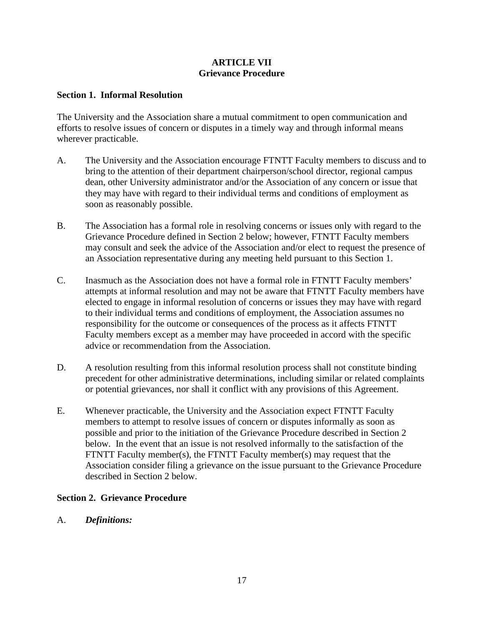# **ARTICLE VII Grievance Procedure**

#### <span id="page-19-0"></span>**Section 1. Informal Resolution**

The University and the Association share a mutual commitment to open communication and efforts to resolve issues of concern or disputes in a timely way and through informal means wherever practicable.

- A. The University and the Association encourage FTNTT Faculty members to discuss and to bring to the attention of their department chairperson/school director, regional campus dean, other University administrator and/or the Association of any concern or issue that they may have with regard to their individual terms and conditions of employment as soon as reasonably possible.
- B. The Association has a formal role in resolving concerns or issues only with regard to the Grievance Procedure defined in Section 2 below; however, FTNTT Faculty members may consult and seek the advice of the Association and/or elect to request the presence of an Association representative during any meeting held pursuant to this Section 1.
- C. Inasmuch as the Association does not have a formal role in FTNTT Faculty members' attempts at informal resolution and may not be aware that FTNTT Faculty members have elected to engage in informal resolution of concerns or issues they may have with regard to their individual terms and conditions of employment, the Association assumes no responsibility for the outcome or consequences of the process as it affects FTNTT Faculty members except as a member may have proceeded in accord with the specific advice or recommendation from the Association.
- D. A resolution resulting from this informal resolution process shall not constitute binding precedent for other administrative determinations, including similar or related complaints or potential grievances, nor shall it conflict with any provisions of this Agreement.
- E. Whenever practicable, the University and the Association expect FTNTT Faculty members to attempt to resolve issues of concern or disputes informally as soon as possible and prior to the initiation of the Grievance Procedure described in Section 2 below. In the event that an issue is not resolved informally to the satisfaction of the FTNTT Faculty member(s), the FTNTT Faculty member(s) may request that the Association consider filing a grievance on the issue pursuant to the Grievance Procedure described in Section 2 below.

#### **Section 2. Grievance Procedure**

A. *Definitions:*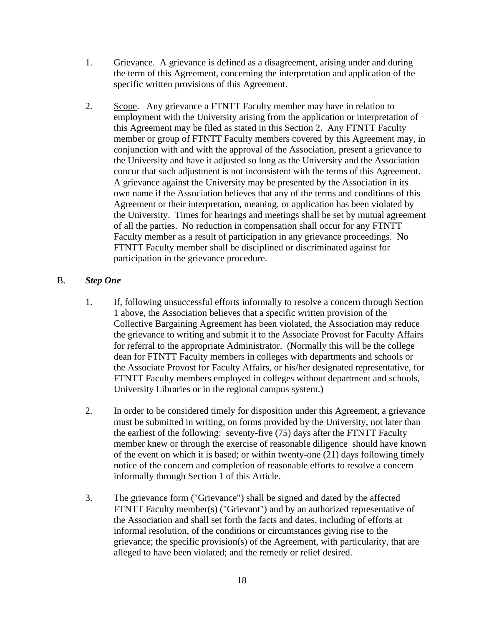- 1. Grievance. A grievance is defined as a disagreement, arising under and during the term of this Agreement, concerning the interpretation and application of the specific written provisions of this Agreement.
- 2. Scope. Any grievance a FTNTT Faculty member may have in relation to employment with the University arising from the application or interpretation of this Agreement may be filed as stated in this Section 2. Any FTNTT Faculty member or group of FTNTT Faculty members covered by this Agreement may, in conjunction with and with the approval of the Association, present a grievance to the University and have it adjusted so long as the University and the Association concur that such adjustment is not inconsistent with the terms of this Agreement. A grievance against the University may be presented by the Association in its own name if the Association believes that any of the terms and conditions of this Agreement or their interpretation, meaning, or application has been violated by the University. Times for hearings and meetings shall be set by mutual agreement of all the parties. No reduction in compensation shall occur for any FTNTT Faculty member as a result of participation in any grievance proceedings. No FTNTT Faculty member shall be disciplined or discriminated against for participation in the grievance procedure.

# B. *Step One*

- 1. If, following unsuccessful efforts informally to resolve a concern through Section 1 above, the Association believes that a specific written provision of the Collective Bargaining Agreement has been violated, the Association may reduce the grievance to writing and submit it to the Associate Provost for Faculty Affairs for referral to the appropriate Administrator. (Normally this will be the college dean for FTNTT Faculty members in colleges with departments and schools or the Associate Provost for Faculty Affairs, or his/her designated representative, for FTNTT Faculty members employed in colleges without department and schools, University Libraries or in the regional campus system.)
- 2. In order to be considered timely for disposition under this Agreement, a grievance must be submitted in writing, on forms provided by the University, not later than the earliest of the following: seventy-five (75) days after the FTNTT Faculty member knew or through the exercise of reasonable diligence should have known of the event on which it is based; or within twenty-one (21) days following timely notice of the concern and completion of reasonable efforts to resolve a concern informally through Section 1 of this Article.
- 3. The grievance form ("Grievance") shall be signed and dated by the affected FTNTT Faculty member(s) ("Grievant") and by an authorized representative of the Association and shall set forth the facts and dates, including of efforts at informal resolution, of the conditions or circumstances giving rise to the grievance; the specific provision(s) of the Agreement, with particularity, that are alleged to have been violated; and the remedy or relief desired.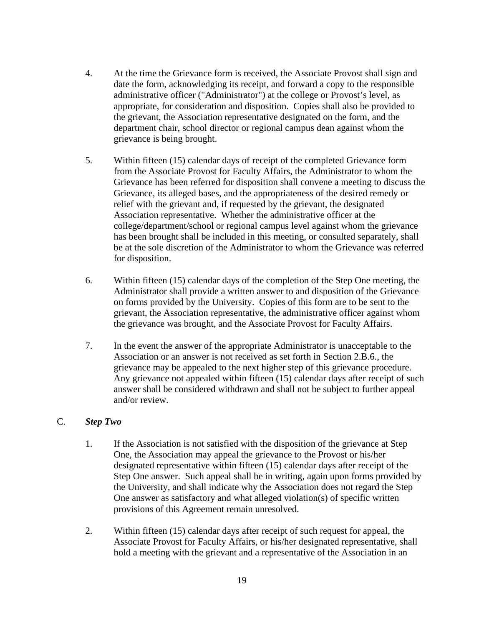- 4. At the time the Grievance form is received, the Associate Provost shall sign and date the form, acknowledging its receipt, and forward a copy to the responsible administrative officer ("Administrator") at the college or Provost's level, as appropriate, for consideration and disposition. Copies shall also be provided to the grievant, the Association representative designated on the form, and the department chair, school director or regional campus dean against whom the grievance is being brought.
- 5. Within fifteen (15) calendar days of receipt of the completed Grievance form from the Associate Provost for Faculty Affairs, the Administrator to whom the Grievance has been referred for disposition shall convene a meeting to discuss the Grievance, its alleged bases, and the appropriateness of the desired remedy or relief with the grievant and, if requested by the grievant, the designated Association representative. Whether the administrative officer at the college/department/school or regional campus level against whom the grievance has been brought shall be included in this meeting, or consulted separately, shall be at the sole discretion of the Administrator to whom the Grievance was referred for disposition.
- 6. Within fifteen (15) calendar days of the completion of the Step One meeting, the Administrator shall provide a written answer to and disposition of the Grievance on forms provided by the University. Copies of this form are to be sent to the grievant, the Association representative, the administrative officer against whom the grievance was brought, and the Associate Provost for Faculty Affairs.
- 7. In the event the answer of the appropriate Administrator is unacceptable to the Association or an answer is not received as set forth in Section 2.B.6., the grievance may be appealed to the next higher step of this grievance procedure. Any grievance not appealed within fifteen (15) calendar days after receipt of such answer shall be considered withdrawn and shall not be subject to further appeal and/or review.

#### C. *Step Two*

- 1. If the Association is not satisfied with the disposition of the grievance at Step One, the Association may appeal the grievance to the Provost or his/her designated representative within fifteen (15) calendar days after receipt of the Step One answer. Such appeal shall be in writing, again upon forms provided by the University, and shall indicate why the Association does not regard the Step One answer as satisfactory and what alleged violation(s) of specific written provisions of this Agreement remain unresolved.
- 2. Within fifteen (15) calendar days after receipt of such request for appeal, the Associate Provost for Faculty Affairs, or his/her designated representative, shall hold a meeting with the grievant and a representative of the Association in an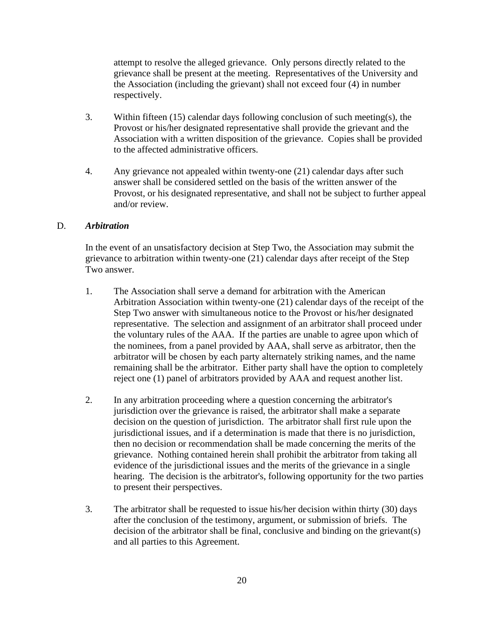attempt to resolve the alleged grievance. Only persons directly related to the grievance shall be present at the meeting. Representatives of the University and the Association (including the grievant) shall not exceed four (4) in number respectively.

- 3. Within fifteen (15) calendar days following conclusion of such meeting(s), the Provost or his/her designated representative shall provide the grievant and the Association with a written disposition of the grievance. Copies shall be provided to the affected administrative officers.
- 4. Any grievance not appealed within twenty-one (21) calendar days after such answer shall be considered settled on the basis of the written answer of the Provost, or his designated representative, and shall not be subject to further appeal and/or review.

# D. *Arbitration*

In the event of an unsatisfactory decision at Step Two, the Association may submit the grievance to arbitration within twenty-one (21) calendar days after receipt of the Step Two answer.

- 1. The Association shall serve a demand for arbitration with the American Arbitration Association within twenty-one (21) calendar days of the receipt of the Step Two answer with simultaneous notice to the Provost or his/her designated representative. The selection and assignment of an arbitrator shall proceed under the voluntary rules of the AAA. If the parties are unable to agree upon which of the nominees, from a panel provided by AAA, shall serve as arbitrator, then the arbitrator will be chosen by each party alternately striking names, and the name remaining shall be the arbitrator. Either party shall have the option to completely reject one (1) panel of arbitrators provided by AAA and request another list.
- 2. In any arbitration proceeding where a question concerning the arbitrator's jurisdiction over the grievance is raised, the arbitrator shall make a separate decision on the question of jurisdiction. The arbitrator shall first rule upon the jurisdictional issues, and if a determination is made that there is no jurisdiction, then no decision or recommendation shall be made concerning the merits of the grievance. Nothing contained herein shall prohibit the arbitrator from taking all evidence of the jurisdictional issues and the merits of the grievance in a single hearing. The decision is the arbitrator's, following opportunity for the two parties to present their perspectives.
- 3. The arbitrator shall be requested to issue his/her decision within thirty (30) days after the conclusion of the testimony, argument, or submission of briefs. The decision of the arbitrator shall be final, conclusive and binding on the grievant(s) and all parties to this Agreement.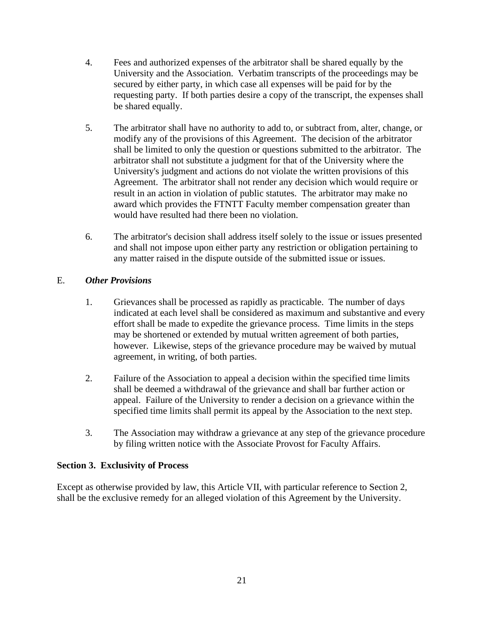- 4. Fees and authorized expenses of the arbitrator shall be shared equally by the University and the Association. Verbatim transcripts of the proceedings may be secured by either party, in which case all expenses will be paid for by the requesting party. If both parties desire a copy of the transcript, the expenses shall be shared equally.
- 5. The arbitrator shall have no authority to add to, or subtract from, alter, change, or modify any of the provisions of this Agreement. The decision of the arbitrator shall be limited to only the question or questions submitted to the arbitrator. The arbitrator shall not substitute a judgment for that of the University where the University's judgment and actions do not violate the written provisions of this Agreement. The arbitrator shall not render any decision which would require or result in an action in violation of public statutes. The arbitrator may make no award which provides the FTNTT Faculty member compensation greater than would have resulted had there been no violation.
- 6. The arbitrator's decision shall address itself solely to the issue or issues presented and shall not impose upon either party any restriction or obligation pertaining to any matter raised in the dispute outside of the submitted issue or issues.

# E. *Other Provisions*

- 1. Grievances shall be processed as rapidly as practicable. The number of days indicated at each level shall be considered as maximum and substantive and every effort shall be made to expedite the grievance process. Time limits in the steps may be shortened or extended by mutual written agreement of both parties, however. Likewise, steps of the grievance procedure may be waived by mutual agreement, in writing, of both parties.
- 2. Failure of the Association to appeal a decision within the specified time limits shall be deemed a withdrawal of the grievance and shall bar further action or appeal. Failure of the University to render a decision on a grievance within the specified time limits shall permit its appeal by the Association to the next step.
- 3. The Association may withdraw a grievance at any step of the grievance procedure by filing written notice with the Associate Provost for Faculty Affairs.

# **Section 3. Exclusivity of Process**

Except as otherwise provided by law, this Article VII, with particular reference to Section 2, shall be the exclusive remedy for an alleged violation of this Agreement by the University.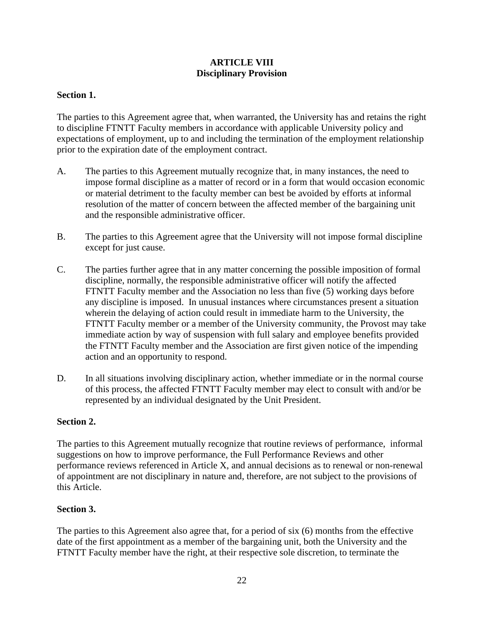# **ARTICLE VIII Disciplinary Provision**

# <span id="page-24-0"></span>**Section 1.**

The parties to this Agreement agree that, when warranted, the University has and retains the right to discipline FTNTT Faculty members in accordance with applicable University policy and expectations of employment, up to and including the termination of the employment relationship prior to the expiration date of the employment contract.

- A. The parties to this Agreement mutually recognize that, in many instances, the need to impose formal discipline as a matter of record or in a form that would occasion economic or material detriment to the faculty member can best be avoided by efforts at informal resolution of the matter of concern between the affected member of the bargaining unit and the responsible administrative officer.
- B. The parties to this Agreement agree that the University will not impose formal discipline except for just cause.
- C. The parties further agree that in any matter concerning the possible imposition of formal discipline, normally, the responsible administrative officer will notify the affected FTNTT Faculty member and the Association no less than five (5) working days before any discipline is imposed. In unusual instances where circumstances present a situation wherein the delaying of action could result in immediate harm to the University, the FTNTT Faculty member or a member of the University community, the Provost may take immediate action by way of suspension with full salary and employee benefits provided the FTNTT Faculty member and the Association are first given notice of the impending action and an opportunity to respond.
- D. In all situations involving disciplinary action, whether immediate or in the normal course of this process, the affected FTNTT Faculty member may elect to consult with and/or be represented by an individual designated by the Unit President.

#### **Section 2.**

The parties to this Agreement mutually recognize that routine reviews of performance, informal suggestions on how to improve performance, the Full Performance Reviews and other performance reviews referenced in Article X, and annual decisions as to renewal or non-renewal of appointment are not disciplinary in nature and, therefore, are not subject to the provisions of this Article.

#### **Section 3.**

The parties to this Agreement also agree that, for a period of six (6) months from the effective date of the first appointment as a member of the bargaining unit, both the University and the FTNTT Faculty member have the right, at their respective sole discretion, to terminate the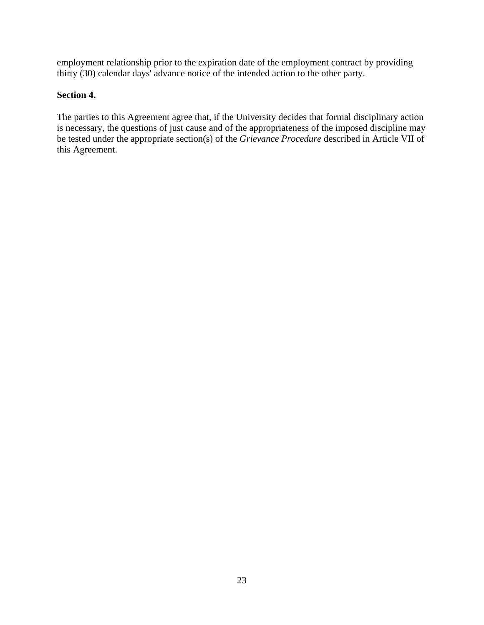employment relationship prior to the expiration date of the employment contract by providing thirty (30) calendar days' advance notice of the intended action to the other party.

# **Section 4.**

The parties to this Agreement agree that, if the University decides that formal disciplinary action is necessary, the questions of just cause and of the appropriateness of the imposed discipline may be tested under the appropriate section(s) of the *Grievance Procedure* described in Article VII of this Agreement.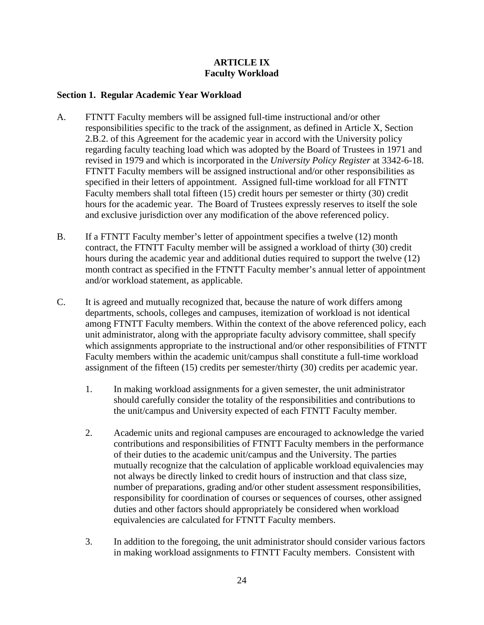# **ARTICLE IX Faculty Workload**

# <span id="page-26-0"></span>**Section 1. Regular Academic Year Workload**

- A. FTNTT Faculty members will be assigned full-time instructional and/or other responsibilities specific to the track of the assignment, as defined in Article X, Section 2.B.2. of this Agreement for the academic year in accord with the University policy regarding faculty teaching load which was adopted by the Board of Trustees in 1971 and revised in 1979 and which is incorporated in the *University Policy Register* at 3342-6-18. FTNTT Faculty members will be assigned instructional and/or other responsibilities as specified in their letters of appointment. Assigned full-time workload for all FTNTT Faculty members shall total fifteen (15) credit hours per semester or thirty (30) credit hours for the academic year. The Board of Trustees expressly reserves to itself the sole and exclusive jurisdiction over any modification of the above referenced policy.
- B. If a FTNTT Faculty member's letter of appointment specifies a twelve (12) month contract, the FTNTT Faculty member will be assigned a workload of thirty (30) credit hours during the academic year and additional duties required to support the twelve (12) month contract as specified in the FTNTT Faculty member's annual letter of appointment and/or workload statement, as applicable.
- C. It is agreed and mutually recognized that, because the nature of work differs among departments, schools, colleges and campuses, itemization of workload is not identical among FTNTT Faculty members. Within the context of the above referenced policy, each unit administrator, along with the appropriate faculty advisory committee, shall specify which assignments appropriate to the instructional and/or other responsibilities of FTNTT Faculty members within the academic unit/campus shall constitute a full-time workload assignment of the fifteen (15) credits per semester/thirty (30) credits per academic year.
	- 1. In making workload assignments for a given semester, the unit administrator should carefully consider the totality of the responsibilities and contributions to the unit/campus and University expected of each FTNTT Faculty member.
	- 2. Academic units and regional campuses are encouraged to acknowledge the varied contributions and responsibilities of FTNTT Faculty members in the performance of their duties to the academic unit/campus and the University. The parties mutually recognize that the calculation of applicable workload equivalencies may not always be directly linked to credit hours of instruction and that class size, number of preparations, grading and/or other student assessment responsibilities, responsibility for coordination of courses or sequences of courses, other assigned duties and other factors should appropriately be considered when workload equivalencies are calculated for FTNTT Faculty members.
	- 3. In addition to the foregoing, the unit administrator should consider various factors in making workload assignments to FTNTT Faculty members. Consistent with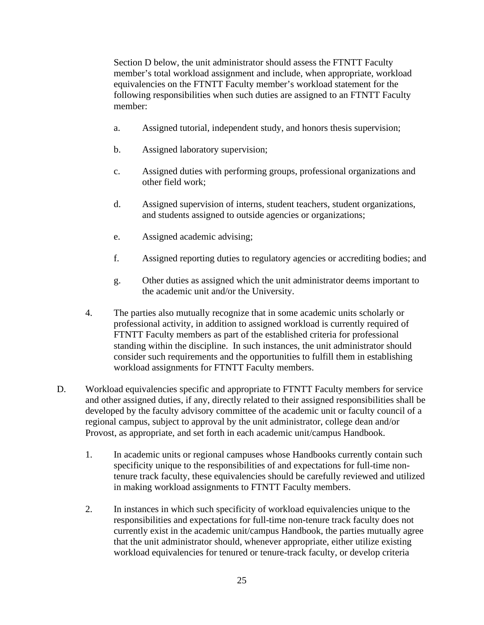Section D below, the unit administrator should assess the FTNTT Faculty member's total workload assignment and include, when appropriate, workload equivalencies on the FTNTT Faculty member's workload statement for the following responsibilities when such duties are assigned to an FTNTT Faculty member:

- a. Assigned tutorial, independent study, and honors thesis supervision;
- b. Assigned laboratory supervision;
- c. Assigned duties with performing groups, professional organizations and other field work;
- d. Assigned supervision of interns, student teachers, student organizations, and students assigned to outside agencies or organizations;
- e. Assigned academic advising;
- f. Assigned reporting duties to regulatory agencies or accrediting bodies; and
- g. Other duties as assigned which the unit administrator deems important to the academic unit and/or the University.
- 4. The parties also mutually recognize that in some academic units scholarly or professional activity, in addition to assigned workload is currently required of FTNTT Faculty members as part of the established criteria for professional standing within the discipline. In such instances, the unit administrator should consider such requirements and the opportunities to fulfill them in establishing workload assignments for FTNTT Faculty members.
- D. Workload equivalencies specific and appropriate to FTNTT Faculty members for service and other assigned duties, if any, directly related to their assigned responsibilities shall be developed by the faculty advisory committee of the academic unit or faculty council of a regional campus, subject to approval by the unit administrator, college dean and/or Provost, as appropriate, and set forth in each academic unit/campus Handbook.
	- 1. In academic units or regional campuses whose Handbooks currently contain such specificity unique to the responsibilities of and expectations for full-time nontenure track faculty, these equivalencies should be carefully reviewed and utilized in making workload assignments to FTNTT Faculty members.
	- 2. In instances in which such specificity of workload equivalencies unique to the responsibilities and expectations for full-time non-tenure track faculty does not currently exist in the academic unit/campus Handbook, the parties mutually agree that the unit administrator should, whenever appropriate, either utilize existing workload equivalencies for tenured or tenure-track faculty, or develop criteria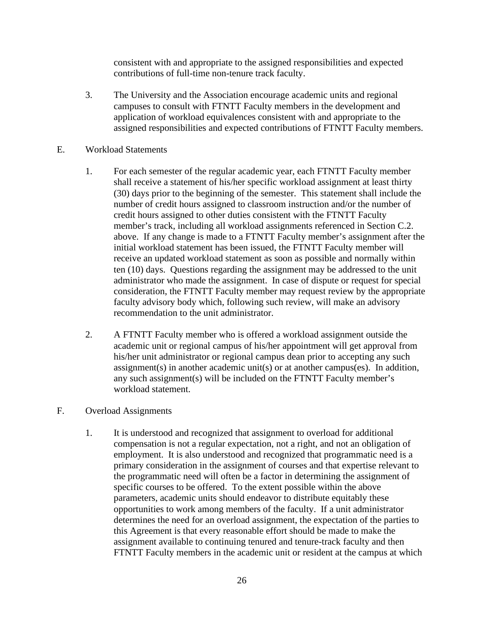consistent with and appropriate to the assigned responsibilities and expected contributions of full-time non-tenure track faculty.

- 3. The University and the Association encourage academic units and regional campuses to consult with FTNTT Faculty members in the development and application of workload equivalences consistent with and appropriate to the assigned responsibilities and expected contributions of FTNTT Faculty members.
- E. Workload Statements
	- 1. For each semester of the regular academic year, each FTNTT Faculty member shall receive a statement of his/her specific workload assignment at least thirty (30) days prior to the beginning of the semester. This statement shall include the number of credit hours assigned to classroom instruction and/or the number of credit hours assigned to other duties consistent with the FTNTT Faculty member's track, including all workload assignments referenced in Section C.2. above. If any change is made to a FTNTT Faculty member's assignment after the initial workload statement has been issued, the FTNTT Faculty member will receive an updated workload statement as soon as possible and normally within ten (10) days. Questions regarding the assignment may be addressed to the unit administrator who made the assignment. In case of dispute or request for special consideration, the FTNTT Faculty member may request review by the appropriate faculty advisory body which, following such review, will make an advisory recommendation to the unit administrator.
	- 2. A FTNTT Faculty member who is offered a workload assignment outside the academic unit or regional campus of his/her appointment will get approval from his/her unit administrator or regional campus dean prior to accepting any such assignment(s) in another academic unit(s) or at another campus(es). In addition, any such assignment(s) will be included on the FTNTT Faculty member's workload statement.
- F. Overload Assignments
	- 1. It is understood and recognized that assignment to overload for additional compensation is not a regular expectation, not a right, and not an obligation of employment. It is also understood and recognized that programmatic need is a primary consideration in the assignment of courses and that expertise relevant to the programmatic need will often be a factor in determining the assignment of specific courses to be offered. To the extent possible within the above parameters, academic units should endeavor to distribute equitably these opportunities to work among members of the faculty. If a unit administrator determines the need for an overload assignment, the expectation of the parties to this Agreement is that every reasonable effort should be made to make the assignment available to continuing tenured and tenure-track faculty and then FTNTT Faculty members in the academic unit or resident at the campus at which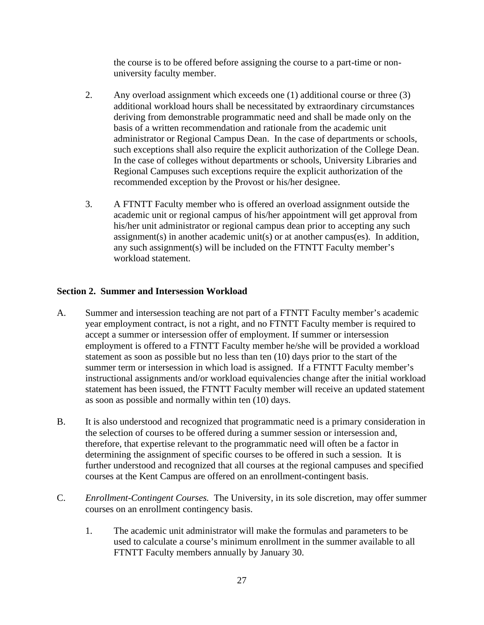the course is to be offered before assigning the course to a part-time or nonuniversity faculty member.

- 2. Any overload assignment which exceeds one (1) additional course or three (3) additional workload hours shall be necessitated by extraordinary circumstances deriving from demonstrable programmatic need and shall be made only on the basis of a written recommendation and rationale from the academic unit administrator or Regional Campus Dean. In the case of departments or schools, such exceptions shall also require the explicit authorization of the College Dean. In the case of colleges without departments or schools, University Libraries and Regional Campuses such exceptions require the explicit authorization of the recommended exception by the Provost or his/her designee.
- 3. A FTNTT Faculty member who is offered an overload assignment outside the academic unit or regional campus of his/her appointment will get approval from his/her unit administrator or regional campus dean prior to accepting any such assignment(s) in another academic unit(s) or at another campus(es). In addition, any such assignment(s) will be included on the FTNTT Faculty member's workload statement.

# **Section 2. Summer and Intersession Workload**

- A. Summer and intersession teaching are not part of a FTNTT Faculty member's academic year employment contract, is not a right, and no FTNTT Faculty member is required to accept a summer or intersession offer of employment. If summer or intersession employment is offered to a FTNTT Faculty member he/she will be provided a workload statement as soon as possible but no less than ten (10) days prior to the start of the summer term or intersession in which load is assigned. If a FTNTT Faculty member's instructional assignments and/or workload equivalencies change after the initial workload statement has been issued, the FTNTT Faculty member will receive an updated statement as soon as possible and normally within ten (10) days.
- B. It is also understood and recognized that programmatic need is a primary consideration in the selection of courses to be offered during a summer session or intersession and, therefore, that expertise relevant to the programmatic need will often be a factor in determining the assignment of specific courses to be offered in such a session. It is further understood and recognized that all courses at the regional campuses and specified courses at the Kent Campus are offered on an enrollment-contingent basis.
- C. *Enrollment-Contingent Courses.* The University, in its sole discretion, may offer summer courses on an enrollment contingency basis.
	- 1. The academic unit administrator will make the formulas and parameters to be used to calculate a course's minimum enrollment in the summer available to all FTNTT Faculty members annually by January 30.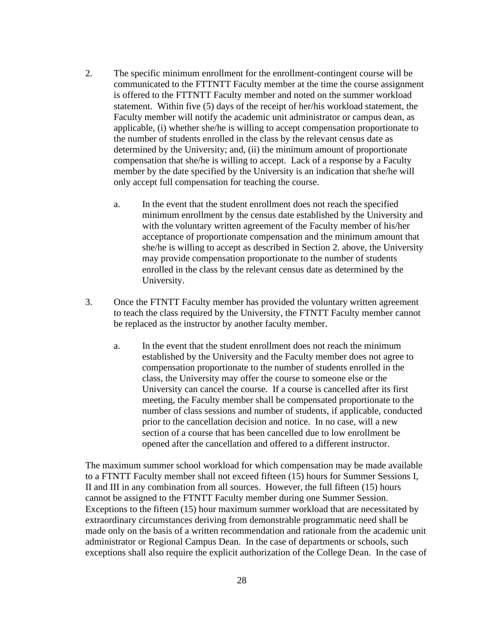- 2. The specific minimum enrollment for the enrollment-contingent course will be communicated to the FTTNTT Faculty member at the time the course assignment is offered to the FTTNTT Faculty member and noted on the summer workload statement. Within five (5) days of the receipt of her/his workload statement, the Faculty member will notify the academic unit administrator or campus dean, as applicable, (i) whether she/he is willing to accept compensation proportionate to the number of students enrolled in the class by the relevant census date as determined by the University; and, (ii) the minimum amount of proportionate compensation that she/he is willing to accept. Lack of a response by a Faculty member by the date specified by the University is an indication that she/he will only accept full compensation for teaching the course.
	- a. In the event that the student enrollment does not reach the specified minimum enrollment by the census date established by the University and with the voluntary written agreement of the Faculty member of his/her acceptance of proportionate compensation and the minimum amount that she/he is willing to accept as described in Section 2. above, the University may provide compensation proportionate to the number of students enrolled in the class by the relevant census date as determined by the University.
- 3. Once the FTNTT Faculty member has provided the voluntary written agreement to teach the class required by the University, the FTNTT Faculty member cannot be replaced as the instructor by another faculty member.
	- a. In the event that the student enrollment does not reach the minimum established by the University and the Faculty member does not agree to compensation proportionate to the number of students enrolled in the class, the University may offer the course to someone else or the University can cancel the course. If a course is cancelled after its first meeting, the Faculty member shall be compensated proportionate to the number of class sessions and number of students, if applicable, conducted prior to the cancellation decision and notice. In no case, will a new section of a course that has been cancelled due to low enrollment be opened after the cancellation and offered to a different instructor.

The maximum summer school workload for which compensation may be made available to a FTNTT Faculty member shall not exceed fifteen (15) hours for Summer Sessions I, II and III in any combination from all sources. However, the full fifteen (15) hours cannot be assigned to the FTNTT Faculty member during one Summer Session. Exceptions to the fifteen (15) hour maximum summer workload that are necessitated by extraordinary circumstances deriving from demonstrable programmatic need shall be made only on the basis of a written recommendation and rationale from the academic unit administrator or Regional Campus Dean. In the case of departments or schools, such exceptions shall also require the explicit authorization of the College Dean. In the case of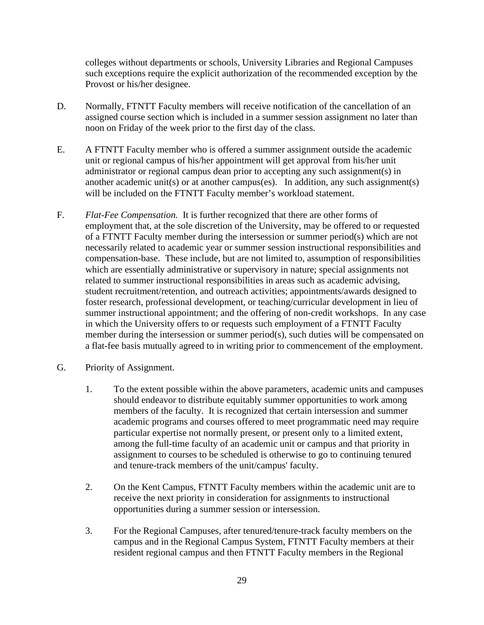colleges without departments or schools, University Libraries and Regional Campuses such exceptions require the explicit authorization of the recommended exception by the Provost or his/her designee.

- D. Normally, FTNTT Faculty members will receive notification of the cancellation of an assigned course section which is included in a summer session assignment no later than noon on Friday of the week prior to the first day of the class.
- E. A FTNTT Faculty member who is offered a summer assignment outside the academic unit or regional campus of his/her appointment will get approval from his/her unit administrator or regional campus dean prior to accepting any such assignment(s) in another academic unit(s) or at another campus(es). In addition, any such assignment(s) will be included on the FTNTT Faculty member's workload statement.
- F. *Flat-Fee Compensation.* It is further recognized that there are other forms of employment that, at the sole discretion of the University, may be offered to or requested of a FTNTT Faculty member during the intersession or summer period(s) which are not necessarily related to academic year or summer session instructional responsibilities and compensation-base. These include, but are not limited to, assumption of responsibilities which are essentially administrative or supervisory in nature; special assignments not related to summer instructional responsibilities in areas such as academic advising, student recruitment/retention, and outreach activities; appointments/awards designed to foster research, professional development, or teaching/curricular development in lieu of summer instructional appointment; and the offering of non-credit workshops. In any case in which the University offers to or requests such employment of a FTNTT Faculty member during the intersession or summer period(s), such duties will be compensated on a flat-fee basis mutually agreed to in writing prior to commencement of the employment.
- G. Priority of Assignment.
	- 1. To the extent possible within the above parameters, academic units and campuses should endeavor to distribute equitably summer opportunities to work among members of the faculty. It is recognized that certain intersession and summer academic programs and courses offered to meet programmatic need may require particular expertise not normally present, or present only to a limited extent, among the full-time faculty of an academic unit or campus and that priority in assignment to courses to be scheduled is otherwise to go to continuing tenured and tenure-track members of the unit/campus' faculty.
	- 2. On the Kent Campus, FTNTT Faculty members within the academic unit are to receive the next priority in consideration for assignments to instructional opportunities during a summer session or intersession.
	- 3. For the Regional Campuses, after tenured/tenure-track faculty members on the campus and in the Regional Campus System, FTNTT Faculty members at their resident regional campus and then FTNTT Faculty members in the Regional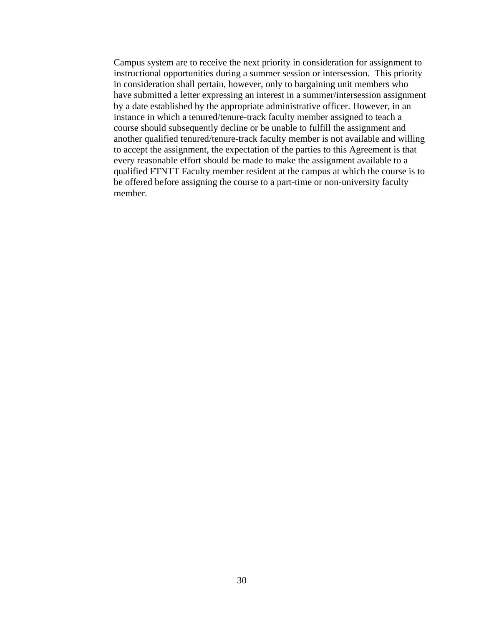Campus system are to receive the next priority in consideration for assignment to instructional opportunities during a summer session or intersession. This priority in consideration shall pertain, however, only to bargaining unit members who have submitted a letter expressing an interest in a summer/intersession assignment by a date established by the appropriate administrative officer. However, in an instance in which a tenured/tenure-track faculty member assigned to teach a course should subsequently decline or be unable to fulfill the assignment and another qualified tenured/tenure-track faculty member is not available and willing to accept the assignment, the expectation of the parties to this Agreement is that every reasonable effort should be made to make the assignment available to a qualified FTNTT Faculty member resident at the campus at which the course is to be offered before assigning the course to a part-time or non-university faculty member.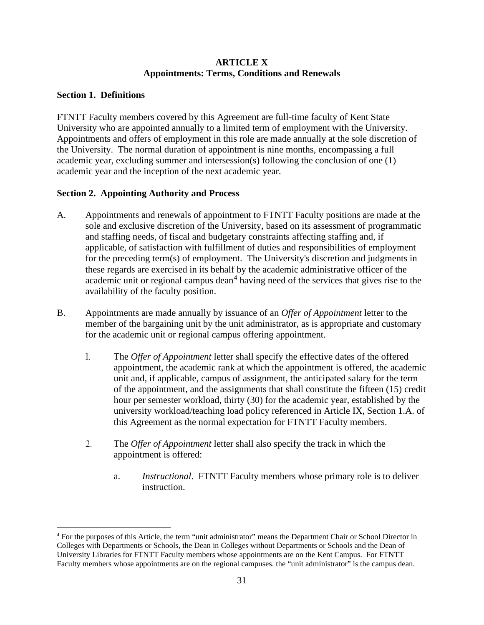#### **ARTICLE X Appointments: Terms, Conditions and Renewals**

# <span id="page-33-0"></span>**Section 1. Definitions**

FTNTT Faculty members covered by this Agreement are full-time faculty of Kent State University who are appointed annually to a limited term of employment with the University. Appointments and offers of employment in this role are made annually at the sole discretion of the University. The normal duration of appointment is nine months, encompassing a full academic year, excluding summer and intersession(s) following the conclusion of one (1) academic year and the inception of the next academic year.

# **Section 2. Appointing Authority and Process**

- A. Appointments and renewals of appointment to FTNTT Faculty positions are made at the sole and exclusive discretion of the University, based on its assessment of programmatic and staffing needs, of fiscal and budgetary constraints affecting staffing and, if applicable, of satisfaction with fulfillment of duties and responsibilities of employment for the preceding term(s) of employment. The University's discretion and judgments in these regards are exercised in its behalf by the academic administrative officer of the academic unit or regional campus dean<sup>[4](#page-33-1)</sup> having need of the services that gives rise to the availability of the faculty position.
- B. Appointments are made annually by issuance of an *Offer of Appointment* letter to the member of the bargaining unit by the unit administrator, as is appropriate and customary for the academic unit or regional campus offering appointment.
	- 1. The *Offer of Appointment* letter shall specify the effective dates of the offered appointment, the academic rank at which the appointment is offered, the academic unit and, if applicable, campus of assignment, the anticipated salary for the term of the appointment, and the assignments that shall constitute the fifteen (15) credit hour per semester workload, thirty (30) for the academic year, established by the university workload/teaching load policy referenced in Article IX, Section 1.A. of this Agreement as the normal expectation for FTNTT Faculty members.
	- 2. The *Offer of Appointment* letter shall also specify the track in which the appointment is offered:
		- a. *Instructional*. FTNTT Faculty members whose primary role is to deliver instruction.

<span id="page-33-1"></span><sup>4</sup> For the purposes of this Article, the term "unit administrator" means the Department Chair or School Director in Colleges with Departments or Schools, the Dean in Colleges without Departments or Schools and the Dean of University Libraries for FTNTT Faculty members whose appointments are on the Kent Campus. For FTNTT Faculty members whose appointments are on the regional campuses. the "unit administrator" is the campus dean.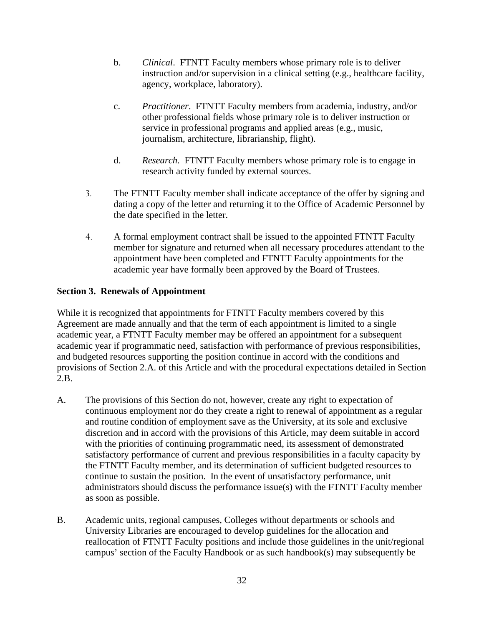- b. *Clinical*. FTNTT Faculty members whose primary role is to deliver instruction and/or supervision in a clinical setting (e.g., healthcare facility, agency, workplace, laboratory).
- c. *Practitioner*. FTNTT Faculty members from academia, industry, and/or other professional fields whose primary role is to deliver instruction or service in professional programs and applied areas (e.g., music, journalism, architecture, librarianship, flight).
- d. *Research*. FTNTT Faculty members whose primary role is to engage in research activity funded by external sources.
- 3. The FTNTT Faculty member shall indicate acceptance of the offer by signing and dating a copy of the letter and returning it to the Office of Academic Personnel by the date specified in the letter.
- 4. A formal employment contract shall be issued to the appointed FTNTT Faculty member for signature and returned when all necessary procedures attendant to the appointment have been completed and FTNTT Faculty appointments for the academic year have formally been approved by the Board of Trustees.

# **Section 3. Renewals of Appointment**

While it is recognized that appointments for FTNTT Faculty members covered by this Agreement are made annually and that the term of each appointment is limited to a single academic year, a FTNTT Faculty member may be offered an appointment for a subsequent academic year if programmatic need, satisfaction with performance of previous responsibilities, and budgeted resources supporting the position continue in accord with the conditions and provisions of Section 2.A. of this Article and with the procedural expectations detailed in Section 2.B.

- A. The provisions of this Section do not, however, create any right to expectation of continuous employment nor do they create a right to renewal of appointment as a regular and routine condition of employment save as the University, at its sole and exclusive discretion and in accord with the provisions of this Article, may deem suitable in accord with the priorities of continuing programmatic need, its assessment of demonstrated satisfactory performance of current and previous responsibilities in a faculty capacity by the FTNTT Faculty member, and its determination of sufficient budgeted resources to continue to sustain the position. In the event of unsatisfactory performance, unit administrators should discuss the performance issue(s) with the FTNTT Faculty member as soon as possible.
- B. Academic units, regional campuses, Colleges without departments or schools and University Libraries are encouraged to develop guidelines for the allocation and reallocation of FTNTT Faculty positions and include those guidelines in the unit/regional campus' section of the Faculty Handbook or as such handbook(s) may subsequently be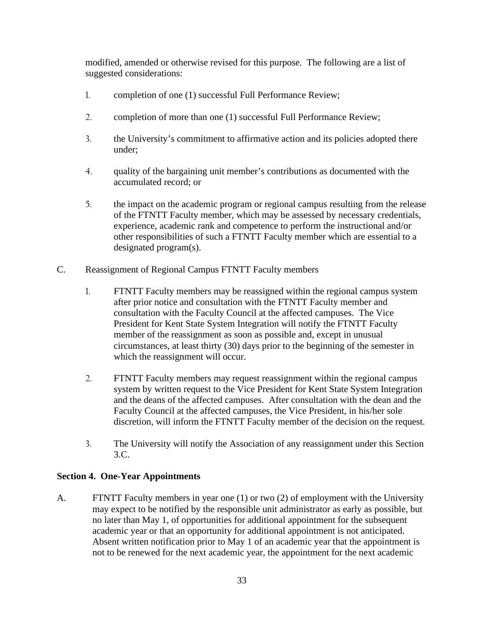modified, amended or otherwise revised for this purpose. The following are a list of suggested considerations:

- 1. completion of one (1) successful Full Performance Review;
- 2. completion of more than one (1) successful Full Performance Review;
- 3. the University's commitment to affirmative action and its policies adopted there under;
- 4. quality of the bargaining unit member's contributions as documented with the accumulated record; or
- 5. the impact on the academic program or regional campus resulting from the release of the FTNTT Faculty member, which may be assessed by necessary credentials, experience, academic rank and competence to perform the instructional and/or other responsibilities of such a FTNTT Faculty member which are essential to a designated program(s).
- C. Reassignment of Regional Campus FTNTT Faculty members
	- 1. FTNTT Faculty members may be reassigned within the regional campus system after prior notice and consultation with the FTNTT Faculty member and consultation with the Faculty Council at the affected campuses. The Vice President for Kent State System Integration will notify the FTNTT Faculty member of the reassignment as soon as possible and, except in unusual circumstances, at least thirty (30) days prior to the beginning of the semester in which the reassignment will occur.
	- 2. FTNTT Faculty members may request reassignment within the regional campus system by written request to the Vice President for Kent State System Integration and the deans of the affected campuses. After consultation with the dean and the Faculty Council at the affected campuses, the Vice President, in his/her sole discretion, will inform the FTNTT Faculty member of the decision on the request.
	- 3. The University will notify the Association of any reassignment under this Section 3.C.

#### **Section 4. One-Year Appointments**

A. FTNTT Faculty members in year one (1) or two (2) of employment with the University may expect to be notified by the responsible unit administrator as early as possible, but no later than May 1, of opportunities for additional appointment for the subsequent academic year or that an opportunity for additional appointment is not anticipated. Absent written notification prior to May 1 of an academic year that the appointment is not to be renewed for the next academic year, the appointment for the next academic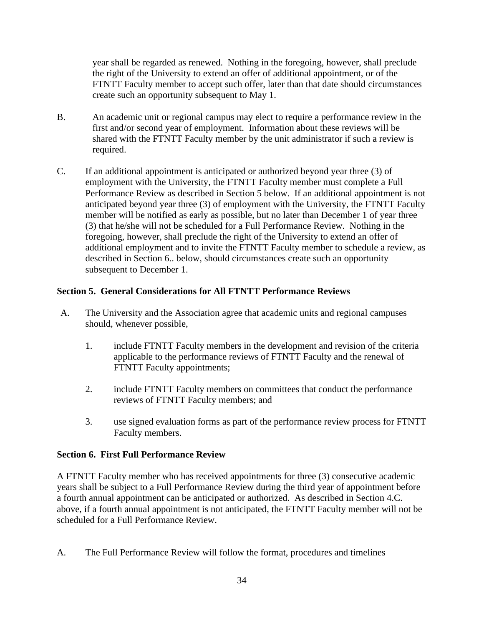year shall be regarded as renewed. Nothing in the foregoing, however, shall preclude the right of the University to extend an offer of additional appointment, or of the FTNTT Faculty member to accept such offer, later than that date should circumstances create such an opportunity subsequent to May 1.

- B. An academic unit or regional campus may elect to require a performance review in the first and/or second year of employment. Information about these reviews will be shared with the FTNTT Faculty member by the unit administrator if such a review is required.
- C. If an additional appointment is anticipated or authorized beyond year three (3) of employment with the University, the FTNTT Faculty member must complete a Full Performance Review as described in Section 5 below. If an additional appointment is not anticipated beyond year three (3) of employment with the University, the FTNTT Faculty member will be notified as early as possible, but no later than December 1 of year three (3) that he/she will not be scheduled for a Full Performance Review. Nothing in the foregoing, however, shall preclude the right of the University to extend an offer of additional employment and to invite the FTNTT Faculty member to schedule a review, as described in Section 6.. below, should circumstances create such an opportunity subsequent to December 1.

# **Section 5. General Considerations for All FTNTT Performance Reviews**

- A. The University and the Association agree that academic units and regional campuses should, whenever possible,
	- 1. include FTNTT Faculty members in the development and revision of the criteria applicable to the performance reviews of FTNTT Faculty and the renewal of FTNTT Faculty appointments;
	- 2. include FTNTT Faculty members on committees that conduct the performance reviews of FTNTT Faculty members; and
	- 3. use signed evaluation forms as part of the performance review process for FTNTT Faculty members.

#### **Section 6. First Full Performance Review**

A FTNTT Faculty member who has received appointments for three (3) consecutive academic years shall be subject to a Full Performance Review during the third year of appointment before a fourth annual appointment can be anticipated or authorized. As described in Section 4.C. above, if a fourth annual appointment is not anticipated, the FTNTT Faculty member will not be scheduled for a Full Performance Review.

A. The Full Performance Review will follow the format, procedures and timelines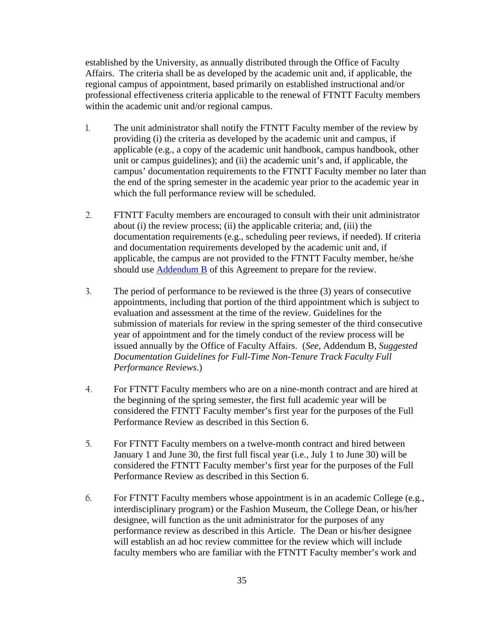established by the University, as annually distributed through the Office of Faculty Affairs. The criteria shall be as developed by the academic unit and, if applicable, the regional campus of appointment, based primarily on established instructional and/or professional effectiveness criteria applicable to the renewal of FTNTT Faculty members within the academic unit and/or regional campus.

- 1. The unit administrator shall notify the FTNTT Faculty member of the review by providing (i) the criteria as developed by the academic unit and campus, if applicable (e.g., a copy of the academic unit handbook, campus handbook, other unit or campus guidelines); and (ii) the academic unit's and, if applicable, the campus' documentation requirements to the FTNTT Faculty member no later than the end of the spring semester in the academic year prior to the academic year in which the full performance review will be scheduled.
- 2. FTNTT Faculty members are encouraged to consult with their unit administrator about (i) the review process; (ii) the applicable criteria; and, (iii) the documentation requirements (e.g., scheduling peer reviews, if needed). If criteria and documentation requirements developed by the academic unit and, if applicable, the campus are not provided to the FTNTT Faculty member, he/she should use [Addendum B](#page-71-0) of this Agreement to prepare for the review.
- 3. The period of performance to be reviewed is the three (3) years of consecutive appointments, including that portion of the third appointment which is subject to evaluation and assessment at the time of the review. Guidelines for the submission of materials for review in the spring semester of the third consecutive year of appointment and for the timely conduct of the review process will be issued annually by the Office of Faculty Affairs. (*See*, Addendum B, *Suggested Documentation Guidelines for Full-Time Non-Tenure Track Faculty Full Performance Reviews*.)
- 4. For FTNTT Faculty members who are on a nine-month contract and are hired at the beginning of the spring semester, the first full academic year will be considered the FTNTT Faculty member's first year for the purposes of the Full Performance Review as described in this Section 6.
- 5. For FTNTT Faculty members on a twelve-month contract and hired between January 1 and June 30, the first full fiscal year (i.e., July 1 to June 30) will be considered the FTNTT Faculty member's first year for the purposes of the Full Performance Review as described in this Section 6.
- 6. For FTNTT Faculty members whose appointment is in an academic College (e.g., interdisciplinary program) or the Fashion Museum, the College Dean, or his/her designee, will function as the unit administrator for the purposes of any performance review as described in this Article. The Dean or his/her designee will establish an ad hoc review committee for the review which will include faculty members who are familiar with the FTNTT Faculty member's work and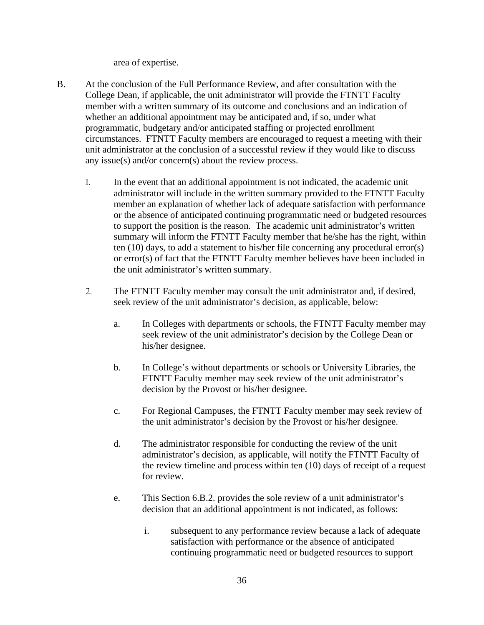area of expertise.

- B. At the conclusion of the Full Performance Review, and after consultation with the College Dean, if applicable, the unit administrator will provide the FTNTT Faculty member with a written summary of its outcome and conclusions and an indication of whether an additional appointment may be anticipated and, if so, under what programmatic, budgetary and/or anticipated staffing or projected enrollment circumstances. FTNTT Faculty members are encouraged to request a meeting with their unit administrator at the conclusion of a successful review if they would like to discuss any issue(s) and/or concern(s) about the review process.
	- 1. In the event that an additional appointment is not indicated, the academic unit administrator will include in the written summary provided to the FTNTT Faculty member an explanation of whether lack of adequate satisfaction with performance or the absence of anticipated continuing programmatic need or budgeted resources to support the position is the reason. The academic unit administrator's written summary will inform the FTNTT Faculty member that he/she has the right, within ten (10) days, to add a statement to his/her file concerning any procedural error(s) or error(s) of fact that the FTNTT Faculty member believes have been included in the unit administrator's written summary.
	- 2. The FTNTT Faculty member may consult the unit administrator and, if desired, seek review of the unit administrator's decision, as applicable, below:
		- a. In Colleges with departments or schools, the FTNTT Faculty member may seek review of the unit administrator's decision by the College Dean or his/her designee.
		- b. In College's without departments or schools or University Libraries, the FTNTT Faculty member may seek review of the unit administrator's decision by the Provost or his/her designee.
		- c. For Regional Campuses, the FTNTT Faculty member may seek review of the unit administrator's decision by the Provost or his/her designee.
		- d. The administrator responsible for conducting the review of the unit administrator's decision, as applicable, will notify the FTNTT Faculty of the review timeline and process within ten (10) days of receipt of a request for review.
		- e. This Section 6.B.2. provides the sole review of a unit administrator's decision that an additional appointment is not indicated, as follows:
			- i. subsequent to any performance review because a lack of adequate satisfaction with performance or the absence of anticipated continuing programmatic need or budgeted resources to support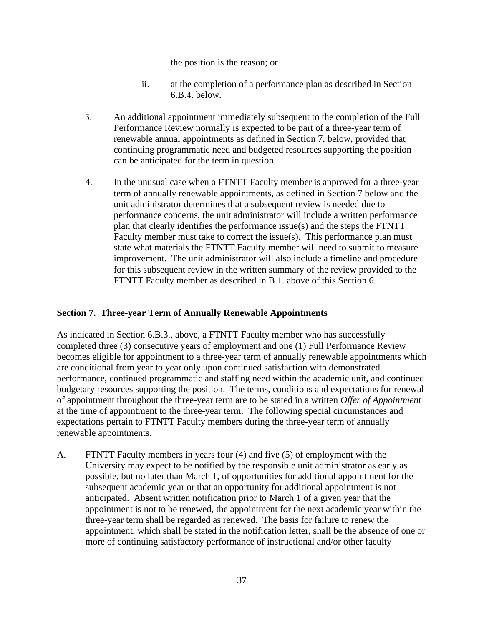#### the position is the reason; or

- ii. at the completion of a performance plan as described in Section 6.B.4. below.
- 3. An additional appointment immediately subsequent to the completion of the Full Performance Review normally is expected to be part of a three-year term of renewable annual appointments as defined in Section 7, below, provided that continuing programmatic need and budgeted resources supporting the position can be anticipated for the term in question.
- 4. In the unusual case when a FTNTT Faculty member is approved for a three-year term of annually renewable appointments, as defined in Section 7 below and the unit administrator determines that a subsequent review is needed due to performance concerns, the unit administrator will include a written performance plan that clearly identifies the performance issue(s) and the steps the FTNTT Faculty member must take to correct the issue(s). This performance plan must state what materials the FTNTT Faculty member will need to submit to measure improvement. The unit administrator will also include a timeline and procedure for this subsequent review in the written summary of the review provided to the FTNTT Faculty member as described in B.1. above of this Section 6.

## **Section 7. Three-year Term of Annually Renewable Appointments**

As indicated in Section 6.B.3., above, a FTNTT Faculty member who has successfully completed three (3) consecutive years of employment and one (1) Full Performance Review becomes eligible for appointment to a three-year term of annually renewable appointments which are conditional from year to year only upon continued satisfaction with demonstrated performance, continued programmatic and staffing need within the academic unit, and continued budgetary resources supporting the position. The terms, conditions and expectations for renewal of appointment throughout the three-year term are to be stated in a written *Offer of Appointment* at the time of appointment to the three-year term. The following special circumstances and expectations pertain to FTNTT Faculty members during the three-year term of annually renewable appointments.

A. FTNTT Faculty members in years four (4) and five (5) of employment with the University may expect to be notified by the responsible unit administrator as early as possible, but no later than March 1, of opportunities for additional appointment for the subsequent academic year or that an opportunity for additional appointment is not anticipated. Absent written notification prior to March 1 of a given year that the appointment is not to be renewed, the appointment for the next academic year within the three-year term shall be regarded as renewed. The basis for failure to renew the appointment, which shall be stated in the notification letter, shall be the absence of one or more of continuing satisfactory performance of instructional and/or other faculty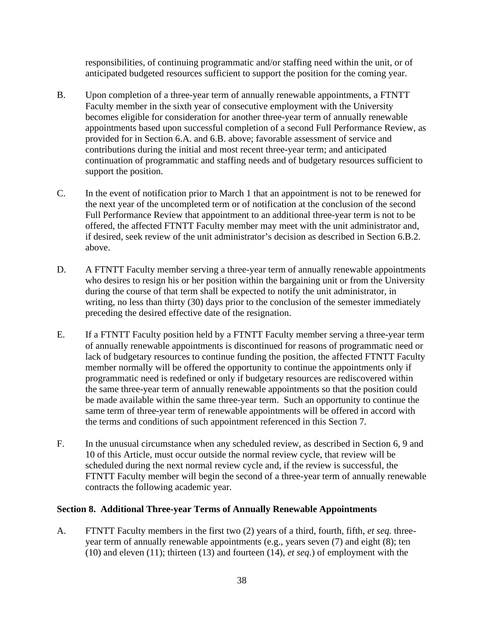responsibilities, of continuing programmatic and/or staffing need within the unit, or of anticipated budgeted resources sufficient to support the position for the coming year.

- B. Upon completion of a three-year term of annually renewable appointments, a FTNTT Faculty member in the sixth year of consecutive employment with the University becomes eligible for consideration for another three-year term of annually renewable appointments based upon successful completion of a second Full Performance Review, as provided for in Section 6.A. and 6.B. above; favorable assessment of service and contributions during the initial and most recent three-year term; and anticipated continuation of programmatic and staffing needs and of budgetary resources sufficient to support the position.
- C. In the event of notification prior to March 1 that an appointment is not to be renewed for the next year of the uncompleted term or of notification at the conclusion of the second Full Performance Review that appointment to an additional three-year term is not to be offered, the affected FTNTT Faculty member may meet with the unit administrator and, if desired, seek review of the unit administrator's decision as described in Section 6.B.2. above.
- D. A FTNTT Faculty member serving a three-year term of annually renewable appointments who desires to resign his or her position within the bargaining unit or from the University during the course of that term shall be expected to notify the unit administrator, in writing, no less than thirty (30) days prior to the conclusion of the semester immediately preceding the desired effective date of the resignation.
- E. If a FTNTT Faculty position held by a FTNTT Faculty member serving a three-year term of annually renewable appointments is discontinued for reasons of programmatic need or lack of budgetary resources to continue funding the position, the affected FTNTT Faculty member normally will be offered the opportunity to continue the appointments only if programmatic need is redefined or only if budgetary resources are rediscovered within the same three-year term of annually renewable appointments so that the position could be made available within the same three-year term. Such an opportunity to continue the same term of three-year term of renewable appointments will be offered in accord with the terms and conditions of such appointment referenced in this Section 7.
- F. In the unusual circumstance when any scheduled review, as described in Section 6, 9 and 10 of this Article, must occur outside the normal review cycle, that review will be scheduled during the next normal review cycle and, if the review is successful, the FTNTT Faculty member will begin the second of a three-year term of annually renewable contracts the following academic year.

#### **Section 8. Additional Three-year Terms of Annually Renewable Appointments**

A. FTNTT Faculty members in the first two (2) years of a third, fourth, fifth, *et seq.* threeyear term of annually renewable appointments (e.g., years seven (7) and eight (8); ten (10) and eleven (11); thirteen (13) and fourteen (14), *et seq.*) of employment with the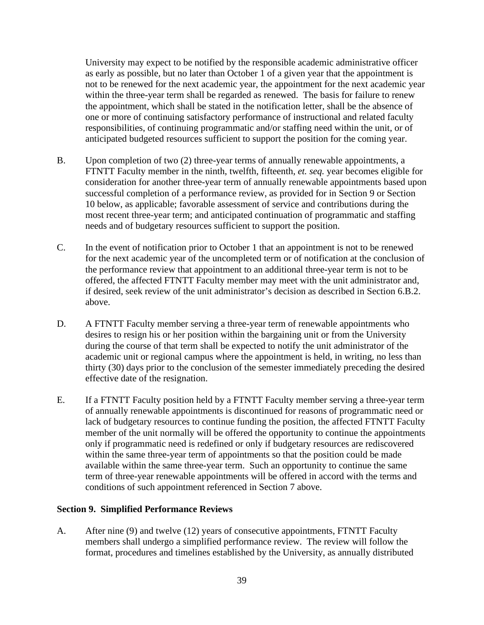University may expect to be notified by the responsible academic administrative officer as early as possible, but no later than October 1 of a given year that the appointment is not to be renewed for the next academic year, the appointment for the next academic year within the three-year term shall be regarded as renewed. The basis for failure to renew the appointment, which shall be stated in the notification letter, shall be the absence of one or more of continuing satisfactory performance of instructional and related faculty responsibilities, of continuing programmatic and/or staffing need within the unit, or of anticipated budgeted resources sufficient to support the position for the coming year.

- B. Upon completion of two (2) three-year terms of annually renewable appointments, a FTNTT Faculty member in the ninth, twelfth, fifteenth, *et. seq.* year becomes eligible for consideration for another three-year term of annually renewable appointments based upon successful completion of a performance review, as provided for in Section 9 or Section 10 below, as applicable; favorable assessment of service and contributions during the most recent three-year term; and anticipated continuation of programmatic and staffing needs and of budgetary resources sufficient to support the position.
- C. In the event of notification prior to October 1 that an appointment is not to be renewed for the next academic year of the uncompleted term or of notification at the conclusion of the performance review that appointment to an additional three-year term is not to be offered, the affected FTNTT Faculty member may meet with the unit administrator and, if desired, seek review of the unit administrator's decision as described in Section 6.B.2. above.
- D. A FTNTT Faculty member serving a three-year term of renewable appointments who desires to resign his or her position within the bargaining unit or from the University during the course of that term shall be expected to notify the unit administrator of the academic unit or regional campus where the appointment is held, in writing, no less than thirty (30) days prior to the conclusion of the semester immediately preceding the desired effective date of the resignation.
- E. If a FTNTT Faculty position held by a FTNTT Faculty member serving a three-year term of annually renewable appointments is discontinued for reasons of programmatic need or lack of budgetary resources to continue funding the position, the affected FTNTT Faculty member of the unit normally will be offered the opportunity to continue the appointments only if programmatic need is redefined or only if budgetary resources are rediscovered within the same three-year term of appointments so that the position could be made available within the same three-year term. Such an opportunity to continue the same term of three-year renewable appointments will be offered in accord with the terms and conditions of such appointment referenced in Section 7 above.

#### **Section 9. Simplified Performance Reviews**

A. After nine (9) and twelve (12) years of consecutive appointments, FTNTT Faculty members shall undergo a simplified performance review. The review will follow the format, procedures and timelines established by the University, as annually distributed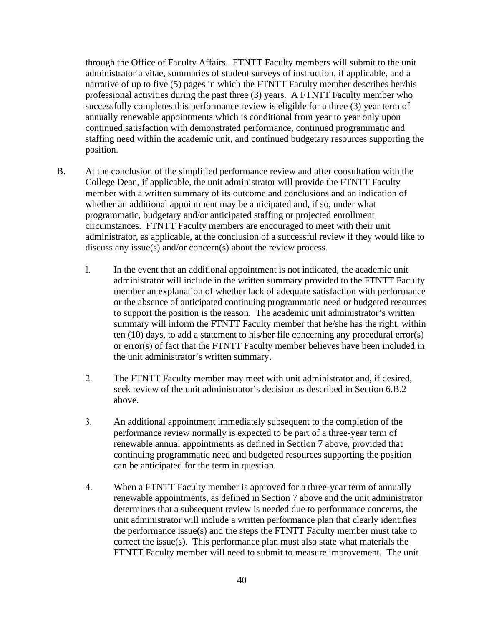through the Office of Faculty Affairs. FTNTT Faculty members will submit to the unit administrator a vitae, summaries of student surveys of instruction, if applicable, and a narrative of up to five (5) pages in which the FTNTT Faculty member describes her/his professional activities during the past three (3) years. A FTNTT Faculty member who successfully completes this performance review is eligible for a three (3) year term of annually renewable appointments which is conditional from year to year only upon continued satisfaction with demonstrated performance, continued programmatic and staffing need within the academic unit, and continued budgetary resources supporting the position.

- B. At the conclusion of the simplified performance review and after consultation with the College Dean, if applicable, the unit administrator will provide the FTNTT Faculty member with a written summary of its outcome and conclusions and an indication of whether an additional appointment may be anticipated and, if so, under what programmatic, budgetary and/or anticipated staffing or projected enrollment circumstances. FTNTT Faculty members are encouraged to meet with their unit administrator, as applicable, at the conclusion of a successful review if they would like to discuss any issue(s) and/or concern(s) about the review process.
	- 1. In the event that an additional appointment is not indicated, the academic unit administrator will include in the written summary provided to the FTNTT Faculty member an explanation of whether lack of adequate satisfaction with performance or the absence of anticipated continuing programmatic need or budgeted resources to support the position is the reason. The academic unit administrator's written summary will inform the FTNTT Faculty member that he/she has the right, within ten (10) days, to add a statement to his/her file concerning any procedural error(s) or error(s) of fact that the FTNTT Faculty member believes have been included in the unit administrator's written summary.
	- 2. The FTNTT Faculty member may meet with unit administrator and, if desired, seek review of the unit administrator's decision as described in Section 6.B.2 above.
	- 3. An additional appointment immediately subsequent to the completion of the performance review normally is expected to be part of a three-year term of renewable annual appointments as defined in Section 7 above, provided that continuing programmatic need and budgeted resources supporting the position can be anticipated for the term in question.
	- 4. When a FTNTT Faculty member is approved for a three-year term of annually renewable appointments, as defined in Section 7 above and the unit administrator determines that a subsequent review is needed due to performance concerns, the unit administrator will include a written performance plan that clearly identifies the performance issue(s) and the steps the FTNTT Faculty member must take to correct the issue(s). This performance plan must also state what materials the FTNTT Faculty member will need to submit to measure improvement. The unit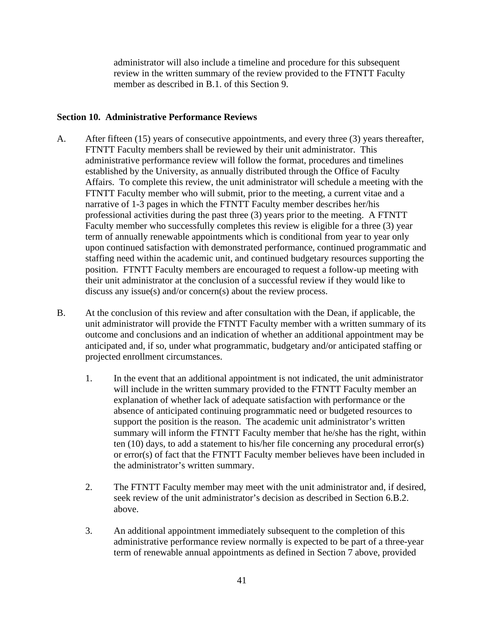administrator will also include a timeline and procedure for this subsequent review in the written summary of the review provided to the FTNTT Faculty member as described in B.1. of this Section 9.

## **Section 10. Administrative Performance Reviews**

- A. After fifteen (15) years of consecutive appointments, and every three (3) years thereafter, FTNTT Faculty members shall be reviewed by their unit administrator. This administrative performance review will follow the format, procedures and timelines established by the University, as annually distributed through the Office of Faculty Affairs. To complete this review, the unit administrator will schedule a meeting with the FTNTT Faculty member who will submit, prior to the meeting, a current vitae and a narrative of 1-3 pages in which the FTNTT Faculty member describes her/his professional activities during the past three (3) years prior to the meeting. A FTNTT Faculty member who successfully completes this review is eligible for a three (3) year term of annually renewable appointments which is conditional from year to year only upon continued satisfaction with demonstrated performance, continued programmatic and staffing need within the academic unit, and continued budgetary resources supporting the position. FTNTT Faculty members are encouraged to request a follow-up meeting with their unit administrator at the conclusion of a successful review if they would like to discuss any issue(s) and/or concern(s) about the review process.
- B. At the conclusion of this review and after consultation with the Dean, if applicable, the unit administrator will provide the FTNTT Faculty member with a written summary of its outcome and conclusions and an indication of whether an additional appointment may be anticipated and, if so, under what programmatic, budgetary and/or anticipated staffing or projected enrollment circumstances.
	- 1. In the event that an additional appointment is not indicated, the unit administrator will include in the written summary provided to the FTNTT Faculty member an explanation of whether lack of adequate satisfaction with performance or the absence of anticipated continuing programmatic need or budgeted resources to support the position is the reason. The academic unit administrator's written summary will inform the FTNTT Faculty member that he/she has the right, within ten (10) days, to add a statement to his/her file concerning any procedural error(s) or error(s) of fact that the FTNTT Faculty member believes have been included in the administrator's written summary.
	- 2. The FTNTT Faculty member may meet with the unit administrator and, if desired, seek review of the unit administrator's decision as described in Section 6.B.2. above.
	- 3. An additional appointment immediately subsequent to the completion of this administrative performance review normally is expected to be part of a three-year term of renewable annual appointments as defined in Section 7 above, provided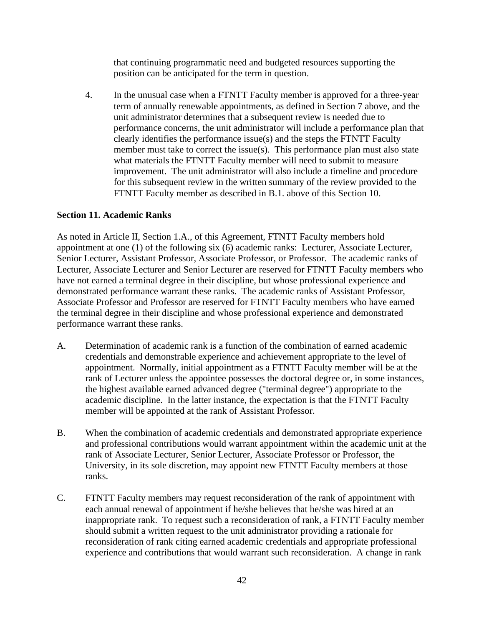that continuing programmatic need and budgeted resources supporting the position can be anticipated for the term in question.

4. In the unusual case when a FTNTT Faculty member is approved for a three-year term of annually renewable appointments, as defined in Section 7 above, and the unit administrator determines that a subsequent review is needed due to performance concerns, the unit administrator will include a performance plan that clearly identifies the performance issue(s) and the steps the FTNTT Faculty member must take to correct the issue(s). This performance plan must also state what materials the FTNTT Faculty member will need to submit to measure improvement. The unit administrator will also include a timeline and procedure for this subsequent review in the written summary of the review provided to the FTNTT Faculty member as described in B.1. above of this Section 10.

## **Section 11. Academic Ranks**

As noted in Article II, Section 1.A., of this Agreement, FTNTT Faculty members hold appointment at one (1) of the following six (6) academic ranks: Lecturer, Associate Lecturer, Senior Lecturer, Assistant Professor, Associate Professor, or Professor. The academic ranks of Lecturer, Associate Lecturer and Senior Lecturer are reserved for FTNTT Faculty members who have not earned a terminal degree in their discipline, but whose professional experience and demonstrated performance warrant these ranks. The academic ranks of Assistant Professor, Associate Professor and Professor are reserved for FTNTT Faculty members who have earned the terminal degree in their discipline and whose professional experience and demonstrated performance warrant these ranks.

- A. Determination of academic rank is a function of the combination of earned academic credentials and demonstrable experience and achievement appropriate to the level of appointment. Normally, initial appointment as a FTNTT Faculty member will be at the rank of Lecturer unless the appointee possesses the doctoral degree or, in some instances, the highest available earned advanced degree ("terminal degree") appropriate to the academic discipline. In the latter instance, the expectation is that the FTNTT Faculty member will be appointed at the rank of Assistant Professor.
- B. When the combination of academic credentials and demonstrated appropriate experience and professional contributions would warrant appointment within the academic unit at the rank of Associate Lecturer, Senior Lecturer, Associate Professor or Professor, the University, in its sole discretion, may appoint new FTNTT Faculty members at those ranks.
- C. FTNTT Faculty members may request reconsideration of the rank of appointment with each annual renewal of appointment if he/she believes that he/she was hired at an inappropriate rank. To request such a reconsideration of rank, a FTNTT Faculty member should submit a written request to the unit administrator providing a rationale for reconsideration of rank citing earned academic credentials and appropriate professional experience and contributions that would warrant such reconsideration. A change in rank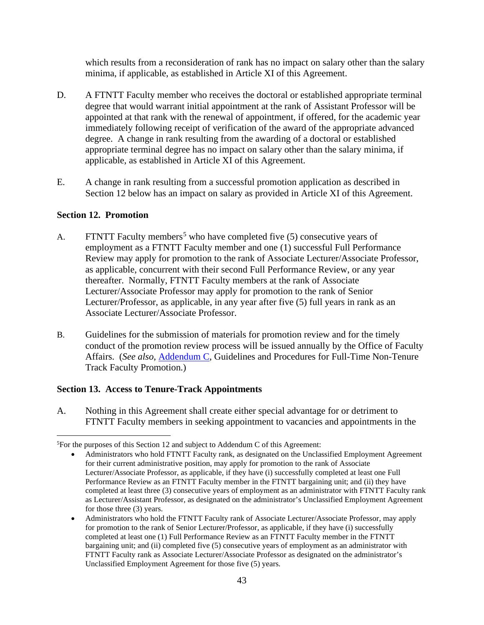which results from a reconsideration of rank has no impact on salary other than the salary minima, if applicable, as established in Article XI of this Agreement.

- D. A FTNTT Faculty member who receives the doctoral or established appropriate terminal degree that would warrant initial appointment at the rank of Assistant Professor will be appointed at that rank with the renewal of appointment, if offered, for the academic year immediately following receipt of verification of the award of the appropriate advanced degree. A change in rank resulting from the awarding of a doctoral or established appropriate terminal degree has no impact on salary other than the salary minima, if applicable, as established in Article XI of this Agreement.
- E. A change in rank resulting from a successful promotion application as described in Section 12 below has an impact on salary as provided in Article XI of this Agreement.

## **Section 12. Promotion**

- A. FTNTT Faculty members<sup>[5](#page-45-0)</sup> who have completed five (5) consecutive years of employment as a FTNTT Faculty member and one (1) successful Full Performance Review may apply for promotion to the rank of Associate Lecturer/Associate Professor, as applicable, concurrent with their second Full Performance Review, or any year thereafter. Normally, FTNTT Faculty members at the rank of Associate Lecturer/Associate Professor may apply for promotion to the rank of Senior Lecturer/Professor, as applicable, in any year after five (5) full years in rank as an Associate Lecturer/Associate Professor.
- B. Guidelines for the submission of materials for promotion review and for the timely conduct of the promotion review process will be issued annually by the Office of Faculty Affairs. (*See also*, [Addendum C,](#page-72-0) Guidelines and Procedures for Full-Time Non-Tenure Track Faculty Promotion.)

# **Section 13. Access to Tenure-Track Appointments**

A. Nothing in this Agreement shall create either special advantage for or detriment to FTNTT Faculty members in seeking appointment to vacancies and appointments in the

<span id="page-45-0"></span> $5$ For the purposes of this Section 12 and subject to Addendum C of this Agreement:

<sup>•</sup> Administrators who hold FTNTT Faculty rank, as designated on the Unclassified Employment Agreement for their current administrative position, may apply for promotion to the rank of Associate Lecturer/Associate Professor, as applicable, if they have (i) successfully completed at least one Full Performance Review as an FTNTT Faculty member in the FTNTT bargaining unit; and (ii) they have completed at least three (3) consecutive years of employment as an administrator with FTNTT Faculty rank as Lecturer/Assistant Professor, as designated on the administrator's Unclassified Employment Agreement for those three (3) years.

<sup>•</sup> Administrators who hold the FTNTT Faculty rank of Associate Lecturer/Associate Professor, may apply for promotion to the rank of Senior Lecturer/Professor, as applicable, if they have (i) successfully completed at least one (1) Full Performance Review as an FTNTT Faculty member in the FTNTT bargaining unit; and (ii) completed five (5) consecutive years of employment as an administrator with FTNTT Faculty rank as Associate Lecturer/Associate Professor as designated on the administrator's Unclassified Employment Agreement for those five (5) years.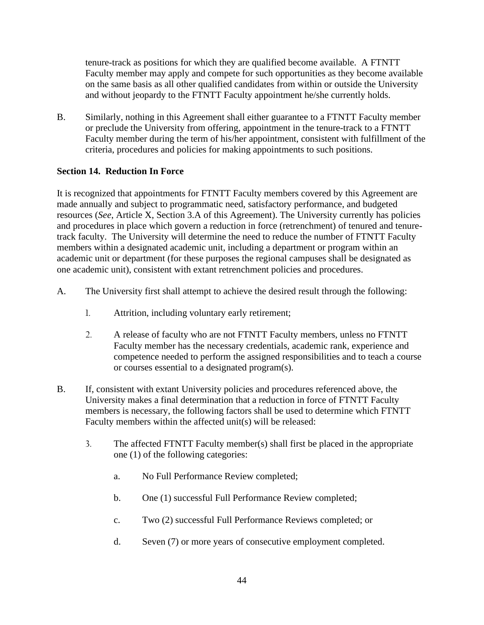tenure-track as positions for which they are qualified become available. A FTNTT Faculty member may apply and compete for such opportunities as they become available on the same basis as all other qualified candidates from within or outside the University and without jeopardy to the FTNTT Faculty appointment he/she currently holds.

B. Similarly, nothing in this Agreement shall either guarantee to a FTNTT Faculty member or preclude the University from offering, appointment in the tenure-track to a FTNTT Faculty member during the term of his/her appointment, consistent with fulfillment of the criteria, procedures and policies for making appointments to such positions.

# **Section 14. Reduction In Force**

It is recognized that appointments for FTNTT Faculty members covered by this Agreement are made annually and subject to programmatic need, satisfactory performance, and budgeted resources (*See*, Article X, Section 3.A of this Agreement). The University currently has policies and procedures in place which govern a reduction in force (retrenchment) of tenured and tenuretrack faculty. The University will determine the need to reduce the number of FTNTT Faculty members within a designated academic unit, including a department or program within an academic unit or department (for these purposes the regional campuses shall be designated as one academic unit), consistent with extant retrenchment policies and procedures.

- A. The University first shall attempt to achieve the desired result through the following:
	- 1. Attrition, including voluntary early retirement;
	- 2. A release of faculty who are not FTNTT Faculty members, unless no FTNTT Faculty member has the necessary credentials, academic rank, experience and competence needed to perform the assigned responsibilities and to teach a course or courses essential to a designated program(s).
- B. If, consistent with extant University policies and procedures referenced above, the University makes a final determination that a reduction in force of FTNTT Faculty members is necessary, the following factors shall be used to determine which FTNTT Faculty members within the affected unit(s) will be released:
	- 3. The affected FTNTT Faculty member(s) shall first be placed in the appropriate one (1) of the following categories:
		- a. No Full Performance Review completed;
		- b. One (1) successful Full Performance Review completed;
		- c. Two (2) successful Full Performance Reviews completed; or
		- d. Seven (7) or more years of consecutive employment completed.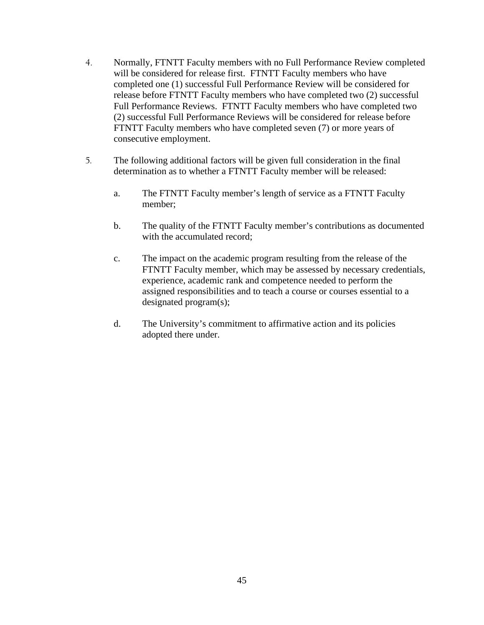- 4. Normally, FTNTT Faculty members with no Full Performance Review completed will be considered for release first. FTNTT Faculty members who have completed one (1) successful Full Performance Review will be considered for release before FTNTT Faculty members who have completed two (2) successful Full Performance Reviews. FTNTT Faculty members who have completed two (2) successful Full Performance Reviews will be considered for release before FTNTT Faculty members who have completed seven (7) or more years of consecutive employment.
- 5. The following additional factors will be given full consideration in the final determination as to whether a FTNTT Faculty member will be released:
	- a. The FTNTT Faculty member's length of service as a FTNTT Faculty member;
	- b. The quality of the FTNTT Faculty member's contributions as documented with the accumulated record:
	- c. The impact on the academic program resulting from the release of the FTNTT Faculty member, which may be assessed by necessary credentials, experience, academic rank and competence needed to perform the assigned responsibilities and to teach a course or courses essential to a designated program(s);
	- d. The University's commitment to affirmative action and its policies adopted there under.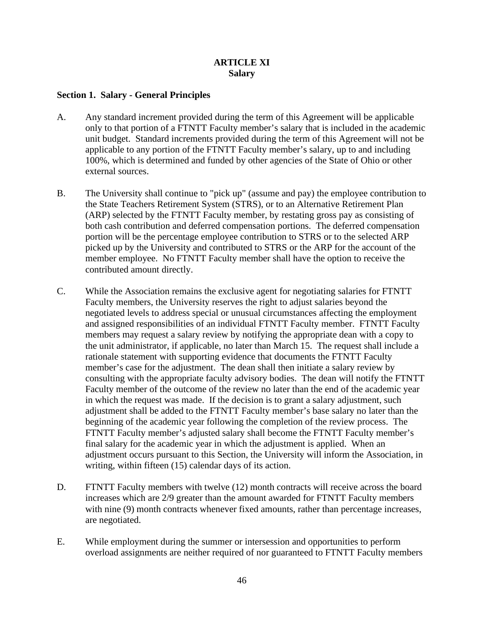## **ARTICLE XI Salary**

#### **Section 1. Salary - General Principles**

- A. Any standard increment provided during the term of this Agreement will be applicable only to that portion of a FTNTT Faculty member's salary that is included in the academic unit budget. Standard increments provided during the term of this Agreement will not be applicable to any portion of the FTNTT Faculty member's salary, up to and including 100%, which is determined and funded by other agencies of the State of Ohio or other external sources.
- B. The University shall continue to "pick up" (assume and pay) the employee contribution to the State Teachers Retirement System (STRS), or to an Alternative Retirement Plan (ARP) selected by the FTNTT Faculty member, by restating gross pay as consisting of both cash contribution and deferred compensation portions. The deferred compensation portion will be the percentage employee contribution to STRS or to the selected ARP picked up by the University and contributed to STRS or the ARP for the account of the member employee. No FTNTT Faculty member shall have the option to receive the contributed amount directly.
- C. While the Association remains the exclusive agent for negotiating salaries for FTNTT Faculty members, the University reserves the right to adjust salaries beyond the negotiated levels to address special or unusual circumstances affecting the employment and assigned responsibilities of an individual FTNTT Faculty member. FTNTT Faculty members may request a salary review by notifying the appropriate dean with a copy to the unit administrator, if applicable, no later than March 15. The request shall include a rationale statement with supporting evidence that documents the FTNTT Faculty member's case for the adjustment. The dean shall then initiate a salary review by consulting with the appropriate faculty advisory bodies. The dean will notify the FTNTT Faculty member of the outcome of the review no later than the end of the academic year in which the request was made. If the decision is to grant a salary adjustment, such adjustment shall be added to the FTNTT Faculty member's base salary no later than the beginning of the academic year following the completion of the review process. The FTNTT Faculty member's adjusted salary shall become the FTNTT Faculty member's final salary for the academic year in which the adjustment is applied. When an adjustment occurs pursuant to this Section, the University will inform the Association, in writing, within fifteen (15) calendar days of its action.
- D. FTNTT Faculty members with twelve (12) month contracts will receive across the board increases which are 2/9 greater than the amount awarded for FTNTT Faculty members with nine (9) month contracts whenever fixed amounts, rather than percentage increases, are negotiated.
- E. While employment during the summer or intersession and opportunities to perform overload assignments are neither required of nor guaranteed to FTNTT Faculty members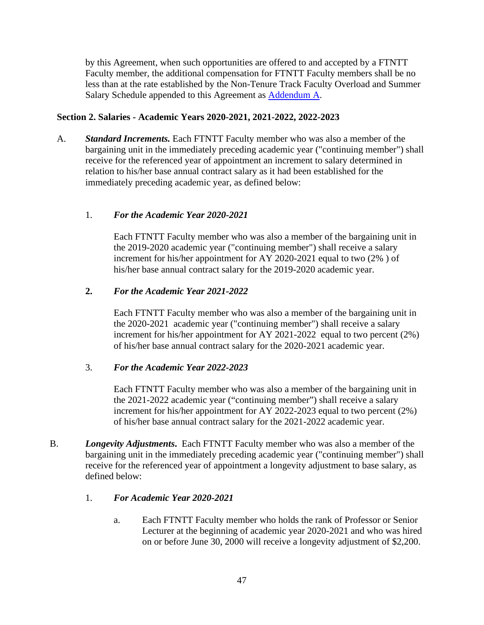by this Agreement, when such opportunities are offered to and accepted by a FTNTT Faculty member, the additional compensation for FTNTT Faculty members shall be no less than at the rate established by the Non-Tenure Track Faculty Overload and Summer Salary Schedule appended to this Agreement as **Addendum A.** 

# **Section 2. Salaries - Academic Years 2020-2021, 2021-2022, 2022-2023**

A. *Standard Increments.* Each FTNTT Faculty member who was also a member of the bargaining unit in the immediately preceding academic year ("continuing member") shall receive for the referenced year of appointment an increment to salary determined in relation to his/her base annual contract salary as it had been established for the immediately preceding academic year, as defined below:

## 1. *For the Academic Year 2020-2021*

Each FTNTT Faculty member who was also a member of the bargaining unit in the 2019-2020 academic year ("continuing member") shall receive a salary increment for his/her appointment for AY 2020-2021 equal to two (2% ) of his/her base annual contract salary for the 2019-2020 academic year.

## **2.** *For the Academic Year 2021-2022*

Each FTNTT Faculty member who was also a member of the bargaining unit in the 2020-2021 academic year ("continuing member") shall receive a salary increment for his/her appointment for AY 2021-2022 equal to two percent (2%) of his/her base annual contract salary for the 2020-2021 academic year.

#### 3. *For the Academic Year 2022-2023*

Each FTNTT Faculty member who was also a member of the bargaining unit in the 2021-2022 academic year ("continuing member") shall receive a salary increment for his/her appointment for AY 2022-2023 equal to two percent (2%) of his/her base annual contract salary for the 2021-2022 academic year.

B. *Longevity Adjustments***.** Each FTNTT Faculty member who was also a member of the bargaining unit in the immediately preceding academic year ("continuing member") shall receive for the referenced year of appointment a longevity adjustment to base salary, as defined below:

#### 1. *For Academic Year 2020-2021*

a. Each FTNTT Faculty member who holds the rank of Professor or Senior Lecturer at the beginning of academic year 2020-2021 and who was hired on or before June 30, 2000 will receive a longevity adjustment of \$2,200.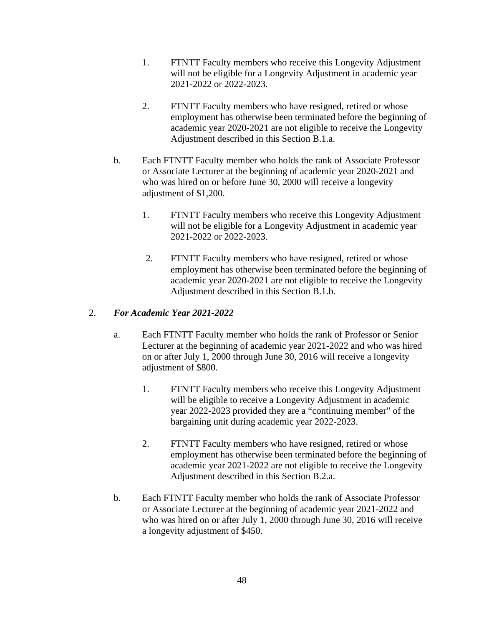- 1. FTNTT Faculty members who receive this Longevity Adjustment will not be eligible for a Longevity Adjustment in academic year 2021-2022 or 2022-2023.
- 2. FTNTT Faculty members who have resigned, retired or whose employment has otherwise been terminated before the beginning of academic year 2020-2021 are not eligible to receive the Longevity Adjustment described in this Section B.1.a.
- b. Each FTNTT Faculty member who holds the rank of Associate Professor or Associate Lecturer at the beginning of academic year 2020-2021 and who was hired on or before June 30, 2000 will receive a longevity adjustment of \$1,200.
	- 1. FTNTT Faculty members who receive this Longevity Adjustment will not be eligible for a Longevity Adjustment in academic year 2021-2022 or 2022-2023.
	- 2. FTNTT Faculty members who have resigned, retired or whose employment has otherwise been terminated before the beginning of academic year 2020-2021 are not eligible to receive the Longevity Adjustment described in this Section B.1.b.

# 2. *For Academic Year 2021-2022*

- a. Each FTNTT Faculty member who holds the rank of Professor or Senior Lecturer at the beginning of academic year 2021-2022 and who was hired on or after July 1, 2000 through June 30, 2016 will receive a longevity adjustment of \$800.
	- 1. FTNTT Faculty members who receive this Longevity Adjustment will be eligible to receive a Longevity Adjustment in academic year 2022-2023 provided they are a "continuing member" of the bargaining unit during academic year 2022-2023.
	- 2. FTNTT Faculty members who have resigned, retired or whose employment has otherwise been terminated before the beginning of academic year 2021-2022 are not eligible to receive the Longevity Adjustment described in this Section B.2.a.
- b. Each FTNTT Faculty member who holds the rank of Associate Professor or Associate Lecturer at the beginning of academic year 2021-2022 and who was hired on or after July 1, 2000 through June 30, 2016 will receive a longevity adjustment of \$450.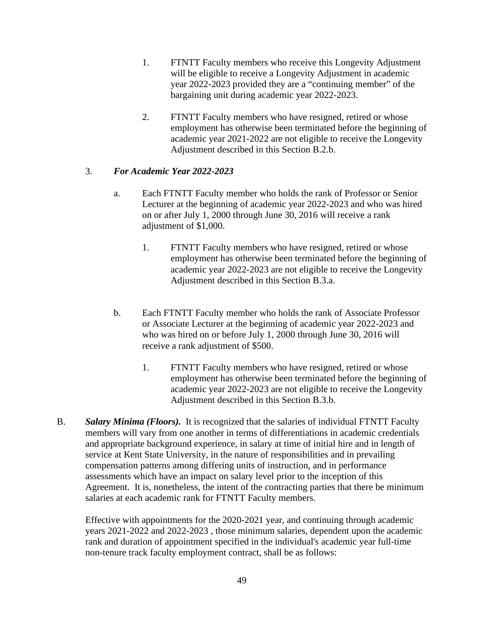- 1. FTNTT Faculty members who receive this Longevity Adjustment will be eligible to receive a Longevity Adjustment in academic year 2022-2023 provided they are a "continuing member" of the bargaining unit during academic year 2022-2023.
- 2. FTNTT Faculty members who have resigned, retired or whose employment has otherwise been terminated before the beginning of academic year 2021-2022 are not eligible to receive the Longevity Adjustment described in this Section B.2.b.

# 3. *For Academic Year 2022-2023*

- a. Each FTNTT Faculty member who holds the rank of Professor or Senior Lecturer at the beginning of academic year 2022-2023 and who was hired on or after July 1, 2000 through June 30, 2016 will receive a rank adjustment of \$1,000.
	- 1. FTNTT Faculty members who have resigned, retired or whose employment has otherwise been terminated before the beginning of academic year 2022-2023 are not eligible to receive the Longevity Adjustment described in this Section B.3.a.
- b. Each FTNTT Faculty member who holds the rank of Associate Professor or Associate Lecturer at the beginning of academic year 2022-2023 and who was hired on or before July 1, 2000 through June 30, 2016 will receive a rank adjustment of \$500.
	- 1. FTNTT Faculty members who have resigned, retired or whose employment has otherwise been terminated before the beginning of academic year 2022-2023 are not eligible to receive the Longevity Adjustment described in this Section B.3.b.
- B. *Salary Minima (Floors).* It is recognized that the salaries of individual FTNTT Faculty members will vary from one another in terms of differentiations in academic credentials and appropriate background experience, in salary at time of initial hire and in length of service at Kent State University, in the nature of responsibilities and in prevailing compensation patterns among differing units of instruction, and in performance assessments which have an impact on salary level prior to the inception of this Agreement. It is, nonetheless, the intent of the contracting parties that there be minimum salaries at each academic rank for FTNTT Faculty members.

Effective with appointments for the 2020-2021 year, and continuing through academic years 2021-2022 and 2022-2023 , those minimum salaries, dependent upon the academic rank and duration of appointment specified in the individual's academic year full-time non-tenure track faculty employment contract, shall be as follows: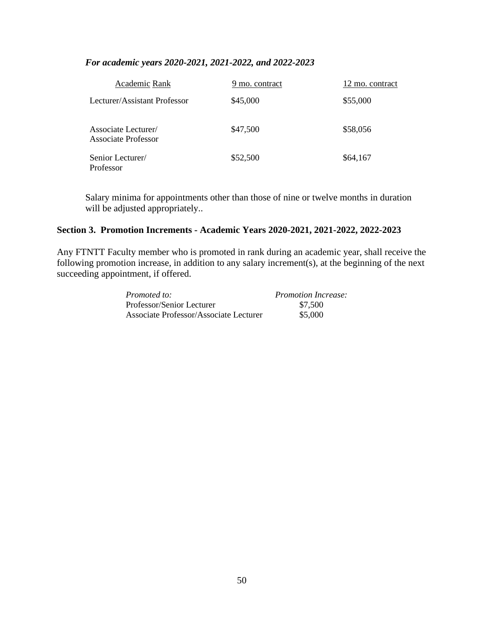# *For academic years 2020-2021, 2021-2022, and 2022-2023*

| Academic Rank                                             | 9 mo. contract | 12 mo. contract |
|-----------------------------------------------------------|----------------|-----------------|
| Lecturer/Assistant Professor                              | \$45,000       | \$55,000        |
| <b>Associate Lecturer</b> /<br><b>Associate Professor</b> | \$47,500       | \$58,056        |
| Senior Lecturer/<br>Professor                             | \$52,500       | \$64,167        |

Salary minima for appointments other than those of nine or twelve months in duration will be adjusted appropriately..

#### **Section 3. Promotion Increments - Academic Years 2020-2021, 2021-2022, 2022-2023**

Any FTNTT Faculty member who is promoted in rank during an academic year, shall receive the following promotion increase, in addition to any salary increment(s), at the beginning of the next succeeding appointment, if offered.

| Promoted to:                           | <b>Promotion Increase:</b> |
|----------------------------------------|----------------------------|
| Professor/Senior Lecturer              | \$7,500                    |
| Associate Professor/Associate Lecturer | \$5,000                    |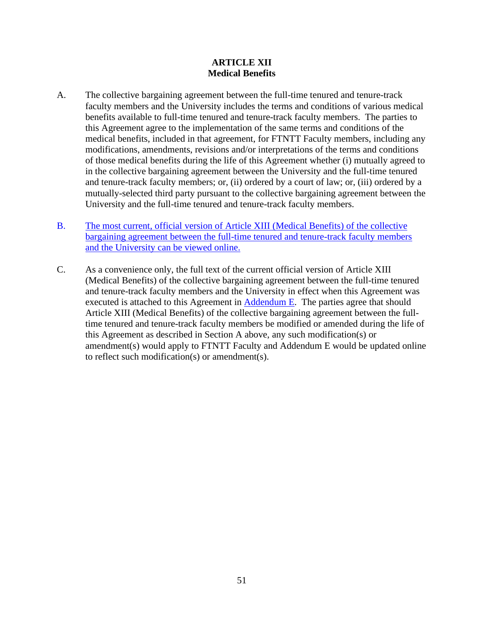# **ARTICLE XII Medical Benefits**

- A. The collective bargaining agreement between the full-time tenured and tenure-track faculty members and the University includes the terms and conditions of various medical benefits available to full-time tenured and tenure-track faculty members. The parties to this Agreement agree to the implementation of the same terms and conditions of the medical benefits, included in that agreement, for FTNTT Faculty members, including any modifications, amendments, revisions and/or interpretations of the terms and conditions of those medical benefits during the life of this Agreement whether (i) mutually agreed to in the collective bargaining agreement between the University and the full-time tenured and tenure-track faculty members; or, (ii) ordered by a court of law; or, (iii) ordered by a mutually-selected third party pursuant to the collective bargaining agreement between the University and the full-time tenured and tenure-track faculty members.
- B. [The most current, official version of Article XIII \(Medical Benefits\) of the collective](https://www.kent.edu/sites/default/files/file/2019%20CBA%20-With%20Signatures.pdf)  [bargaining agreement between the full-time tenured and tenure-track faculty members](https://www.kent.edu/sites/default/files/file/2019%20CBA%20-With%20Signatures.pdf)  [and the University can be viewed online.](https://www.kent.edu/sites/default/files/file/2019%20CBA%20-With%20Signatures.pdf)
- C. As a convenience only, the full text of the current official version of Article XIII (Medical Benefits) of the collective bargaining agreement between the full-time tenured and tenure-track faculty members and the University in effect when this Agreement was executed is attached to this Agreement in [Addendum E.](#page-76-0) The parties agree that should Article XIII (Medical Benefits) of the collective bargaining agreement between the fulltime tenured and tenure-track faculty members be modified or amended during the life of this Agreement as described in Section A above, any such modification(s) or amendment(s) would apply to FTNTT Faculty and Addendum E would be updated online to reflect such modification(s) or amendment(s).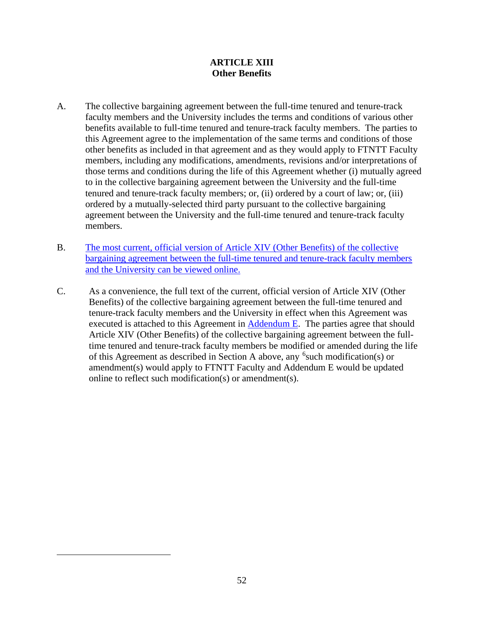# **ARTICLE XIII Other Benefits**

- A. The collective bargaining agreement between the full-time tenured and tenure-track faculty members and the University includes the terms and conditions of various other benefits available to full-time tenured and tenure-track faculty members. The parties to this Agreement agree to the implementation of the same terms and conditions of those other benefits as included in that agreement and as they would apply to FTNTT Faculty members, including any modifications, amendments, revisions and/or interpretations of those terms and conditions during the life of this Agreement whether (i) mutually agreed to in the collective bargaining agreement between the University and the full-time tenured and tenure-track faculty members; or, (ii) ordered by a court of law; or, (iii) ordered by a mutually-selected third party pursuant to the collective bargaining agreement between the University and the full-time tenured and tenure-track faculty members.
- B. [The most current, official version of Article XIV \(Other Benefits\) of the collective](https://www.kent.edu/sites/default/files/file/2019%20CBA%20-With%20Signatures.pdf)  [bargaining agreement between the full-time tenured and tenure-track faculty members](https://www.kent.edu/sites/default/files/file/2019%20CBA%20-With%20Signatures.pdf)  [and the University can be viewed online.](https://www.kent.edu/sites/default/files/file/2019%20CBA%20-With%20Signatures.pdf)
- <span id="page-54-0"></span>C. As a convenience, the full text of the current, official version of Article XIV (Other Benefits) of the collective bargaining agreement between the full-time tenured and tenure-track faculty members and the University in effect when this Agreement was executed is attached to this Agreement in [Addendum E.](#page-76-0) The parties agree that should Article XIV (Other Benefits) of the collective bargaining agreement between the fulltime tenured and tenure-track faculty members be modified or amended during the life of this Agreement as described in Section A above, any <sup>[6](#page-54-0)</sup> such modification(s) or amendment(s) would apply to FTNTT Faculty and Addendum E would be updated online to reflect such modification(s) or amendment(s).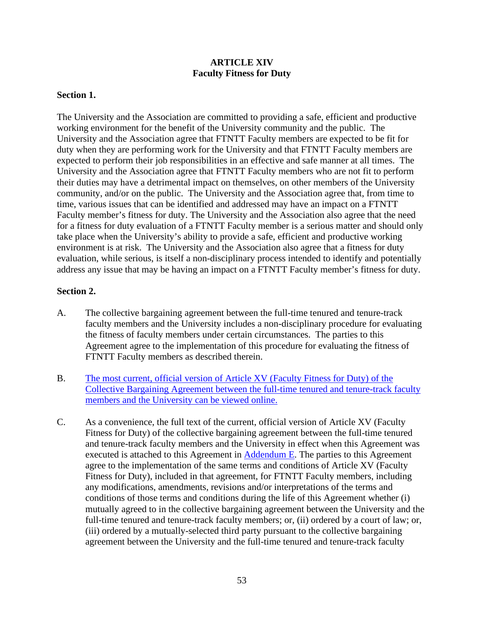# **ARTICLE XIV Faculty Fitness for Duty**

#### **Section 1.**

The University and the Association are committed to providing a safe, efficient and productive working environment for the benefit of the University community and the public. The University and the Association agree that FTNTT Faculty members are expected to be fit for duty when they are performing work for the University and that FTNTT Faculty members are expected to perform their job responsibilities in an effective and safe manner at all times. The University and the Association agree that FTNTT Faculty members who are not fit to perform their duties may have a detrimental impact on themselves, on other members of the University community, and/or on the public. The University and the Association agree that, from time to time, various issues that can be identified and addressed may have an impact on a FTNTT Faculty member's fitness for duty. The University and the Association also agree that the need for a fitness for duty evaluation of a FTNTT Faculty member is a serious matter and should only take place when the University's ability to provide a safe, efficient and productive working environment is at risk. The University and the Association also agree that a fitness for duty evaluation, while serious, is itself a non-disciplinary process intended to identify and potentially address any issue that may be having an impact on a FTNTT Faculty member's fitness for duty.

#### **Section 2.**

- A. The collective bargaining agreement between the full-time tenured and tenure-track faculty members and the University includes a non-disciplinary procedure for evaluating the fitness of faculty members under certain circumstances. The parties to this Agreement agree to the implementation of this procedure for evaluating the fitness of FTNTT Faculty members as described therein.
- B. [The most current, official version of Article XV \(Faculty Fitness for Duty\) of the](https://www.kent.edu/sites/default/files/file/2019%20CBA%20-With%20Signatures.pdf)  [Collective Bargaining Agreement between the full-time tenured and tenure-track faculty](https://www.kent.edu/sites/default/files/file/2019%20CBA%20-With%20Signatures.pdf)  [members and the University can be viewed online.](https://www.kent.edu/sites/default/files/file/2019%20CBA%20-With%20Signatures.pdf)
- C. As a convenience, the full text of the current, official version of Article XV (Faculty Fitness for Duty) of the collective bargaining agreement between the full-time tenured and tenure-track faculty members and the University in effect when this Agreement was executed is attached to this Agreement in [Addendum E.](#page-76-0) The parties to this Agreement agree to the implementation of the same terms and conditions of Article XV (Faculty Fitness for Duty), included in that agreement, for FTNTT Faculty members, including any modifications, amendments, revisions and/or interpretations of the terms and conditions of those terms and conditions during the life of this Agreement whether (i) mutually agreed to in the collective bargaining agreement between the University and the full-time tenured and tenure-track faculty members; or, (ii) ordered by a court of law; or, (iii) ordered by a mutually-selected third party pursuant to the collective bargaining agreement between the University and the full-time tenured and tenure-track faculty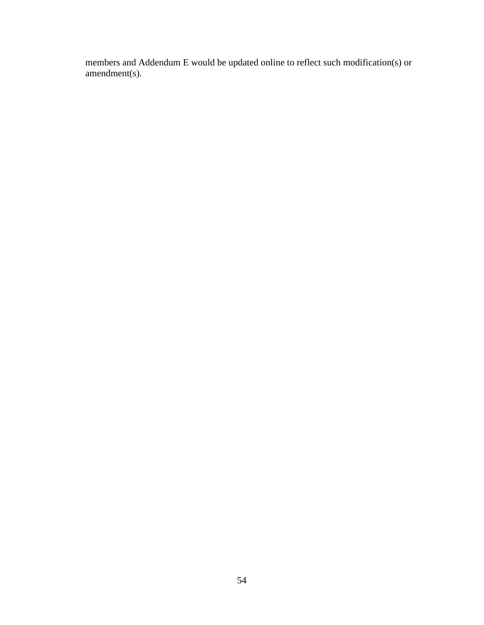members and Addendum E would be updated online to reflect such modification(s) or amendment(s).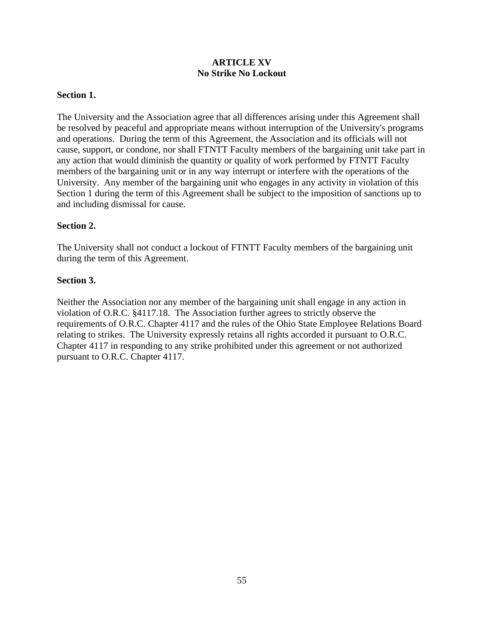# **ARTICLE XV No Strike No Lockout**

## **Section 1.**

The University and the Association agree that all differences arising under this Agreement shall be resolved by peaceful and appropriate means without interruption of the University's programs and operations. During the term of this Agreement, the Association and its officials will not cause, support, or condone, nor shall FTNTT Faculty members of the bargaining unit take part in any action that would diminish the quantity or quality of work performed by FTNTT Faculty members of the bargaining unit or in any way interrupt or interfere with the operations of the University. Any member of the bargaining unit who engages in any activity in violation of this Section 1 during the term of this Agreement shall be subject to the imposition of sanctions up to and including dismissal for cause.

## **Section 2.**

The University shall not conduct a lockout of FTNTT Faculty members of the bargaining unit during the term of this Agreement.

## **Section 3.**

Neither the Association nor any member of the bargaining unit shall engage in any action in violation of O.R.C. §4117.18. The Association further agrees to strictly observe the requirements of O.R.C. Chapter 4117 and the rules of the Ohio State Employee Relations Board relating to strikes. The University expressly retains all rights accorded it pursuant to O.R.C. Chapter 4117 in responding to any strike prohibited under this agreement or not authorized pursuant to O.R.C. Chapter 4117.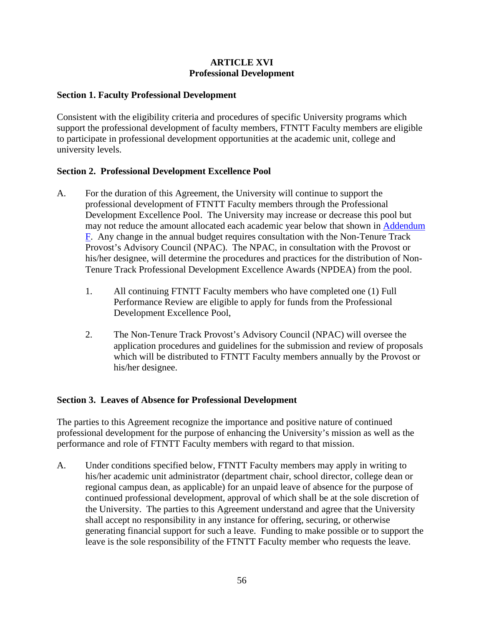# **ARTICLE XVI Professional Development**

## **Section 1. Faculty Professional Development**

Consistent with the eligibility criteria and procedures of specific University programs which support the professional development of faculty members, FTNTT Faculty members are eligible to participate in professional development opportunities at the academic unit, college and university levels.

## **Section 2. Professional Development Excellence Pool**

- A. For the duration of this Agreement, the University will continue to support the professional development of FTNTT Faculty members through the Professional Development Excellence Pool. The University may increase or decrease this pool but may not reduce the amount allocated each academic year below that shown in [Addendum](#page-92-0)  [F.](#page-92-0) Any change in the annual budget requires consultation with the Non-Tenure Track Provost's Advisory Council (NPAC). The NPAC, in consultation with the Provost or his/her designee, will determine the procedures and practices for the distribution of Non-Tenure Track Professional Development Excellence Awards (NPDEA) from the pool.
	- 1. All continuing FTNTT Faculty members who have completed one (1) Full Performance Review are eligible to apply for funds from the Professional Development Excellence Pool,
	- 2. The Non-Tenure Track Provost's Advisory Council (NPAC) will oversee the application procedures and guidelines for the submission and review of proposals which will be distributed to FTNTT Faculty members annually by the Provost or his/her designee.

# **Section 3. Leaves of Absence for Professional Development**

The parties to this Agreement recognize the importance and positive nature of continued professional development for the purpose of enhancing the University's mission as well as the performance and role of FTNTT Faculty members with regard to that mission.

A. Under conditions specified below, FTNTT Faculty members may apply in writing to his/her academic unit administrator (department chair, school director, college dean or regional campus dean, as applicable) for an unpaid leave of absence for the purpose of continued professional development, approval of which shall be at the sole discretion of the University. The parties to this Agreement understand and agree that the University shall accept no responsibility in any instance for offering, securing, or otherwise generating financial support for such a leave. Funding to make possible or to support the leave is the sole responsibility of the FTNTT Faculty member who requests the leave.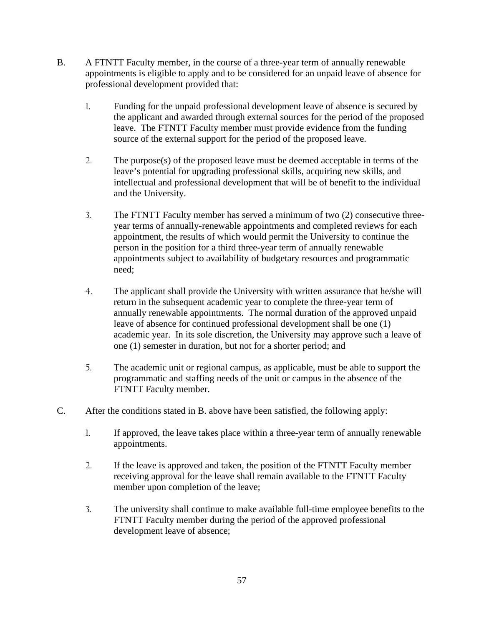- B. A FTNTT Faculty member, in the course of a three-year term of annually renewable appointments is eligible to apply and to be considered for an unpaid leave of absence for professional development provided that:
	- 1. Funding for the unpaid professional development leave of absence is secured by the applicant and awarded through external sources for the period of the proposed leave. The FTNTT Faculty member must provide evidence from the funding source of the external support for the period of the proposed leave.
	- 2. The purpose(s) of the proposed leave must be deemed acceptable in terms of the leave's potential for upgrading professional skills, acquiring new skills, and intellectual and professional development that will be of benefit to the individual and the University.
	- 3. The FTNTT Faculty member has served a minimum of two (2) consecutive threeyear terms of annually-renewable appointments and completed reviews for each appointment, the results of which would permit the University to continue the person in the position for a third three-year term of annually renewable appointments subject to availability of budgetary resources and programmatic need;
	- 4. The applicant shall provide the University with written assurance that he/she will return in the subsequent academic year to complete the three-year term of annually renewable appointments. The normal duration of the approved unpaid leave of absence for continued professional development shall be one (1) academic year. In its sole discretion, the University may approve such a leave of one (1) semester in duration, but not for a shorter period; and
	- 5. The academic unit or regional campus, as applicable, must be able to support the programmatic and staffing needs of the unit or campus in the absence of the FTNTT Faculty member.
- C. After the conditions stated in B. above have been satisfied, the following apply:
	- 1. If approved, the leave takes place within a three-year term of annually renewable appointments.
	- 2. If the leave is approved and taken, the position of the FTNTT Faculty member receiving approval for the leave shall remain available to the FTNTT Faculty member upon completion of the leave;
	- 3. The university shall continue to make available full-time employee benefits to the FTNTT Faculty member during the period of the approved professional development leave of absence;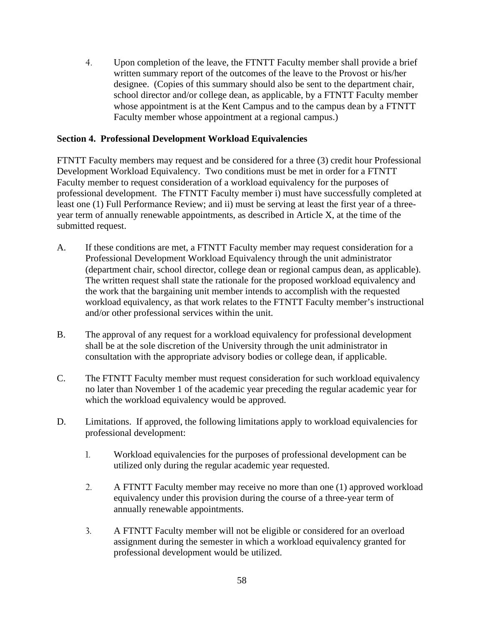4. Upon completion of the leave, the FTNTT Faculty member shall provide a brief written summary report of the outcomes of the leave to the Provost or his/her designee. (Copies of this summary should also be sent to the department chair, school director and/or college dean, as applicable, by a FTNTT Faculty member whose appointment is at the Kent Campus and to the campus dean by a FTNTT Faculty member whose appointment at a regional campus.)

## **Section 4. Professional Development Workload Equivalencies**

FTNTT Faculty members may request and be considered for a three (3) credit hour Professional Development Workload Equivalency. Two conditions must be met in order for a FTNTT Faculty member to request consideration of a workload equivalency for the purposes of professional development. The FTNTT Faculty member i) must have successfully completed at least one (1) Full Performance Review; and ii) must be serving at least the first year of a threeyear term of annually renewable appointments, as described in Article X, at the time of the submitted request.

- A. If these conditions are met, a FTNTT Faculty member may request consideration for a Professional Development Workload Equivalency through the unit administrator (department chair, school director, college dean or regional campus dean, as applicable). The written request shall state the rationale for the proposed workload equivalency and the work that the bargaining unit member intends to accomplish with the requested workload equivalency, as that work relates to the FTNTT Faculty member's instructional and/or other professional services within the unit.
- B. The approval of any request for a workload equivalency for professional development shall be at the sole discretion of the University through the unit administrator in consultation with the appropriate advisory bodies or college dean, if applicable.
- C. The FTNTT Faculty member must request consideration for such workload equivalency no later than November 1 of the academic year preceding the regular academic year for which the workload equivalency would be approved.
- D. Limitations. If approved, the following limitations apply to workload equivalencies for professional development:
	- 1. Workload equivalencies for the purposes of professional development can be utilized only during the regular academic year requested.
	- 2. A FTNTT Faculty member may receive no more than one (1) approved workload equivalency under this provision during the course of a three-year term of annually renewable appointments.
	- 3. A FTNTT Faculty member will not be eligible or considered for an overload assignment during the semester in which a workload equivalency granted for professional development would be utilized.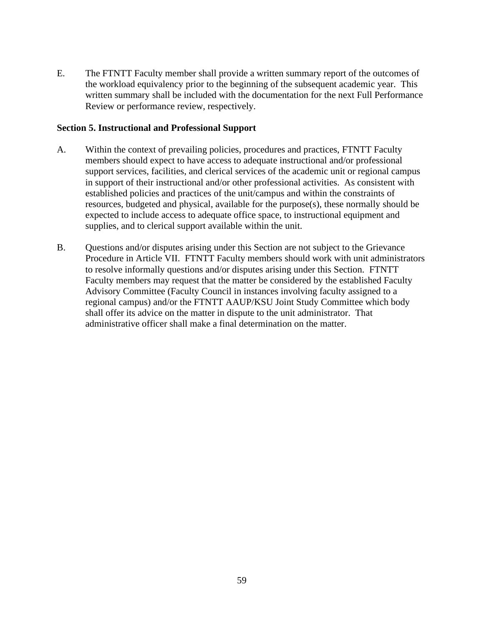E. The FTNTT Faculty member shall provide a written summary report of the outcomes of the workload equivalency prior to the beginning of the subsequent academic year. This written summary shall be included with the documentation for the next Full Performance Review or performance review, respectively.

#### **Section 5. Instructional and Professional Support**

- A. Within the context of prevailing policies, procedures and practices, FTNTT Faculty members should expect to have access to adequate instructional and/or professional support services, facilities, and clerical services of the academic unit or regional campus in support of their instructional and/or other professional activities. As consistent with established policies and practices of the unit/campus and within the constraints of resources, budgeted and physical, available for the purpose(s), these normally should be expected to include access to adequate office space, to instructional equipment and supplies, and to clerical support available within the unit.
- B. Questions and/or disputes arising under this Section are not subject to the Grievance Procedure in Article VII. FTNTT Faculty members should work with unit administrators to resolve informally questions and/or disputes arising under this Section. FTNTT Faculty members may request that the matter be considered by the established Faculty Advisory Committee (Faculty Council in instances involving faculty assigned to a regional campus) and/or the FTNTT AAUP/KSU Joint Study Committee which body shall offer its advice on the matter in dispute to the unit administrator. That administrative officer shall make a final determination on the matter.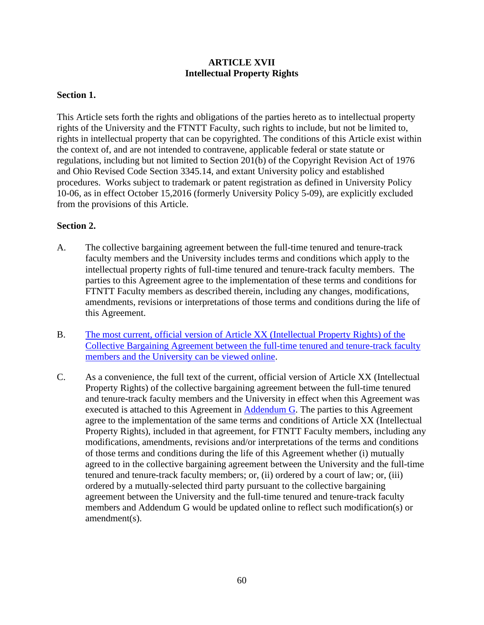# **ARTICLE XVII Intellectual Property Rights**

## **Section 1.**

This Article sets forth the rights and obligations of the parties hereto as to intellectual property rights of the University and the FTNTT Faculty, such rights to include, but not be limited to, rights in intellectual property that can be copyrighted. The conditions of this Article exist within the context of, and are not intended to contravene, applicable federal or state statute or regulations, including but not limited to Section 201(b) of the Copyright Revision Act of 1976 and Ohio Revised Code Section 3345.14, and extant University policy and established procedures. Works subject to trademark or patent registration as defined in University Policy 10-06, as in effect October 15,2016 (formerly University Policy 5-09), are explicitly excluded from the provisions of this Article.

## **Section 2.**

- A. The collective bargaining agreement between the full-time tenured and tenure-track faculty members and the University includes terms and conditions which apply to the intellectual property rights of full-time tenured and tenure-track faculty members. The parties to this Agreement agree to the implementation of these terms and conditions for FTNTT Faculty members as described therein, including any changes, modifications, amendments, revisions or interpretations of those terms and conditions during the life of this Agreement.
- B. [The most current, official version of Article XX \(Intellectual Property Rights\) of the](https://www.kent.edu/sites/default/files/file/2019%20CBA%20-With%20Signatures.pdf)  [Collective Bargaining Agreement between the full-time tenured and tenure-track faculty](https://www.kent.edu/sites/default/files/file/2019%20CBA%20-With%20Signatures.pdf)  [members and the University can be viewed online.](https://www.kent.edu/sites/default/files/file/2019%20CBA%20-With%20Signatures.pdf)
- C. As a convenience, the full text of the current, official version of Article XX (Intellectual Property Rights) of the collective bargaining agreement between the full-time tenured and tenure-track faculty members and the University in effect when this Agreement was executed is attached to this Agreement in [Addendum G.](#page-103-0) The parties to this Agreement agree to the implementation of the same terms and conditions of Article XX (Intellectual Property Rights), included in that agreement, for FTNTT Faculty members, including any modifications, amendments, revisions and/or interpretations of the terms and conditions of those terms and conditions during the life of this Agreement whether (i) mutually agreed to in the collective bargaining agreement between the University and the full-time tenured and tenure-track faculty members; or, (ii) ordered by a court of law; or, (iii) ordered by a mutually-selected third party pursuant to the collective bargaining agreement between the University and the full-time tenured and tenure-track faculty members and Addendum G would be updated online to reflect such modification(s) or amendment(s).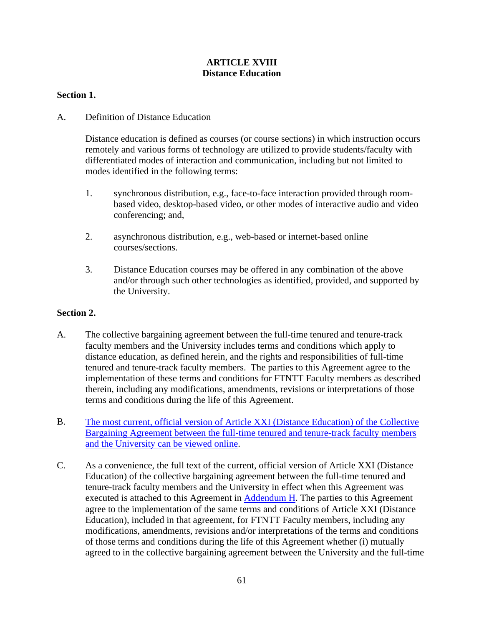# **ARTICLE XVIII Distance Education**

## **Section 1.**

# A. Definition of Distance Education

Distance education is defined as courses (or course sections) in which instruction occurs remotely and various forms of technology are utilized to provide students/faculty with differentiated modes of interaction and communication, including but not limited to modes identified in the following terms:

- 1. synchronous distribution, e.g., face-to-face interaction provided through roombased video, desktop-based video, or other modes of interactive audio and video conferencing; and,
- 2. asynchronous distribution, e.g., web-based or internet-based online courses/sections.
- 3. Distance Education courses may be offered in any combination of the above and/or through such other technologies as identified, provided, and supported by the University.

#### **Section 2.**

- A. The collective bargaining agreement between the full-time tenured and tenure-track faculty members and the University includes terms and conditions which apply to distance education, as defined herein, and the rights and responsibilities of full-time tenured and tenure-track faculty members. The parties to this Agreement agree to the implementation of these terms and conditions for FTNTT Faculty members as described therein, including any modifications, amendments, revisions or interpretations of those terms and conditions during the life of this Agreement.
- B. [The most current, official version of Article XXI \(Distance Education\) of the Collective](https://www.kent.edu/sites/default/files/file/2019%20CBA%20-With%20Signatures.pdf)  [Bargaining Agreement between the full-time tenured and tenure-track faculty members](https://www.kent.edu/sites/default/files/file/2019%20CBA%20-With%20Signatures.pdf)  [and the University can be viewed online.](https://www.kent.edu/sites/default/files/file/2019%20CBA%20-With%20Signatures.pdf)
- C. As a convenience, the full text of the current, official version of Article XXI (Distance Education) of the collective bargaining agreement between the full-time tenured and tenure-track faculty members and the University in effect when this Agreement was executed is attached to this Agreement in  $\Delta$ ddendum H. The parties to this Agreement agree to the implementation of the same terms and conditions of Article XXI (Distance Education), included in that agreement, for FTNTT Faculty members, including any modifications, amendments, revisions and/or interpretations of the terms and conditions of those terms and conditions during the life of this Agreement whether (i) mutually agreed to in the collective bargaining agreement between the University and the full-time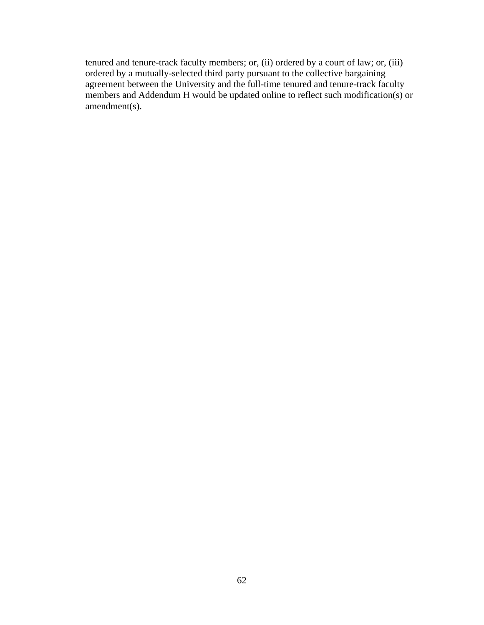tenured and tenure-track faculty members; or, (ii) ordered by a court of law; or, (iii) ordered by a mutually-selected third party pursuant to the collective bargaining agreement between the University and the full-time tenured and tenure-track faculty members and Addendum H would be updated online to reflect such modification(s) or amendment(s).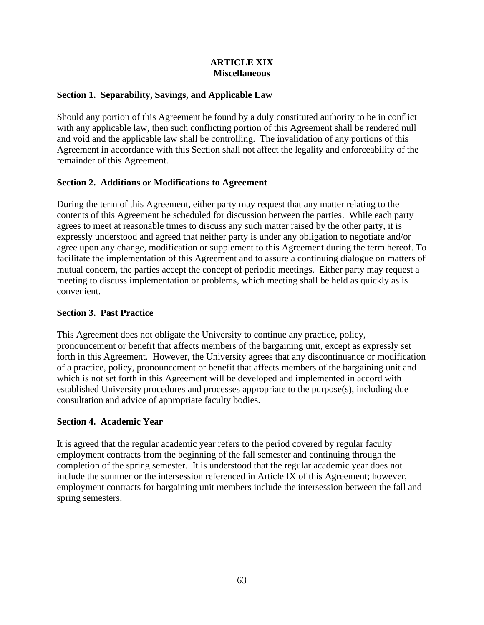#### **ARTICLE XIX Miscellaneous**

# **Section 1. Separability, Savings, and Applicable Law**

Should any portion of this Agreement be found by a duly constituted authority to be in conflict with any applicable law, then such conflicting portion of this Agreement shall be rendered null and void and the applicable law shall be controlling. The invalidation of any portions of this Agreement in accordance with this Section shall not affect the legality and enforceability of the remainder of this Agreement.

# **Section 2. Additions or Modifications to Agreement**

During the term of this Agreement, either party may request that any matter relating to the contents of this Agreement be scheduled for discussion between the parties. While each party agrees to meet at reasonable times to discuss any such matter raised by the other party, it is expressly understood and agreed that neither party is under any obligation to negotiate and/or agree upon any change, modification or supplement to this Agreement during the term hereof. To facilitate the implementation of this Agreement and to assure a continuing dialogue on matters of mutual concern, the parties accept the concept of periodic meetings. Either party may request a meeting to discuss implementation or problems, which meeting shall be held as quickly as is convenient.

# **Section 3. Past Practice**

This Agreement does not obligate the University to continue any practice, policy, pronouncement or benefit that affects members of the bargaining unit, except as expressly set forth in this Agreement. However, the University agrees that any discontinuance or modification of a practice, policy, pronouncement or benefit that affects members of the bargaining unit and which is not set forth in this Agreement will be developed and implemented in accord with established University procedures and processes appropriate to the purpose(s), including due consultation and advice of appropriate faculty bodies.

# **Section 4. Academic Year**

It is agreed that the regular academic year refers to the period covered by regular faculty employment contracts from the beginning of the fall semester and continuing through the completion of the spring semester. It is understood that the regular academic year does not include the summer or the intersession referenced in Article IX of this Agreement; however, employment contracts for bargaining unit members include the intersession between the fall and spring semesters.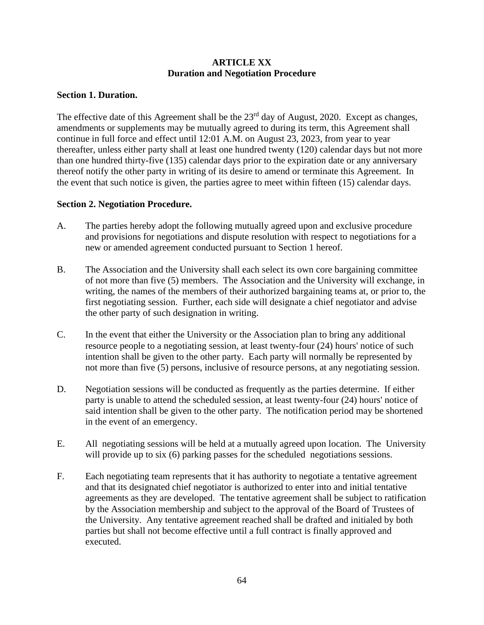## **ARTICLE XX Duration and Negotiation Procedure**

# **Section 1. Duration.**

The effective date of this Agreement shall be the 23<sup>rd</sup> day of August, 2020. Except as changes, amendments or supplements may be mutually agreed to during its term, this Agreement shall continue in full force and effect until 12:01 A.M. on August 23, 2023, from year to year thereafter, unless either party shall at least one hundred twenty (120) calendar days but not more than one hundred thirty-five (135) calendar days prior to the expiration date or any anniversary thereof notify the other party in writing of its desire to amend or terminate this Agreement. In the event that such notice is given, the parties agree to meet within fifteen (15) calendar days.

## **Section 2. Negotiation Procedure.**

- A. The parties hereby adopt the following mutually agreed upon and exclusive procedure and provisions for negotiations and dispute resolution with respect to negotiations for a new or amended agreement conducted pursuant to Section 1 hereof.
- B. The Association and the University shall each select its own core bargaining committee of not more than five (5) members. The Association and the University will exchange, in writing, the names of the members of their authorized bargaining teams at, or prior to, the first negotiating session. Further, each side will designate a chief negotiator and advise the other party of such designation in writing.
- C. In the event that either the University or the Association plan to bring any additional resource people to a negotiating session, at least twenty-four (24) hours' notice of such intention shall be given to the other party. Each party will normally be represented by not more than five (5) persons, inclusive of resource persons, at any negotiating session.
- D. Negotiation sessions will be conducted as frequently as the parties determine. If either party is unable to attend the scheduled session, at least twenty-four (24) hours' notice of said intention shall be given to the other party. The notification period may be shortened in the event of an emergency.
- E. All negotiating sessions will be held at a mutually agreed upon location. The University will provide up to six (6) parking passes for the scheduled negotiations sessions.
- F. Each negotiating team represents that it has authority to negotiate a tentative agreement and that its designated chief negotiator is authorized to enter into and initial tentative agreements as they are developed. The tentative agreement shall be subject to ratification by the Association membership and subject to the approval of the Board of Trustees of the University. Any tentative agreement reached shall be drafted and initialed by both parties but shall not become effective until a full contract is finally approved and executed.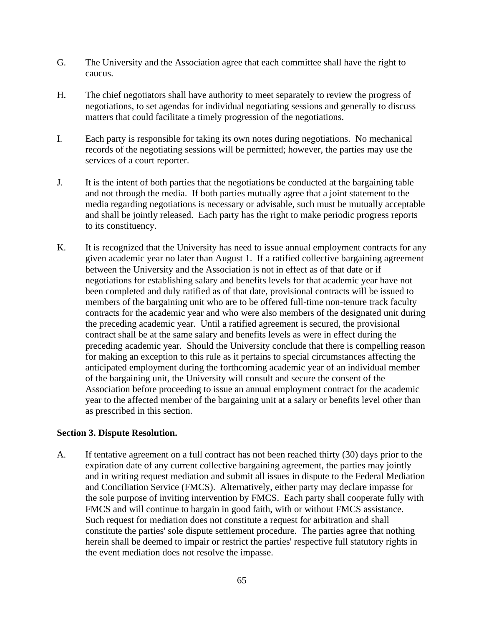- G. The University and the Association agree that each committee shall have the right to caucus.
- H. The chief negotiators shall have authority to meet separately to review the progress of negotiations, to set agendas for individual negotiating sessions and generally to discuss matters that could facilitate a timely progression of the negotiations.
- I. Each party is responsible for taking its own notes during negotiations. No mechanical records of the negotiating sessions will be permitted; however, the parties may use the services of a court reporter.
- J. It is the intent of both parties that the negotiations be conducted at the bargaining table and not through the media. If both parties mutually agree that a joint statement to the media regarding negotiations is necessary or advisable, such must be mutually acceptable and shall be jointly released. Each party has the right to make periodic progress reports to its constituency.
- K. It is recognized that the University has need to issue annual employment contracts for any given academic year no later than August 1. If a ratified collective bargaining agreement between the University and the Association is not in effect as of that date or if negotiations for establishing salary and benefits levels for that academic year have not been completed and duly ratified as of that date, provisional contracts will be issued to members of the bargaining unit who are to be offered full-time non-tenure track faculty contracts for the academic year and who were also members of the designated unit during the preceding academic year. Until a ratified agreement is secured, the provisional contract shall be at the same salary and benefits levels as were in effect during the preceding academic year. Should the University conclude that there is compelling reason for making an exception to this rule as it pertains to special circumstances affecting the anticipated employment during the forthcoming academic year of an individual member of the bargaining unit, the University will consult and secure the consent of the Association before proceeding to issue an annual employment contract for the academic year to the affected member of the bargaining unit at a salary or benefits level other than as prescribed in this section.

#### **Section 3. Dispute Resolution.**

A. If tentative agreement on a full contract has not been reached thirty (30) days prior to the expiration date of any current collective bargaining agreement, the parties may jointly and in writing request mediation and submit all issues in dispute to the Federal Mediation and Conciliation Service (FMCS). Alternatively, either party may declare impasse for the sole purpose of inviting intervention by FMCS. Each party shall cooperate fully with FMCS and will continue to bargain in good faith, with or without FMCS assistance. Such request for mediation does not constitute a request for arbitration and shall constitute the parties' sole dispute settlement procedure. The parties agree that nothing herein shall be deemed to impair or restrict the parties' respective full statutory rights in the event mediation does not resolve the impasse.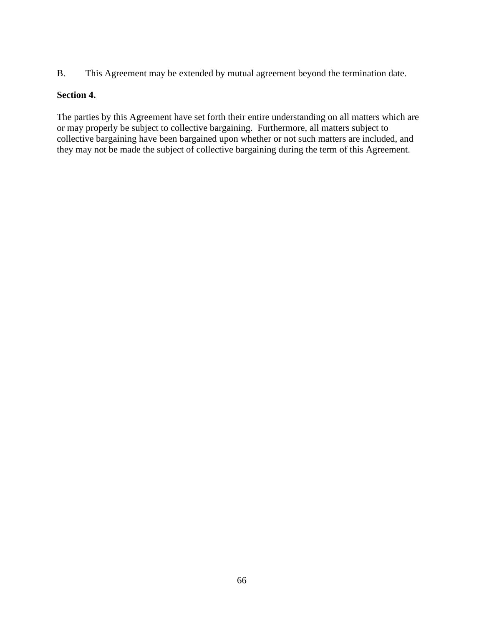B. This Agreement may be extended by mutual agreement beyond the termination date.

## **Section 4.**

The parties by this Agreement have set forth their entire understanding on all matters which are or may properly be subject to collective bargaining. Furthermore, all matters subject to collective bargaining have been bargained upon whether or not such matters are included, and they may not be made the subject of collective bargaining during the term of this Agreement.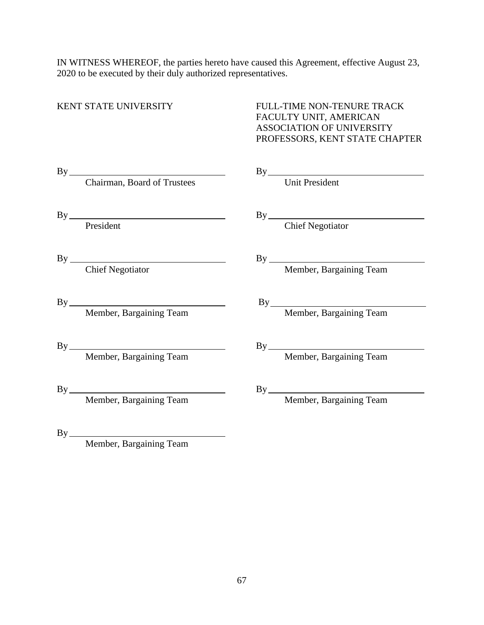IN WITNESS WHEREOF, the parties hereto have caused this Agreement, effective August 23, 2020 to be executed by their duly authorized representatives.

# KENT STATE UNIVERSITY FULL-TIME NON-TENURE TRACK FACULTY UNIT, AMERICAN ASSOCIATION OF UNIVERSITY PROFESSORS, KENT STATE CHAPTER

| By                          | By                         |
|-----------------------------|----------------------------|
| Chairman, Board of Trustees | <b>Unit President</b>      |
| By                          | By Chief Negotiator        |
| President                   |                            |
|                             |                            |
|                             |                            |
|                             | By Member, Bargaining Team |
|                             |                            |
| By                          |                            |
| Member, Bargaining Team     |                            |
| By                          |                            |
| Member, Bargaining Team     |                            |
| By                          |                            |
|                             |                            |

Member, Bargaining Team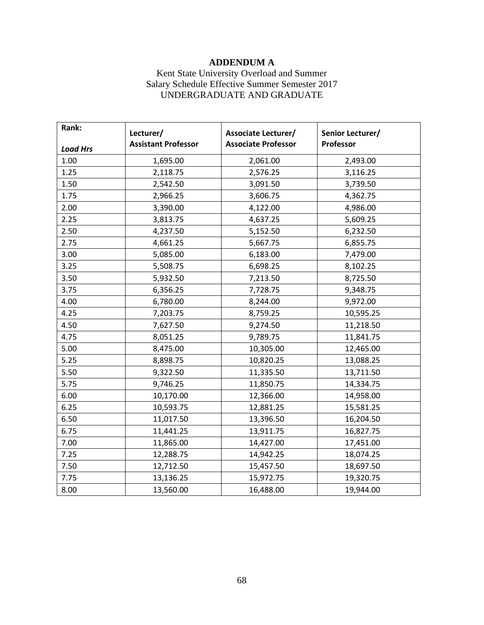# **ADDENDUM A**

# Kent State University Overload and Summer Salary Schedule Effective Summer Semester 2017 UNDERGRADUATE AND GRADUATE

<span id="page-70-0"></span>

| Rank:           | Lecturer/                  | <b>Associate Lecturer/</b> | Senior Lecturer/ |
|-----------------|----------------------------|----------------------------|------------------|
| <b>Load Hrs</b> | <b>Assistant Professor</b> | <b>Associate Professor</b> | Professor        |
| 1.00            | 1,695.00                   | 2,061.00                   | 2,493.00         |
| 1.25            | 2,118.75                   | 2,576.25                   | 3,116.25         |
| 1.50            | 2,542.50                   | 3,091.50                   | 3,739.50         |
| 1.75            | 2,966.25                   | 3,606.75                   | 4,362.75         |
| 2.00            | 3,390.00                   | 4,122.00                   | 4,986.00         |
| 2.25            | 3,813.75                   | 4,637.25                   | 5,609.25         |
| 2.50            | 4,237.50                   | 5,152.50                   | 6,232.50         |
| 2.75            | 4,661.25                   | 5,667.75                   | 6,855.75         |
| 3.00            | 5,085.00                   | 6,183.00                   | 7,479.00         |
| 3.25            | 5,508.75                   | 6,698.25                   | 8,102.25         |
| 3.50            | 5,932.50                   | 7,213.50                   | 8,725.50         |
| 3.75            | 6,356.25                   | 7,728.75                   | 9,348.75         |
| 4.00            | 6,780.00                   | 8,244.00                   | 9,972.00         |
| 4.25            | 7,203.75                   | 8,759.25                   | 10,595.25        |
| 4.50            | 7,627.50                   | 9,274.50                   | 11,218.50        |
| 4.75            | 8,051.25                   | 9,789.75                   | 11,841.75        |
| 5.00            | 8,475.00                   | 10,305.00                  | 12,465.00        |
| 5.25            | 8,898.75                   | 10,820.25                  | 13,088.25        |
| 5.50            | 9,322.50                   | 11,335.50                  | 13,711.50        |
| 5.75            | 9,746.25                   | 11,850.75                  | 14,334.75        |
| 6.00            | 10,170.00                  | 12,366.00                  | 14,958.00        |
| 6.25            | 10,593.75                  | 12,881.25                  | 15,581.25        |
| 6.50            | 11,017.50                  | 13,396.50                  | 16,204.50        |
| 6.75            | 11,441.25                  | 13,911.75                  | 16,827.75        |
| 7.00            | 11,865.00                  | 14,427.00                  | 17,451.00        |
| 7.25            | 12,288.75                  | 14,942.25                  | 18,074.25        |
| 7.50            | 12,712.50                  | 15,457.50                  | 18,697.50        |
| 7.75            | 13,136.25                  | 15,972.75                  | 19,320.75        |
| 8.00            | 13,560.00                  | 16,488.00                  | 19,944.00        |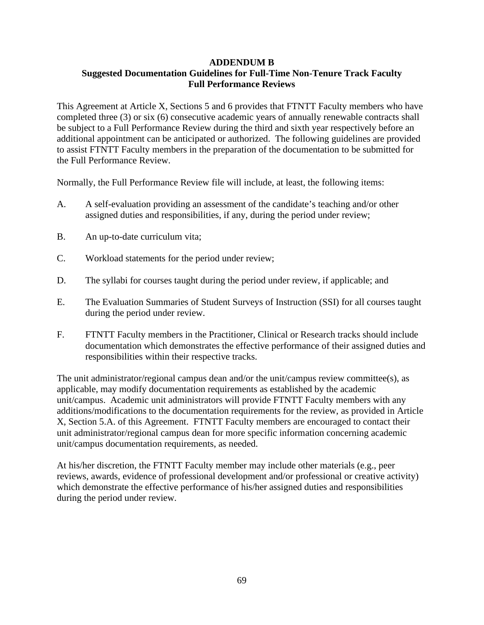#### <span id="page-71-0"></span>**ADDENDUM B Suggested Documentation Guidelines for Full-Time Non-Tenure Track Faculty Full Performance Reviews**

This Agreement at Article X, Sections 5 and 6 provides that FTNTT Faculty members who have completed three (3) or six (6) consecutive academic years of annually renewable contracts shall be subject to a Full Performance Review during the third and sixth year respectively before an additional appointment can be anticipated or authorized. The following guidelines are provided to assist FTNTT Faculty members in the preparation of the documentation to be submitted for the Full Performance Review.

Normally, the Full Performance Review file will include, at least, the following items:

- A. A self-evaluation providing an assessment of the candidate's teaching and/or other assigned duties and responsibilities, if any, during the period under review;
- B. An up-to-date curriculum vita;
- C. Workload statements for the period under review;
- D. The syllabi for courses taught during the period under review, if applicable; and
- E. The Evaluation Summaries of Student Surveys of Instruction (SSI) for all courses taught during the period under review.
- F. FTNTT Faculty members in the Practitioner, Clinical or Research tracks should include documentation which demonstrates the effective performance of their assigned duties and responsibilities within their respective tracks.

The unit administrator/regional campus dean and/or the unit/campus review committee(s), as applicable, may modify documentation requirements as established by the academic unit/campus. Academic unit administrators will provide FTNTT Faculty members with any additions/modifications to the documentation requirements for the review, as provided in Article X, Section 5.A. of this Agreement. FTNTT Faculty members are encouraged to contact their unit administrator/regional campus dean for more specific information concerning academic unit/campus documentation requirements, as needed.

At his/her discretion, the FTNTT Faculty member may include other materials (e.g., peer reviews, awards, evidence of professional development and/or professional or creative activity) which demonstrate the effective performance of his/her assigned duties and responsibilities during the period under review.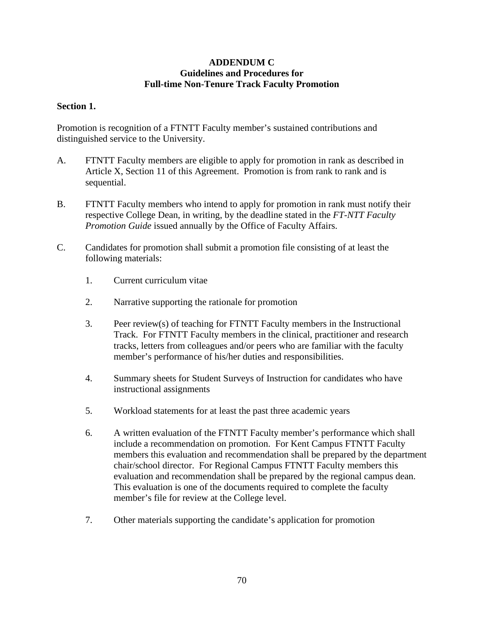# **ADDENDUM C Guidelines and Procedures for Full-time Non-Tenure Track Faculty Promotion**

# **Section 1.**

Promotion is recognition of a FTNTT Faculty member's sustained contributions and distinguished service to the University.

- A. FTNTT Faculty members are eligible to apply for promotion in rank as described in Article X, Section 11 of this Agreement. Promotion is from rank to rank and is sequential.
- B. FTNTT Faculty members who intend to apply for promotion in rank must notify their respective College Dean, in writing, by the deadline stated in the *FT-NTT Faculty Promotion Guide* issued annually by the Office of Faculty Affairs.
- C. Candidates for promotion shall submit a promotion file consisting of at least the following materials:
	- 1. Current curriculum vitae
	- 2. Narrative supporting the rationale for promotion
	- 3. Peer review(s) of teaching for FTNTT Faculty members in the Instructional Track. For FTNTT Faculty members in the clinical, practitioner and research tracks, letters from colleagues and/or peers who are familiar with the faculty member's performance of his/her duties and responsibilities.
	- 4. Summary sheets for Student Surveys of Instruction for candidates who have instructional assignments
	- 5. Workload statements for at least the past three academic years
	- 6. A written evaluation of the FTNTT Faculty member's performance which shall include a recommendation on promotion. For Kent Campus FTNTT Faculty members this evaluation and recommendation shall be prepared by the department chair/school director. For Regional Campus FTNTT Faculty members this evaluation and recommendation shall be prepared by the regional campus dean. This evaluation is one of the documents required to complete the faculty member's file for review at the College level.
	- 7. Other materials supporting the candidate's application for promotion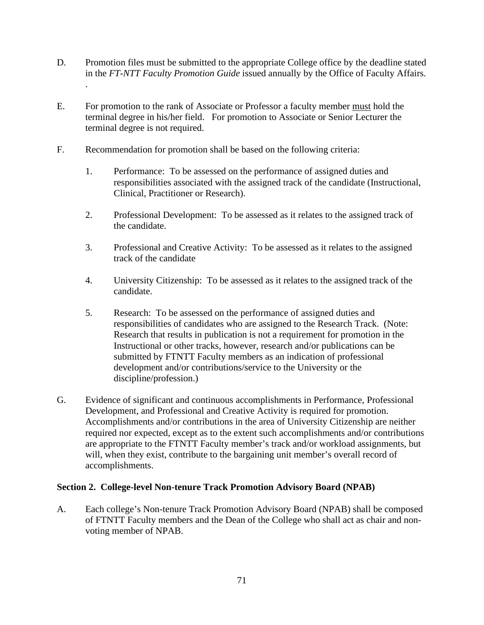- D. Promotion files must be submitted to the appropriate College office by the deadline stated in the *FT-NTT Faculty Promotion Guide* issued annually by the Office of Faculty Affairs.
- E. For promotion to the rank of Associate or Professor a faculty member must hold the terminal degree in his/her field. For promotion to Associate or Senior Lecturer the terminal degree is not required.
- F. Recommendation for promotion shall be based on the following criteria:

.

- 1. Performance: To be assessed on the performance of assigned duties and responsibilities associated with the assigned track of the candidate (Instructional, Clinical, Practitioner or Research).
- 2. Professional Development: To be assessed as it relates to the assigned track of the candidate.
- 3. Professional and Creative Activity: To be assessed as it relates to the assigned track of the candidate
- 4. University Citizenship: To be assessed as it relates to the assigned track of the candidate.
- 5. Research: To be assessed on the performance of assigned duties and responsibilities of candidates who are assigned to the Research Track. (Note: Research that results in publication is not a requirement for promotion in the Instructional or other tracks, however, research and/or publications can be submitted by FTNTT Faculty members as an indication of professional development and/or contributions/service to the University or the discipline/profession.)
- G. Evidence of significant and continuous accomplishments in Performance, Professional Development, and Professional and Creative Activity is required for promotion. Accomplishments and/or contributions in the area of University Citizenship are neither required nor expected, except as to the extent such accomplishments and/or contributions are appropriate to the FTNTT Faculty member's track and/or workload assignments, but will, when they exist, contribute to the bargaining unit member's overall record of accomplishments.

#### **Section 2. College-level Non-tenure Track Promotion Advisory Board (NPAB)**

A. Each college's Non-tenure Track Promotion Advisory Board (NPAB) shall be composed of FTNTT Faculty members and the Dean of the College who shall act as chair and nonvoting member of NPAB.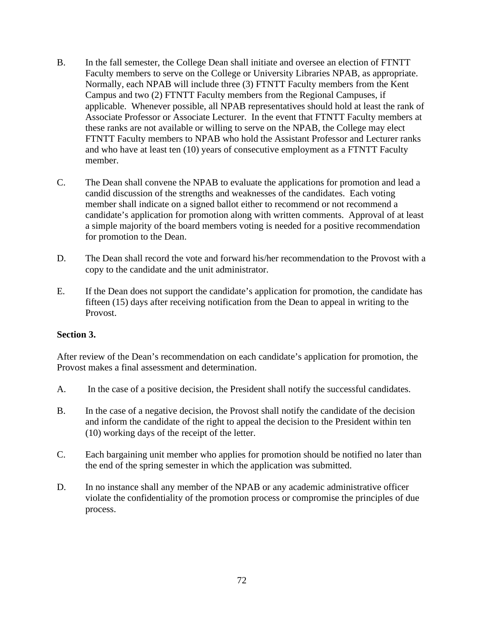- B. In the fall semester, the College Dean shall initiate and oversee an election of FTNTT Faculty members to serve on the College or University Libraries NPAB, as appropriate. Normally, each NPAB will include three (3) FTNTT Faculty members from the Kent Campus and two (2) FTNTT Faculty members from the Regional Campuses, if applicable. Whenever possible, all NPAB representatives should hold at least the rank of Associate Professor or Associate Lecturer. In the event that FTNTT Faculty members at these ranks are not available or willing to serve on the NPAB, the College may elect FTNTT Faculty members to NPAB who hold the Assistant Professor and Lecturer ranks and who have at least ten (10) years of consecutive employment as a FTNTT Faculty member.
- C. The Dean shall convene the NPAB to evaluate the applications for promotion and lead a candid discussion of the strengths and weaknesses of the candidates. Each voting member shall indicate on a signed ballot either to recommend or not recommend a candidate's application for promotion along with written comments. Approval of at least a simple majority of the board members voting is needed for a positive recommendation for promotion to the Dean.
- D. The Dean shall record the vote and forward his/her recommendation to the Provost with a copy to the candidate and the unit administrator.
- E. If the Dean does not support the candidate's application for promotion, the candidate has fifteen (15) days after receiving notification from the Dean to appeal in writing to the Provost.

#### **Section 3.**

After review of the Dean's recommendation on each candidate's application for promotion, the Provost makes a final assessment and determination.

- A. In the case of a positive decision, the President shall notify the successful candidates.
- B. In the case of a negative decision, the Provost shall notify the candidate of the decision and inform the candidate of the right to appeal the decision to the President within ten (10) working days of the receipt of the letter.
- C. Each bargaining unit member who applies for promotion should be notified no later than the end of the spring semester in which the application was submitted.
- D. In no instance shall any member of the NPAB or any academic administrative officer violate the confidentiality of the promotion process or compromise the principles of due process.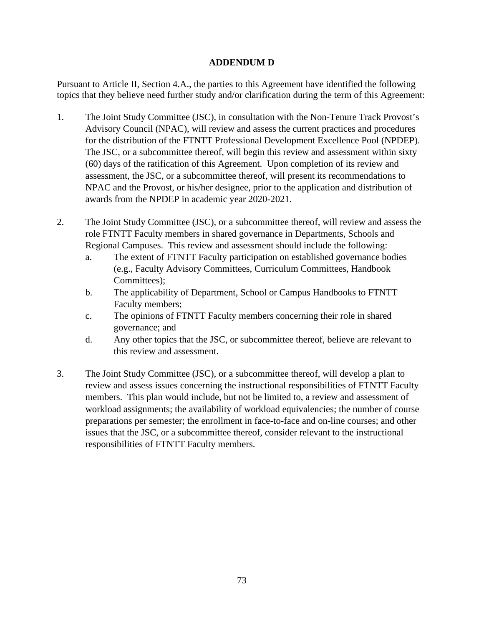# **ADDENDUM D**

Pursuant to Article II, Section 4.A., the parties to this Agreement have identified the following topics that they believe need further study and/or clarification during the term of this Agreement:

- 1. The Joint Study Committee (JSC), in consultation with the Non-Tenure Track Provost's Advisory Council (NPAC), will review and assess the current practices and procedures for the distribution of the FTNTT Professional Development Excellence Pool (NPDEP). The JSC, or a subcommittee thereof, will begin this review and assessment within sixty (60) days of the ratification of this Agreement. Upon completion of its review and assessment, the JSC, or a subcommittee thereof, will present its recommendations to NPAC and the Provost, or his/her designee, prior to the application and distribution of awards from the NPDEP in academic year 2020-2021.
- 2. The Joint Study Committee (JSC), or a subcommittee thereof, will review and assess the role FTNTT Faculty members in shared governance in Departments, Schools and Regional Campuses. This review and assessment should include the following:
	- a. The extent of FTNTT Faculty participation on established governance bodies (e.g., Faculty Advisory Committees, Curriculum Committees, Handbook Committees);
	- b. The applicability of Department, School or Campus Handbooks to FTNTT Faculty members;
	- c. The opinions of FTNTT Faculty members concerning their role in shared governance; and
	- d. Any other topics that the JSC, or subcommittee thereof, believe are relevant to this review and assessment.
- 3. The Joint Study Committee (JSC), or a subcommittee thereof, will develop a plan to review and assess issues concerning the instructional responsibilities of FTNTT Faculty members. This plan would include, but not be limited to, a review and assessment of workload assignments; the availability of workload equivalencies; the number of course preparations per semester; the enrollment in face-to-face and on-line courses; and other issues that the JSC, or a subcommittee thereof, consider relevant to the instructional responsibilities of FTNTT Faculty members.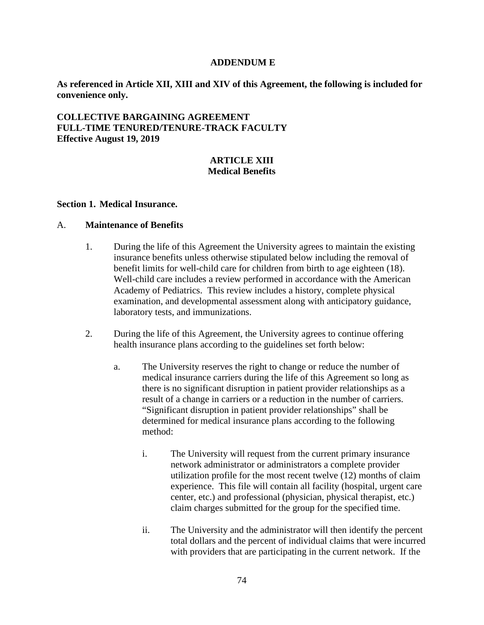#### **ADDENDUM E**

**As referenced in Article XII, XIII and XIV of this Agreement, the following is included for convenience only.**

**COLLECTIVE BARGAINING AGREEMENT FULL-TIME TENURED/TENURE-TRACK FACULTY Effective August 19, 2019**

# **ARTICLE XIII Medical Benefits**

#### **Section 1. Medical Insurance.**

#### A. **Maintenance of Benefits**

- 1. During the life of this Agreement the University agrees to maintain the existing insurance benefits unless otherwise stipulated below including the removal of benefit limits for well-child care for children from birth to age eighteen (18). Well-child care includes a review performed in accordance with the American Academy of Pediatrics. This review includes a history, complete physical examination, and developmental assessment along with anticipatory guidance, laboratory tests, and immunizations.
- 2. During the life of this Agreement, the University agrees to continue offering health insurance plans according to the guidelines set forth below:
	- a. The University reserves the right to change or reduce the number of medical insurance carriers during the life of this Agreement so long as there is no significant disruption in patient provider relationships as a result of a change in carriers or a reduction in the number of carriers. "Significant disruption in patient provider relationships" shall be determined for medical insurance plans according to the following method:
		- i. The University will request from the current primary insurance network administrator or administrators a complete provider utilization profile for the most recent twelve (12) months of claim experience. This file will contain all facility (hospital, urgent care center, etc.) and professional (physician, physical therapist, etc.) claim charges submitted for the group for the specified time.
		- ii. The University and the administrator will then identify the percent total dollars and the percent of individual claims that were incurred with providers that are participating in the current network. If the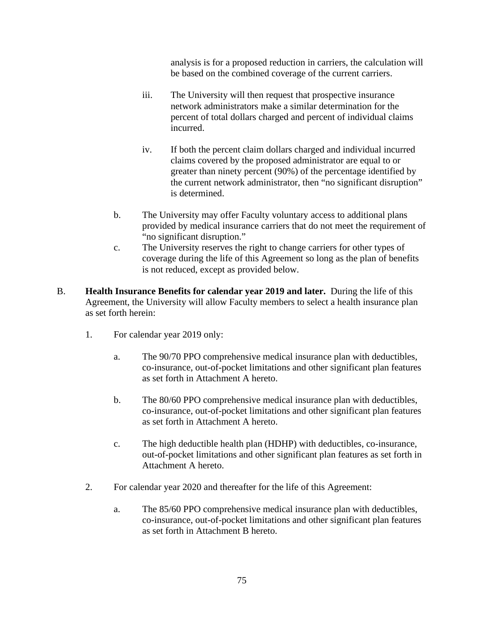analysis is for a proposed reduction in carriers, the calculation will be based on the combined coverage of the current carriers.

- iii. The University will then request that prospective insurance network administrators make a similar determination for the percent of total dollars charged and percent of individual claims incurred.
- iv. If both the percent claim dollars charged and individual incurred claims covered by the proposed administrator are equal to or greater than ninety percent (90%) of the percentage identified by the current network administrator, then "no significant disruption" is determined.
- b. The University may offer Faculty voluntary access to additional plans provided by medical insurance carriers that do not meet the requirement of "no significant disruption."
- c. The University reserves the right to change carriers for other types of coverage during the life of this Agreement so long as the plan of benefits is not reduced, except as provided below.
- B. **Health Insurance Benefits for calendar year 2019 and later.** During the life of this Agreement, the University will allow Faculty members to select a health insurance plan as set forth herein:
	- 1. For calendar year 2019 only:
		- a. The 90/70 PPO comprehensive medical insurance plan with deductibles, co-insurance, out-of-pocket limitations and other significant plan features as set forth in Attachment A hereto.
		- b. The 80/60 PPO comprehensive medical insurance plan with deductibles, co-insurance, out-of-pocket limitations and other significant plan features as set forth in Attachment A hereto.
		- c. The high deductible health plan (HDHP) with deductibles, co-insurance, out-of-pocket limitations and other significant plan features as set forth in Attachment A hereto.
	- 2. For calendar year 2020 and thereafter for the life of this Agreement:
		- a. The 85/60 PPO comprehensive medical insurance plan with deductibles, co-insurance, out-of-pocket limitations and other significant plan features as set forth in Attachment B hereto.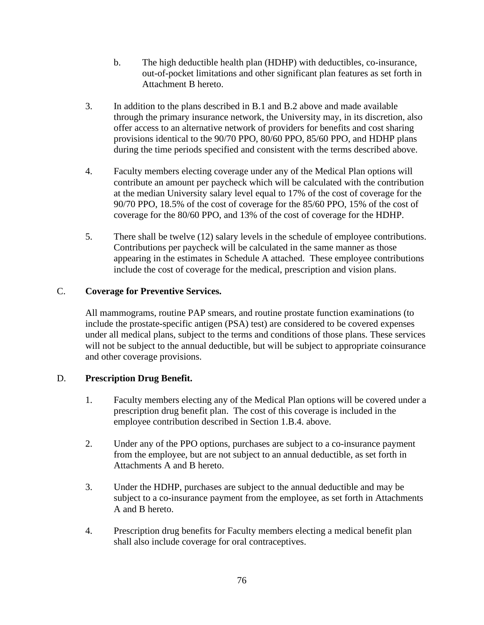- b. The high deductible health plan (HDHP) with deductibles, co-insurance, out-of-pocket limitations and other significant plan features as set forth in Attachment B hereto.
- 3. In addition to the plans described in B.1 and B.2 above and made available through the primary insurance network, the University may, in its discretion, also offer access to an alternative network of providers for benefits and cost sharing provisions identical to the 90/70 PPO, 80/60 PPO, 85/60 PPO, and HDHP plans during the time periods specified and consistent with the terms described above.
- 4. Faculty members electing coverage under any of the Medical Plan options will contribute an amount per paycheck which will be calculated with the contribution at the median University salary level equal to 17% of the cost of coverage for the 90/70 PPO, 18.5% of the cost of coverage for the 85/60 PPO, 15% of the cost of coverage for the 80/60 PPO, and 13% of the cost of coverage for the HDHP.
- 5. There shall be twelve (12) salary levels in the schedule of employee contributions. Contributions per paycheck will be calculated in the same manner as those appearing in the estimates in Schedule A attached. These employee contributions include the cost of coverage for the medical, prescription and vision plans.

# C. **Coverage for Preventive Services.**

All mammograms, routine PAP smears, and routine prostate function examinations (to include the prostate-specific antigen (PSA) test) are considered to be covered expenses under all medical plans, subject to the terms and conditions of those plans. These services will not be subject to the annual deductible, but will be subject to appropriate coinsurance and other coverage provisions.

# D. **Prescription Drug Benefit.**

- 1. Faculty members electing any of the Medical Plan options will be covered under a prescription drug benefit plan. The cost of this coverage is included in the employee contribution described in Section 1.B.4. above.
- 2. Under any of the PPO options, purchases are subject to a co-insurance payment from the employee, but are not subject to an annual deductible, as set forth in Attachments A and B hereto.
- 3. Under the HDHP, purchases are subject to the annual deductible and may be subject to a co-insurance payment from the employee, as set forth in Attachments A and B hereto.
- 4. Prescription drug benefits for Faculty members electing a medical benefit plan shall also include coverage for oral contraceptives.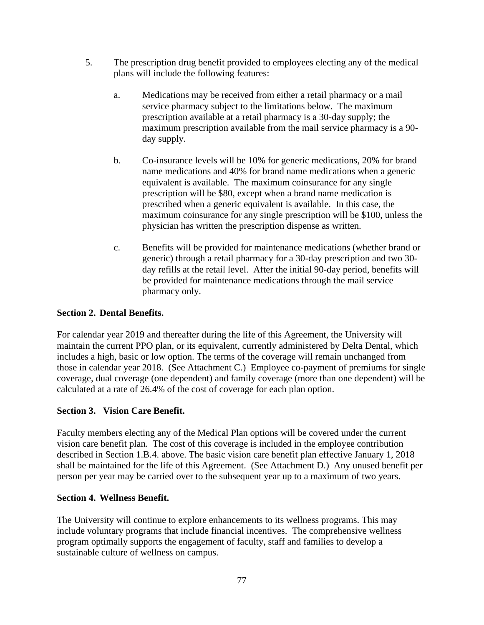- 5. The prescription drug benefit provided to employees electing any of the medical plans will include the following features:
	- a. Medications may be received from either a retail pharmacy or a mail service pharmacy subject to the limitations below. The maximum prescription available at a retail pharmacy is a 30-day supply; the maximum prescription available from the mail service pharmacy is a 90 day supply.
	- b. Co-insurance levels will be 10% for generic medications, 20% for brand name medications and 40% for brand name medications when a generic equivalent is available. The maximum coinsurance for any single prescription will be \$80, except when a brand name medication is prescribed when a generic equivalent is available. In this case, the maximum coinsurance for any single prescription will be \$100, unless the physician has written the prescription dispense as written.
	- c. Benefits will be provided for maintenance medications (whether brand or generic) through a retail pharmacy for a 30-day prescription and two 30 day refills at the retail level. After the initial 90-day period, benefits will be provided for maintenance medications through the mail service pharmacy only.

# **Section 2. Dental Benefits.**

For calendar year 2019 and thereafter during the life of this Agreement, the University will maintain the current PPO plan, or its equivalent, currently administered by Delta Dental, which includes a high, basic or low option. The terms of the coverage will remain unchanged from those in calendar year 2018. (See Attachment C.) Employee co-payment of premiums for single coverage, dual coverage (one dependent) and family coverage (more than one dependent) will be calculated at a rate of 26.4% of the cost of coverage for each plan option.

# **Section 3. Vision Care Benefit.**

Faculty members electing any of the Medical Plan options will be covered under the current vision care benefit plan. The cost of this coverage is included in the employee contribution described in Section 1.B.4. above. The basic vision care benefit plan effective January 1, 2018 shall be maintained for the life of this Agreement. (See Attachment D.) Any unused benefit per person per year may be carried over to the subsequent year up to a maximum of two years.

#### **Section 4. Wellness Benefit.**

The University will continue to explore enhancements to its wellness programs. This may include voluntary programs that include financial incentives. The comprehensive wellness program optimally supports the engagement of faculty, staff and families to develop a sustainable culture of wellness on campus.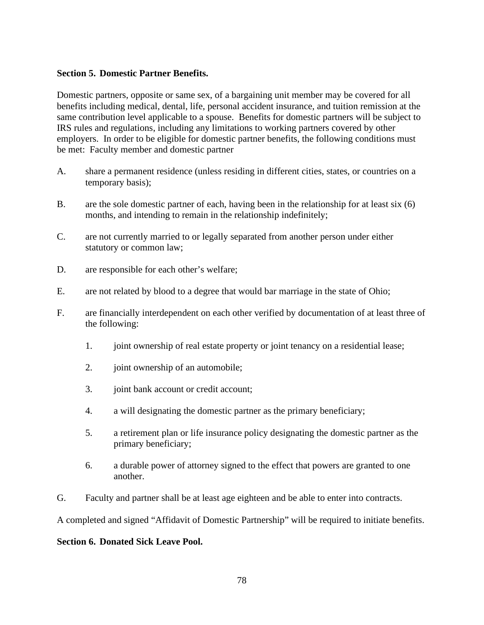#### **Section 5. Domestic Partner Benefits.**

Domestic partners, opposite or same sex, of a bargaining unit member may be covered for all benefits including medical, dental, life, personal accident insurance, and tuition remission at the same contribution level applicable to a spouse. Benefits for domestic partners will be subject to IRS rules and regulations, including any limitations to working partners covered by other employers. In order to be eligible for domestic partner benefits, the following conditions must be met: Faculty member and domestic partner

- A. share a permanent residence (unless residing in different cities, states, or countries on a temporary basis);
- B. are the sole domestic partner of each, having been in the relationship for at least six (6) months, and intending to remain in the relationship indefinitely;
- C. are not currently married to or legally separated from another person under either statutory or common law;
- D. are responsible for each other's welfare;
- E. are not related by blood to a degree that would bar marriage in the state of Ohio;
- F. are financially interdependent on each other verified by documentation of at least three of the following:
	- 1. joint ownership of real estate property or joint tenancy on a residential lease;
	- 2. joint ownership of an automobile;
	- 3. joint bank account or credit account;
	- 4. a will designating the domestic partner as the primary beneficiary;
	- 5. a retirement plan or life insurance policy designating the domestic partner as the primary beneficiary;
	- 6. a durable power of attorney signed to the effect that powers are granted to one another.
- G. Faculty and partner shall be at least age eighteen and be able to enter into contracts.

A completed and signed "Affidavit of Domestic Partnership" will be required to initiate benefits.

#### **Section 6. Donated Sick Leave Pool.**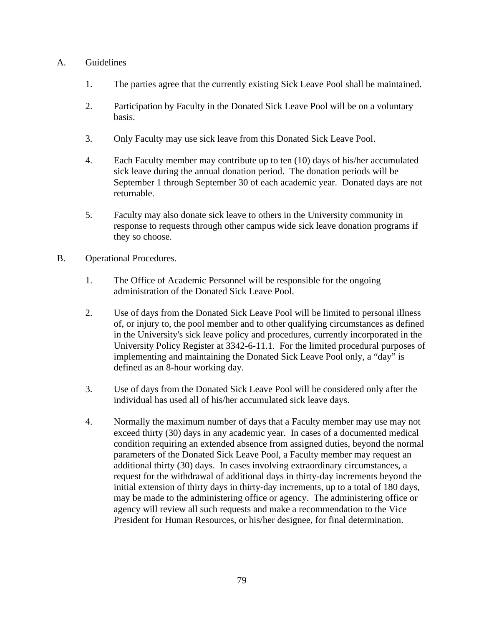# A. Guidelines

- 1. The parties agree that the currently existing Sick Leave Pool shall be maintained.
- 2. Participation by Faculty in the Donated Sick Leave Pool will be on a voluntary basis.
- 3. Only Faculty may use sick leave from this Donated Sick Leave Pool.
- 4. Each Faculty member may contribute up to ten (10) days of his/her accumulated sick leave during the annual donation period. The donation periods will be September 1 through September 30 of each academic year. Donated days are not returnable.
- 5. Faculty may also donate sick leave to others in the University community in response to requests through other campus wide sick leave donation programs if they so choose.
- B. Operational Procedures.
	- 1. The Office of Academic Personnel will be responsible for the ongoing administration of the Donated Sick Leave Pool.
	- 2. Use of days from the Donated Sick Leave Pool will be limited to personal illness of, or injury to, the pool member and to other qualifying circumstances as defined in the University's sick leave policy and procedures, currently incorporated in the University Policy Register at 3342-6-11.1. For the limited procedural purposes of implementing and maintaining the Donated Sick Leave Pool only, a "day" is defined as an 8-hour working day.
	- 3. Use of days from the Donated Sick Leave Pool will be considered only after the individual has used all of his/her accumulated sick leave days.
	- 4. Normally the maximum number of days that a Faculty member may use may not exceed thirty (30) days in any academic year. In cases of a documented medical condition requiring an extended absence from assigned duties, beyond the normal parameters of the Donated Sick Leave Pool, a Faculty member may request an additional thirty (30) days. In cases involving extraordinary circumstances, a request for the withdrawal of additional days in thirty-day increments beyond the initial extension of thirty days in thirty-day increments, up to a total of 180 days, may be made to the administering office or agency. The administering office or agency will review all such requests and make a recommendation to the Vice President for Human Resources, or his/her designee, for final determination.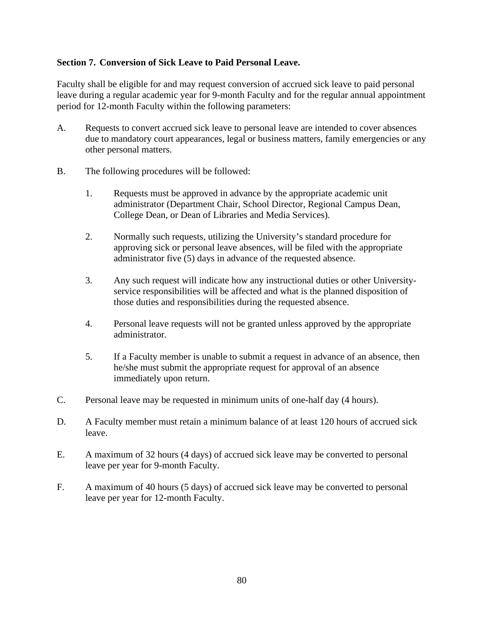# **Section 7. Conversion of Sick Leave to Paid Personal Leave.**

Faculty shall be eligible for and may request conversion of accrued sick leave to paid personal leave during a regular academic year for 9-month Faculty and for the regular annual appointment period for 12-month Faculty within the following parameters:

- A. Requests to convert accrued sick leave to personal leave are intended to cover absences due to mandatory court appearances, legal or business matters, family emergencies or any other personal matters.
- B. The following procedures will be followed:
	- 1. Requests must be approved in advance by the appropriate academic unit administrator (Department Chair, School Director, Regional Campus Dean, College Dean, or Dean of Libraries and Media Services).
	- 2. Normally such requests, utilizing the University's standard procedure for approving sick or personal leave absences, will be filed with the appropriate administrator five (5) days in advance of the requested absence.
	- 3. Any such request will indicate how any instructional duties or other Universityservice responsibilities will be affected and what is the planned disposition of those duties and responsibilities during the requested absence.
	- 4. Personal leave requests will not be granted unless approved by the appropriate administrator.
	- 5. If a Faculty member is unable to submit a request in advance of an absence, then he/she must submit the appropriate request for approval of an absence immediately upon return.
- C. Personal leave may be requested in minimum units of one-half day (4 hours).
- D. A Faculty member must retain a minimum balance of at least 120 hours of accrued sick leave.
- E. A maximum of 32 hours (4 days) of accrued sick leave may be converted to personal leave per year for 9-month Faculty.
- F. A maximum of 40 hours (5 days) of accrued sick leave may be converted to personal leave per year for 12-month Faculty.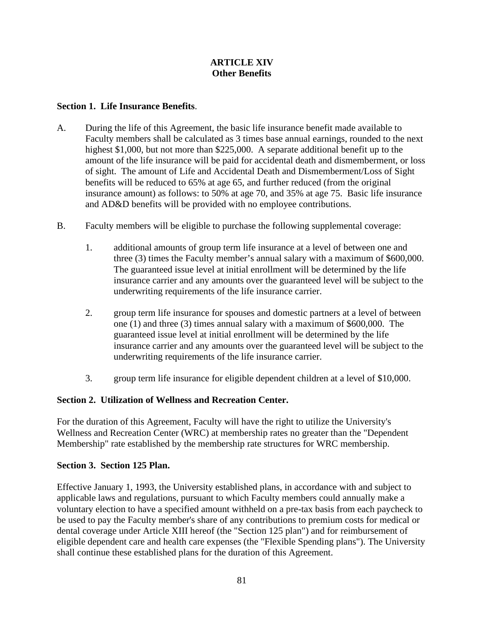# **ARTICLE XIV Other Benefits**

# **Section 1. Life Insurance Benefits**.

- A. During the life of this Agreement, the basic life insurance benefit made available to Faculty members shall be calculated as 3 times base annual earnings, rounded to the next highest \$1,000, but not more than \$225,000. A separate additional benefit up to the amount of the life insurance will be paid for accidental death and dismemberment, or loss of sight. The amount of Life and Accidental Death and Dismemberment/Loss of Sight benefits will be reduced to 65% at age 65, and further reduced (from the original insurance amount) as follows: to 50% at age 70, and 35% at age 75. Basic life insurance and AD&D benefits will be provided with no employee contributions.
- B. Faculty members will be eligible to purchase the following supplemental coverage:
	- 1. additional amounts of group term life insurance at a level of between one and three (3) times the Faculty member's annual salary with a maximum of \$600,000. The guaranteed issue level at initial enrollment will be determined by the life insurance carrier and any amounts over the guaranteed level will be subject to the underwriting requirements of the life insurance carrier.
	- 2. group term life insurance for spouses and domestic partners at a level of between one (1) and three (3) times annual salary with a maximum of \$600,000. The guaranteed issue level at initial enrollment will be determined by the life insurance carrier and any amounts over the guaranteed level will be subject to the underwriting requirements of the life insurance carrier.
	- 3. group term life insurance for eligible dependent children at a level of \$10,000.

# **Section 2. Utilization of Wellness and Recreation Center.**

For the duration of this Agreement, Faculty will have the right to utilize the University's Wellness and Recreation Center (WRC) at membership rates no greater than the "Dependent Membership" rate established by the membership rate structures for WRC membership.

#### **Section 3. Section 125 Plan.**

Effective January 1, 1993, the University established plans, in accordance with and subject to applicable laws and regulations, pursuant to which Faculty members could annually make a voluntary election to have a specified amount withheld on a pre-tax basis from each paycheck to be used to pay the Faculty member's share of any contributions to premium costs for medical or dental coverage under Article XIII hereof (the "Section 125 plan") and for reimbursement of eligible dependent care and health care expenses (the "Flexible Spending plans"). The University shall continue these established plans for the duration of this Agreement.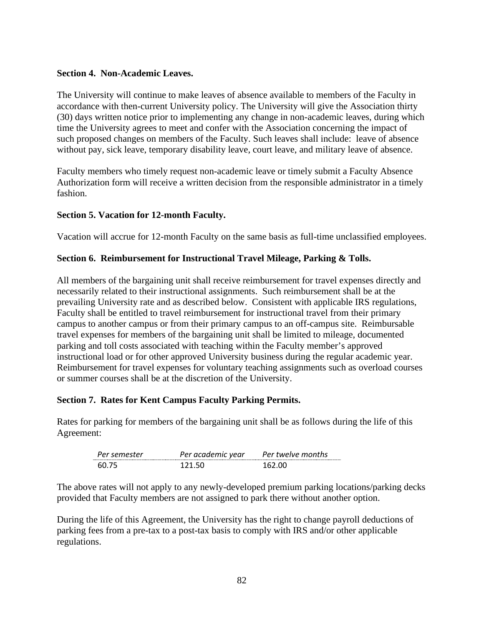# **Section 4. Non-Academic Leaves.**

The University will continue to make leaves of absence available to members of the Faculty in accordance with then-current University policy. The University will give the Association thirty (30) days written notice prior to implementing any change in non-academic leaves, during which time the University agrees to meet and confer with the Association concerning the impact of such proposed changes on members of the Faculty. Such leaves shall include: leave of absence without pay, sick leave, temporary disability leave, court leave, and military leave of absence.

Faculty members who timely request non-academic leave or timely submit a Faculty Absence Authorization form will receive a written decision from the responsible administrator in a timely fashion.

# **Section 5. Vacation for 12-month Faculty.**

Vacation will accrue for 12-month Faculty on the same basis as full-time unclassified employees.

# **Section 6. Reimbursement for Instructional Travel Mileage, Parking & Tolls.**

All members of the bargaining unit shall receive reimbursement for travel expenses directly and necessarily related to their instructional assignments. Such reimbursement shall be at the prevailing University rate and as described below. Consistent with applicable IRS regulations, Faculty shall be entitled to travel reimbursement for instructional travel from their primary campus to another campus or from their primary campus to an off-campus site. Reimbursable travel expenses for members of the bargaining unit shall be limited to mileage, documented parking and toll costs associated with teaching within the Faculty member's approved instructional load or for other approved University business during the regular academic year. Reimbursement for travel expenses for voluntary teaching assignments such as overload courses or summer courses shall be at the discretion of the University.

# **Section 7. Rates for Kent Campus Faculty Parking Permits.**

Rates for parking for members of the bargaining unit shall be as follows during the life of this Agreement:

| Per semester | Per academic year | Per twelve months |
|--------------|-------------------|-------------------|
| 60.75        | 171 W             | ነ 67 በበ           |

The above rates will not apply to any newly-developed premium parking locations/parking decks provided that Faculty members are not assigned to park there without another option.

During the life of this Agreement, the University has the right to change payroll deductions of parking fees from a pre-tax to a post-tax basis to comply with IRS and/or other applicable regulations.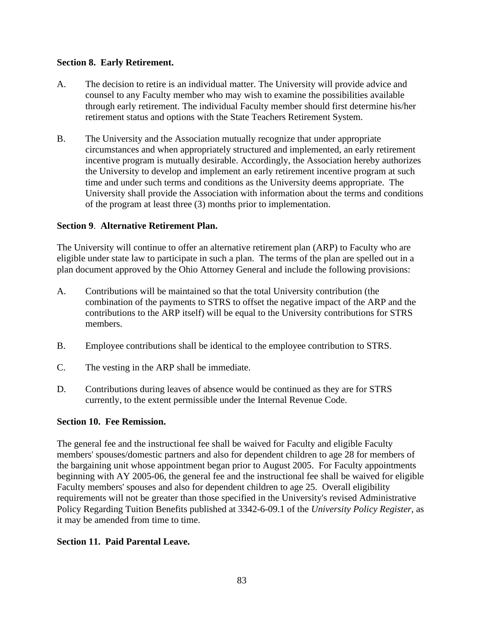# **Section 8. Early Retirement.**

- A. The decision to retire is an individual matter. The University will provide advice and counsel to any Faculty member who may wish to examine the possibilities available through early retirement. The individual Faculty member should first determine his/her retirement status and options with the State Teachers Retirement System.
- B. The University and the Association mutually recognize that under appropriate circumstances and when appropriately structured and implemented, an early retirement incentive program is mutually desirable. Accordingly, the Association hereby authorizes the University to develop and implement an early retirement incentive program at such time and under such terms and conditions as the University deems appropriate. The University shall provide the Association with information about the terms and conditions of the program at least three (3) months prior to implementation.

# **Section 9**. **Alternative Retirement Plan.**

The University will continue to offer an alternative retirement plan (ARP) to Faculty who are eligible under state law to participate in such a plan. The terms of the plan are spelled out in a plan document approved by the Ohio Attorney General and include the following provisions:

- A. Contributions will be maintained so that the total University contribution (the combination of the payments to STRS to offset the negative impact of the ARP and the contributions to the ARP itself) will be equal to the University contributions for STRS members.
- B. Employee contributions shall be identical to the employee contribution to STRS.
- C. The vesting in the ARP shall be immediate.
- D. Contributions during leaves of absence would be continued as they are for STRS currently, to the extent permissible under the Internal Revenue Code.

#### **Section 10. Fee Remission.**

The general fee and the instructional fee shall be waived for Faculty and eligible Faculty members' spouses/domestic partners and also for dependent children to age 28 for members of the bargaining unit whose appointment began prior to August 2005. For Faculty appointments beginning with AY 2005-06, the general fee and the instructional fee shall be waived for eligible Faculty members' spouses and also for dependent children to age 25. Overall eligibility requirements will not be greater than those specified in the University's revised Administrative Policy Regarding Tuition Benefits published at 3342-6-09.1 of the *University Policy Register*, as it may be amended from time to time.

#### **Section 11. Paid Parental Leave.**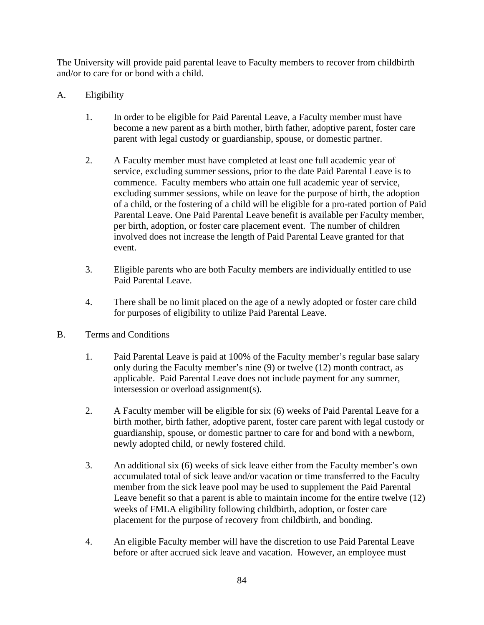The University will provide paid parental leave to Faculty members to recover from childbirth and/or to care for or bond with a child.

- A. Eligibility
	- 1. In order to be eligible for Paid Parental Leave, a Faculty member must have become a new parent as a birth mother, birth father, adoptive parent, foster care parent with legal custody or guardianship, spouse, or domestic partner.
	- 2. A Faculty member must have completed at least one full academic year of service, excluding summer sessions, prior to the date Paid Parental Leave is to commence. Faculty members who attain one full academic year of service, excluding summer sessions, while on leave for the purpose of birth, the adoption of a child, or the fostering of a child will be eligible for a pro-rated portion of Paid Parental Leave. One Paid Parental Leave benefit is available per Faculty member, per birth, adoption, or foster care placement event. The number of children involved does not increase the length of Paid Parental Leave granted for that event.
	- 3. Eligible parents who are both Faculty members are individually entitled to use Paid Parental Leave.
	- 4. There shall be no limit placed on the age of a newly adopted or foster care child for purposes of eligibility to utilize Paid Parental Leave.
- B. Terms and Conditions
	- 1. Paid Parental Leave is paid at 100% of the Faculty member's regular base salary only during the Faculty member's nine (9) or twelve (12) month contract, as applicable. Paid Parental Leave does not include payment for any summer, intersession or overload assignment(s).
	- 2. A Faculty member will be eligible for six (6) weeks of Paid Parental Leave for a birth mother, birth father, adoptive parent, foster care parent with legal custody or guardianship, spouse, or domestic partner to care for and bond with a newborn, newly adopted child, or newly fostered child.
	- 3. An additional six (6) weeks of sick leave either from the Faculty member's own accumulated total of sick leave and/or vacation or time transferred to the Faculty member from the sick leave pool may be used to supplement the Paid Parental Leave benefit so that a parent is able to maintain income for the entire twelve (12) weeks of FMLA eligibility following childbirth, adoption, or foster care placement for the purpose of recovery from childbirth, and bonding.
	- 4. An eligible Faculty member will have the discretion to use Paid Parental Leave before or after accrued sick leave and vacation. However, an employee must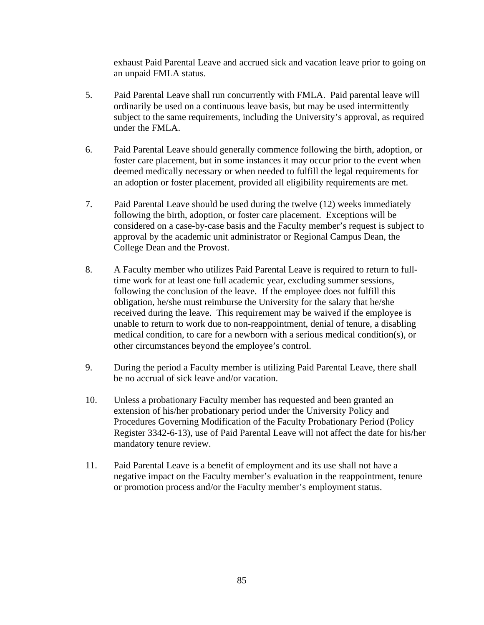exhaust Paid Parental Leave and accrued sick and vacation leave prior to going on an unpaid FMLA status.

- 5. Paid Parental Leave shall run concurrently with FMLA. Paid parental leave will ordinarily be used on a continuous leave basis, but may be used intermittently subject to the same requirements, including the University's approval, as required under the FMLA.
- 6. Paid Parental Leave should generally commence following the birth, adoption, or foster care placement, but in some instances it may occur prior to the event when deemed medically necessary or when needed to fulfill the legal requirements for an adoption or foster placement, provided all eligibility requirements are met.
- 7. Paid Parental Leave should be used during the twelve (12) weeks immediately following the birth, adoption, or foster care placement. Exceptions will be considered on a case-by-case basis and the Faculty member's request is subject to approval by the academic unit administrator or Regional Campus Dean, the College Dean and the Provost.
- 8. A Faculty member who utilizes Paid Parental Leave is required to return to fulltime work for at least one full academic year, excluding summer sessions, following the conclusion of the leave. If the employee does not fulfill this obligation, he/she must reimburse the University for the salary that he/she received during the leave. This requirement may be waived if the employee is unable to return to work due to non-reappointment, denial of tenure, a disabling medical condition, to care for a newborn with a serious medical condition(s), or other circumstances beyond the employee's control.
- 9. During the period a Faculty member is utilizing Paid Parental Leave, there shall be no accrual of sick leave and/or vacation.
- 10. Unless a probationary Faculty member has requested and been granted an extension of his/her probationary period under the University Policy and Procedures Governing Modification of the Faculty Probationary Period (Policy Register 3342-6-13), use of Paid Parental Leave will not affect the date for his/her mandatory tenure review.
- 11. Paid Parental Leave is a benefit of employment and its use shall not have a negative impact on the Faculty member's evaluation in the reappointment, tenure or promotion process and/or the Faculty member's employment status.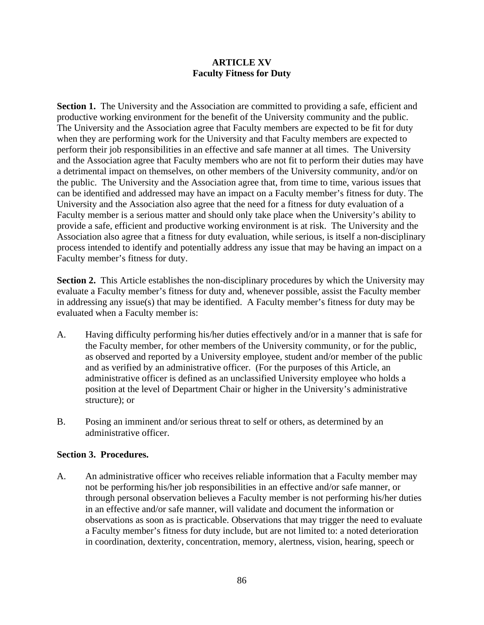# **ARTICLE XV Faculty Fitness for Duty**

**Section 1.** The University and the Association are committed to providing a safe, efficient and productive working environment for the benefit of the University community and the public. The University and the Association agree that Faculty members are expected to be fit for duty when they are performing work for the University and that Faculty members are expected to perform their job responsibilities in an effective and safe manner at all times. The University and the Association agree that Faculty members who are not fit to perform their duties may have a detrimental impact on themselves, on other members of the University community, and/or on the public. The University and the Association agree that, from time to time, various issues that can be identified and addressed may have an impact on a Faculty member's fitness for duty. The University and the Association also agree that the need for a fitness for duty evaluation of a Faculty member is a serious matter and should only take place when the University's ability to provide a safe, efficient and productive working environment is at risk. The University and the Association also agree that a fitness for duty evaluation, while serious, is itself a non-disciplinary process intended to identify and potentially address any issue that may be having an impact on a Faculty member's fitness for duty.

**Section 2.** This Article establishes the non-disciplinary procedures by which the University may evaluate a Faculty member's fitness for duty and, whenever possible, assist the Faculty member in addressing any issue(s) that may be identified. A Faculty member's fitness for duty may be evaluated when a Faculty member is:

- A. Having difficulty performing his/her duties effectively and/or in a manner that is safe for the Faculty member, for other members of the University community, or for the public, as observed and reported by a University employee, student and/or member of the public and as verified by an administrative officer. (For the purposes of this Article, an administrative officer is defined as an unclassified University employee who holds a position at the level of Department Chair or higher in the University's administrative structure); or
- B. Posing an imminent and/or serious threat to self or others, as determined by an administrative officer.

# **Section 3. Procedures.**

A. An administrative officer who receives reliable information that a Faculty member may not be performing his/her job responsibilities in an effective and/or safe manner, or through personal observation believes a Faculty member is not performing his/her duties in an effective and/or safe manner, will validate and document the information or observations as soon as is practicable. Observations that may trigger the need to evaluate a Faculty member's fitness for duty include, but are not limited to: a noted deterioration in coordination, dexterity, concentration, memory, alertness, vision, hearing, speech or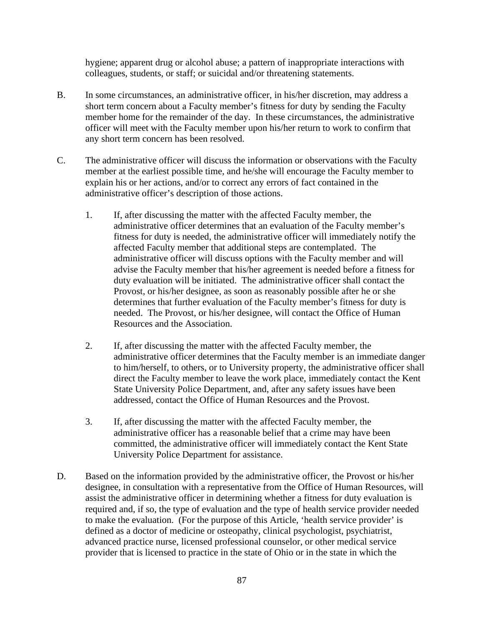hygiene; apparent drug or alcohol abuse; a pattern of inappropriate interactions with colleagues, students, or staff; or suicidal and/or threatening statements.

- B. In some circumstances, an administrative officer, in his/her discretion, may address a short term concern about a Faculty member's fitness for duty by sending the Faculty member home for the remainder of the day. In these circumstances, the administrative officer will meet with the Faculty member upon his/her return to work to confirm that any short term concern has been resolved.
- C. The administrative officer will discuss the information or observations with the Faculty member at the earliest possible time, and he/she will encourage the Faculty member to explain his or her actions, and/or to correct any errors of fact contained in the administrative officer's description of those actions.
	- 1. If, after discussing the matter with the affected Faculty member, the administrative officer determines that an evaluation of the Faculty member's fitness for duty is needed, the administrative officer will immediately notify the affected Faculty member that additional steps are contemplated. The administrative officer will discuss options with the Faculty member and will advise the Faculty member that his/her agreement is needed before a fitness for duty evaluation will be initiated. The administrative officer shall contact the Provost, or his/her designee, as soon as reasonably possible after he or she determines that further evaluation of the Faculty member's fitness for duty is needed. The Provost, or his/her designee, will contact the Office of Human Resources and the Association.
	- 2. If, after discussing the matter with the affected Faculty member, the administrative officer determines that the Faculty member is an immediate danger to him/herself, to others, or to University property, the administrative officer shall direct the Faculty member to leave the work place, immediately contact the Kent State University Police Department, and, after any safety issues have been addressed, contact the Office of Human Resources and the Provost.
	- 3. If, after discussing the matter with the affected Faculty member, the administrative officer has a reasonable belief that a crime may have been committed, the administrative officer will immediately contact the Kent State University Police Department for assistance.
- D. Based on the information provided by the administrative officer, the Provost or his/her designee, in consultation with a representative from the Office of Human Resources, will assist the administrative officer in determining whether a fitness for duty evaluation is required and, if so, the type of evaluation and the type of health service provider needed to make the evaluation. (For the purpose of this Article, 'health service provider' is defined as a doctor of medicine or osteopathy, clinical psychologist, psychiatrist, advanced practice nurse, licensed professional counselor, or other medical service provider that is licensed to practice in the state of Ohio or in the state in which the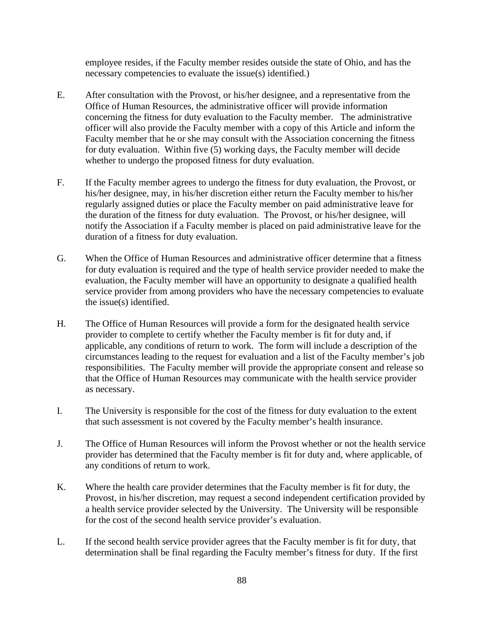employee resides, if the Faculty member resides outside the state of Ohio, and has the necessary competencies to evaluate the issue(s) identified.)

- E. After consultation with the Provost, or his/her designee, and a representative from the Office of Human Resources, the administrative officer will provide information concerning the fitness for duty evaluation to the Faculty member. The administrative officer will also provide the Faculty member with a copy of this Article and inform the Faculty member that he or she may consult with the Association concerning the fitness for duty evaluation. Within five (5) working days, the Faculty member will decide whether to undergo the proposed fitness for duty evaluation.
- F. If the Faculty member agrees to undergo the fitness for duty evaluation, the Provost, or his/her designee, may, in his/her discretion either return the Faculty member to his/her regularly assigned duties or place the Faculty member on paid administrative leave for the duration of the fitness for duty evaluation. The Provost, or his/her designee, will notify the Association if a Faculty member is placed on paid administrative leave for the duration of a fitness for duty evaluation.
- G. When the Office of Human Resources and administrative officer determine that a fitness for duty evaluation is required and the type of health service provider needed to make the evaluation, the Faculty member will have an opportunity to designate a qualified health service provider from among providers who have the necessary competencies to evaluate the issue(s) identified.
- H. The Office of Human Resources will provide a form for the designated health service provider to complete to certify whether the Faculty member is fit for duty and, if applicable, any conditions of return to work. The form will include a description of the circumstances leading to the request for evaluation and a list of the Faculty member's job responsibilities. The Faculty member will provide the appropriate consent and release so that the Office of Human Resources may communicate with the health service provider as necessary.
- I. The University is responsible for the cost of the fitness for duty evaluation to the extent that such assessment is not covered by the Faculty member's health insurance.
- J. The Office of Human Resources will inform the Provost whether or not the health service provider has determined that the Faculty member is fit for duty and, where applicable, of any conditions of return to work.
- K. Where the health care provider determines that the Faculty member is fit for duty, the Provost, in his/her discretion, may request a second independent certification provided by a health service provider selected by the University. The University will be responsible for the cost of the second health service provider's evaluation.
- L. If the second health service provider agrees that the Faculty member is fit for duty, that determination shall be final regarding the Faculty member's fitness for duty. If the first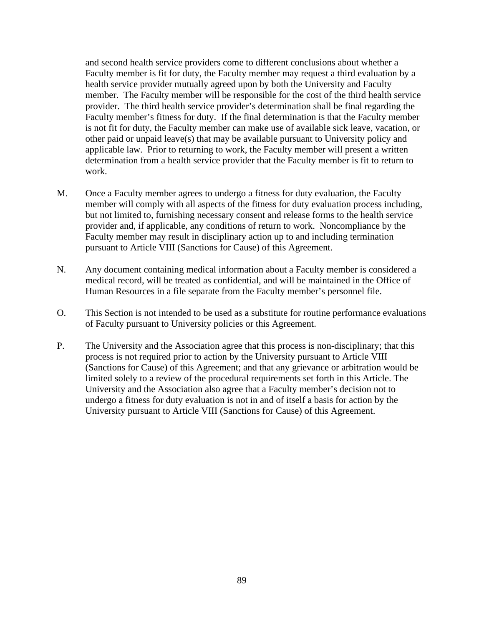and second health service providers come to different conclusions about whether a Faculty member is fit for duty, the Faculty member may request a third evaluation by a health service provider mutually agreed upon by both the University and Faculty member. The Faculty member will be responsible for the cost of the third health service provider. The third health service provider's determination shall be final regarding the Faculty member's fitness for duty. If the final determination is that the Faculty member is not fit for duty, the Faculty member can make use of available sick leave, vacation, or other paid or unpaid leave(s) that may be available pursuant to University policy and applicable law. Prior to returning to work, the Faculty member will present a written determination from a health service provider that the Faculty member is fit to return to work.

- M. Once a Faculty member agrees to undergo a fitness for duty evaluation, the Faculty member will comply with all aspects of the fitness for duty evaluation process including, but not limited to, furnishing necessary consent and release forms to the health service provider and, if applicable, any conditions of return to work. Noncompliance by the Faculty member may result in disciplinary action up to and including termination pursuant to Article VIII (Sanctions for Cause) of this Agreement.
- N. Any document containing medical information about a Faculty member is considered a medical record, will be treated as confidential, and will be maintained in the Office of Human Resources in a file separate from the Faculty member's personnel file.
- O. This Section is not intended to be used as a substitute for routine performance evaluations of Faculty pursuant to University policies or this Agreement.
- P. The University and the Association agree that this process is non-disciplinary; that this process is not required prior to action by the University pursuant to Article VIII (Sanctions for Cause) of this Agreement; and that any grievance or arbitration would be limited solely to a review of the procedural requirements set forth in this Article. The University and the Association also agree that a Faculty member's decision not to undergo a fitness for duty evaluation is not in and of itself a basis for action by the University pursuant to Article VIII (Sanctions for Cause) of this Agreement.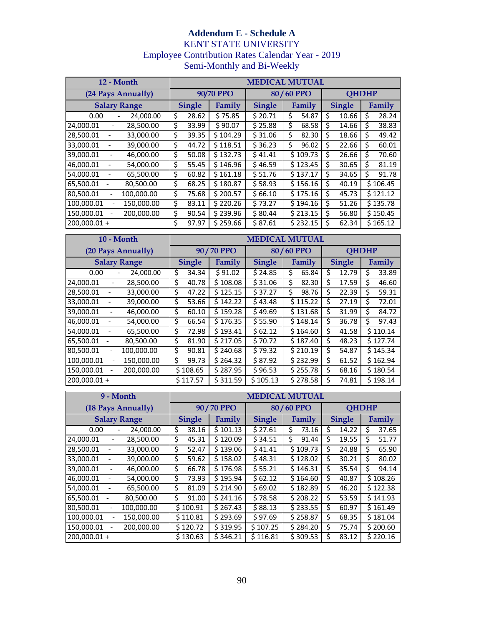# **Addendum E - Schedule A** KENT STATE UNIVERSITY Employee Contribution Rates Calendar Year - 2019 Semi-Monthly and Bi-Weekly

| 12 - Month                                |                    | <b>MEDICAL MUTUAL</b>  |               |          |               |              |               |       |        |          |
|-------------------------------------------|--------------------|------------------------|---------------|----------|---------------|--------------|---------------|-------|--------|----------|
|                                           | (24 Pays Annually) | 90/70 PPO<br>80/60 PPO |               |          |               | <b>QHDHP</b> |               |       |        |          |
| <b>Salary Range</b>                       |                    |                        | <b>Single</b> | Family   | <b>Single</b> | Family       | <b>Single</b> |       | Family |          |
| 0.00                                      | 24,000.00          | \$                     | 28.62         | \$75.85  | \$20.71       | \$<br>54.87  | \$            | 10.66 | Ś      | 28.24    |
| 24.000.01                                 | 28,500.00          | \$                     | 33.99         | \$90.07  | \$25.88       | \$<br>68.58  | Ś.            | 14.66 | \$     | 38.83    |
| 28.500.01                                 | 33,000.00          | \$                     | 39.35         | \$104.29 | \$31.06       | \$<br>82.30  | Ś.            | 18.66 | Ś      | 49.42    |
| 33,000.01                                 | 39,000.00          | \$                     | 44.72         | \$118.51 | \$36.23       | \$<br>96.02  | Ś             | 22.66 | Ś      | 60.01    |
| 39.000.01<br>$\qquad \qquad \blacksquare$ | 46,000.00          | \$                     | 50.08         | \$132.73 | \$41.41       | \$109.73     | Ś             | 26.66 | \$     | 70.60    |
| 46,000.01                                 | 54,000.00          | \$                     | 55.45         | \$146.96 | \$46.59       | \$123.45     | Ś             | 30.65 | Ś      | 81.19    |
| 54.000.01                                 | 65.500.00          | \$                     | 60.82         | \$161.18 | \$51.76       | \$137.17     | Ś             | 34.65 | Ś      | 91.78    |
| 65.500.01                                 | 80.500.00          | \$                     | 68.25         | \$180.87 | \$58.93       | \$156.16     | Ś             | 40.19 |        | \$106.45 |
| 80,500.01                                 | 100,000.00         | \$                     | 75.68         | \$200.57 | \$66.10       | \$175.16     | Ś             | 45.73 |        | \$121.12 |
| 100.000.01                                | 150.000.00         | \$                     | 83.11         | \$220.26 | \$73.27       | \$194.16     | Ś.            | 51.26 |        | \$135.78 |
| 150,000.01                                | 200,000.00         | \$                     | 90.54         | \$239.96 | \$80.44       | \$213.15     | \$            | 56.80 |        | \$150.45 |
| $200,000.01 +$                            |                    | \$                     | 97.97         | \$259.66 | \$87.61       | \$232.15     | Ś             | 62.34 |        | \$165.12 |

| $10 - \text{Month}$                   |            | <b>MEDICAL MUTUAL</b> |               |           |               |    |           |               |       |              |          |  |
|---------------------------------------|------------|-----------------------|---------------|-----------|---------------|----|-----------|---------------|-------|--------------|----------|--|
| (20 Pays Annually)                    |            |                       |               | 90/70 PPO |               |    | 80/60 PPO |               |       | <b>OHDHP</b> |          |  |
| <b>Salary Range</b>                   |            |                       | <b>Single</b> | Family    | <b>Single</b> |    | Family    | <b>Single</b> |       | Family       |          |  |
| 0.00                                  | 24,000.00  | \$                    | 34.34         | \$91.02   | \$24.85       | Ś  | 65.84     | Ś             | 12.79 | Ś            | 33.89    |  |
| 24,000.01<br>۰                        | 28,500.00  | \$                    | 40.78         | \$108.08  | \$31.06       | \$ | 82.30     | Ś             | 17.59 | Ś            | 46.60    |  |
| 28,500.01<br>$\overline{\phantom{a}}$ | 33,000.00  | \$                    | 47.22         | \$125.15  | \$37.27       | \$ | 98.76     | Ś             | 22.39 | \$           | 59.31    |  |
| 33,000.01                             | 39,000.00  | \$                    | 53.66         | \$142.22  | \$43.48       |    | \$115.22  | Ś             | 27.19 | Ś            | 72.01    |  |
| 39,000.01<br>$\qquad \qquad -$        | 46,000.00  | \$                    | 60.10         | \$159.28  | \$49.69       |    | \$131.68  | Ś             | 31.99 | Ś            | 84.72    |  |
| 46,000.01                             | 54,000.00  | \$                    | 66.54         | \$176.35  | \$55.90       |    | \$148.14  | Ś             | 36.78 | Ś            | 97.43    |  |
| 54,000.01                             | 65,500.00  | \$                    | 72.98         | \$193.41  | \$62.12       |    | \$164.60  | Ś             | 41.58 |              | \$110.14 |  |
| 65.500.01                             | 80.500.00  | \$                    | 81.90         | \$217.05  | \$70.72       |    | \$187.40  | Ś             | 48.23 |              | \$127.74 |  |
| 80.500.01                             | 100,000.00 | \$                    | 90.81         | \$240.68  | \$79.32       |    | \$210.19  | Ś             | 54.87 |              | \$145.34 |  |
| 100,000.01                            | 150,000.00 | \$                    | 99.73         | \$264.32  | \$87.92       |    | \$232.99  | Ś             | 61.52 |              | \$162.94 |  |
| 150,000.01                            | 200,000.00 |                       | \$108.65      | \$287.95  | \$96.53       |    | \$255.78  | Ś             | 68.16 |              | \$180.54 |  |
| $200.000.01 +$                        |            |                       | \$117.57      | \$311.59  | \$105.13      |    | \$278.58  | Ś.            | 74.81 |              | \$198.14 |  |

|                                       | 9 - Month           | <b>MEDICAL MUTUAL</b> |               |           |               |        |           |    |               |    |          |  |
|---------------------------------------|---------------------|-----------------------|---------------|-----------|---------------|--------|-----------|----|---------------|----|----------|--|
|                                       | (18 Pays Annually)  |                       |               | 90/70 PPO |               |        | 80/60 PPO |    | <b>OHDHP</b>  |    |          |  |
|                                       | <b>Salary Range</b> |                       | <b>Single</b> | Family    | <b>Single</b> | Family |           |    | <b>Single</b> |    | Family   |  |
| 0.00                                  | 24,000.00           | \$                    | 38.16         | \$101.13  | \$27.61       | \$     | 73.16     | Ś  | 14.22         | \$ | 37.65    |  |
| 24.000.01                             | 28,500.00           | \$                    | 45.31         | \$120.09  | \$34.51       | \$     | 91.44     | Ś  | 19.55         | \$ | 51.77    |  |
| 28,500.01                             | 33,000.00           | \$                    | 52.47         | \$139.06  | \$41.41       |        | \$109.73  | Ś  | 24.88         | \$ | 65.90    |  |
| 33,000.01                             | 39,000.00           | \$                    | 59.62         | \$158.02  | \$48.31       |        | \$128.02  | Ś. | 30.21         | \$ | 80.02    |  |
| 39.000.01<br>$\overline{\phantom{a}}$ | 46.000.00           | \$                    | 66.78         | \$176.98  | \$55.21       |        | \$146.31  | Ś  | 35.54         | Ś. | 94.14    |  |
| 46.000.01                             | 54,000.00           | \$                    | 73.93         | \$195.94  | \$62.12       |        | \$164.60  | Ś  | 40.87         |    | \$108.26 |  |
| 54,000.01                             | 65,500.00           | \$                    | 81.09         | \$214.90  | \$69.02       |        | \$182.89  | Ś  | 46.20         |    | \$122.38 |  |
| 65.500.01                             | 80,500.00           | Ś                     | 91.00         | \$241.16  | \$78.58       |        | \$208.22  | Ś  | 53.59         |    | \$141.93 |  |
| 80,500.01<br>$\overline{\phantom{a}}$ | 100,000.00          |                       | \$100.91      | \$267.43  | \$88.13       |        | \$233.55  | Ś  | 60.97         |    | \$161.49 |  |
| 100.000.01                            | 150,000.00          |                       | \$110.81      | \$293.69  | \$97.69       |        | \$258.87  | Ś  | 68.35         |    | \$181.04 |  |
| 150,000.01                            | 200,000.00          |                       | \$120.72      | \$319.95  | \$107.25      |        | \$284.20  | Ś  | 75.74         |    | \$200.60 |  |
| $200,000.01 +$                        |                     |                       | \$130.63      | \$346.21  | \$116.81      |        | \$309.53  | Ś. | 83.12         |    | \$220.16 |  |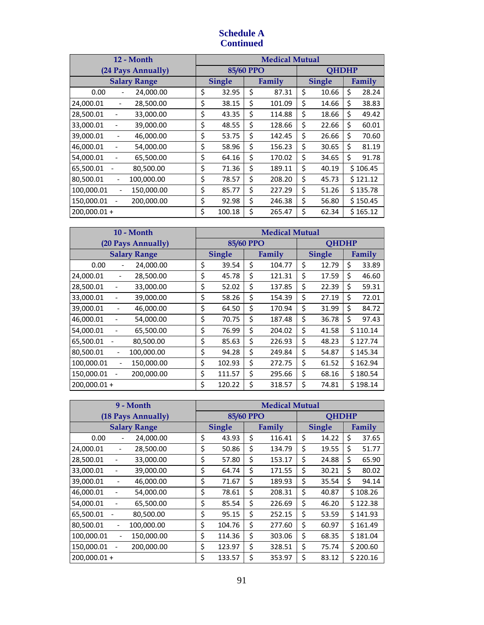# **Schedule A Continued**

| 12 - Month                                               | <b>Medical Mutual</b> |    |        |    |               |    |          |  |
|----------------------------------------------------------|-----------------------|----|--------|----|---------------|----|----------|--|
| (24 Pays Annually)                                       | 85/60 PPO             |    |        |    | <b>OHDHP</b>  |    |          |  |
| <b>Salary Range</b>                                      | <b>Single</b>         |    | Family |    | <b>Single</b> |    | Family   |  |
| 24,000.00<br>0.00                                        | \$<br>32.95           | \$ | 87.31  | \$ | 10.66         | \$ | 28.24    |  |
| 24,000.01<br>28,500.00<br>$\overline{\phantom{a}}$       | \$<br>38.15           | \$ | 101.09 | \$ | 14.66         | \$ | 38.83    |  |
| 28,500.01<br>33,000.00                                   | \$<br>43.35           | \$ | 114.88 | \$ | 18.66         | \$ | 49.42    |  |
| 33,000.01<br>39,000.00                                   | \$<br>48.55           | \$ | 128.66 | \$ | 22.66         | \$ | 60.01    |  |
| 39,000.01<br>46,000.00                                   | \$<br>53.75           | \$ | 142.45 | \$ | 26.66         | \$ | 70.60    |  |
| 46,000.01<br>54,000.00                                   | \$<br>58.96           | \$ | 156.23 | \$ | 30.65         | \$ | 81.19    |  |
| 54,000.01<br>65,500.00                                   | \$<br>64.16           | \$ | 170.02 | \$ | 34.65         | \$ | 91.78    |  |
| 65,500.01<br>80,500.00                                   | \$<br>71.36           | \$ | 189.11 | \$ | 40.19         |    | \$106.45 |  |
| 100,000.00<br>80,500.01                                  | \$<br>78.57           | \$ | 208.20 | \$ | 45.73         |    | \$121.12 |  |
| 100,000.01<br>150,000.00<br>$\qquad \qquad \blacksquare$ | \$<br>85.77           | Ś  | 227.29 | \$ | 51.26         |    | \$135.78 |  |
| 150,000.01<br>200,000.00                                 | \$<br>92.98           | \$ | 246.38 | \$ | 56.80         |    | \$150.45 |  |
| 200.000.01+                                              | \$<br>100.18          | Ś  | 265.47 | \$ | 62.34         |    | \$165.12 |  |

| 10 - Month                                               | <b>Medical Mutual</b> |    |        |    |               |    |          |
|----------------------------------------------------------|-----------------------|----|--------|----|---------------|----|----------|
| (20 Pays Annually)                                       | 85/60 PPO             |    |        |    | <b>OHDHP</b>  |    |          |
| <b>Salary Range</b>                                      | <b>Single</b>         |    | Family |    | <b>Single</b> |    | Family   |
| 0.00<br>24,000.00                                        | \$<br>39.54           | \$ | 104.77 | \$ | 12.79         | \$ | 33.89    |
| 24,000.01<br>28,500.00                                   | \$<br>45.78           | \$ | 121.31 | \$ | 17.59         | \$ | 46.60    |
| 28,500.01<br>33,000.00                                   | \$<br>52.02           | \$ | 137.85 | \$ | 22.39         | \$ | 59.31    |
| 33,000.01<br>39,000.00                                   | \$<br>58.26           | \$ | 154.39 | \$ | 27.19         | \$ | 72.01    |
| 39,000.01<br>46,000.00                                   | \$<br>64.50           | \$ | 170.94 | \$ | 31.99         | \$ | 84.72    |
| 46,000.01<br>54,000.00                                   | \$<br>70.75           | \$ | 187.48 | \$ | 36.78         | \$ | 97.43    |
| 54,000.01<br>65,500.00                                   | \$<br>76.99           | \$ | 204.02 | \$ | 41.58         |    | \$110.14 |
| 65,500.01<br>80.500.00                                   | \$<br>85.63           | \$ | 226.93 | \$ | 48.23         |    | \$127.74 |
| 80.500.01<br>100,000.00                                  | \$<br>94.28           | \$ | 249.84 | \$ | 54.87         |    | \$145.34 |
| 100,000.01<br>150,000.00<br>$\qquad \qquad \blacksquare$ | \$<br>102.93          | Ś  | 272.75 | Ś  | 61.52         |    | \$162.94 |
| 150,000.01<br>200,000.00                                 | \$<br>111.57          | \$ | 295.66 | \$ | 68.16         |    | \$180.54 |
| $200.000.01 +$                                           | \$<br>120.22          | Ś  | 318.57 | Ś  | 74.81         |    | \$198.14 |

| 9 - Month                                               | <b>Medical Mutual</b> |        |        |        |               |              |        |          |
|---------------------------------------------------------|-----------------------|--------|--------|--------|---------------|--------------|--------|----------|
| (18 Pays Annually)                                      | 85/60 PPO             |        |        |        |               | <b>OHDHP</b> |        |          |
| <b>Salary Range</b>                                     | <b>Single</b>         |        | Family |        | <b>Single</b> |              | Family |          |
| 0.00<br>24,000.00                                       | \$                    | 43.93  | \$     | 116.41 | \$            | 14.22        | \$     | 37.65    |
| 24,000.01<br>28,500.00                                  | \$                    | 50.86  | \$     | 134.79 | \$            | 19.55        | \$     | 51.77    |
| 28,500.01<br>33,000.00                                  | \$                    | 57.80  | \$     | 153.17 | \$            | 24.88        | \$     | 65.90    |
| 33,000.01<br>39,000.00                                  | \$                    | 64.74  | \$     | 171.55 | \$            | 30.21        | \$     | 80.02    |
| 39,000.01<br>46,000.00                                  | \$                    | 71.67  | \$     | 189.93 | \$            | 35.54        | \$     | 94.14    |
| 46,000.01<br>54,000.00                                  | \$                    | 78.61  | \$     | 208.31 | \$            | 40.87        |        | \$108.26 |
| 54,000.01<br>65,500.00                                  | \$                    | 85.54  | \$     | 226.69 | \$            | 46.20        |        | \$122.38 |
| 65,500.01<br>80,500.00                                  | \$                    | 95.15  | \$     | 252.15 | \$            | 53.59        |        | \$141.93 |
| 80,500.01<br>100,000.00<br>$\qquad \qquad \blacksquare$ | \$                    | 104.76 | \$     | 277.60 | \$            | 60.97        |        | \$161.49 |
| 100,000.01<br>150,000.00<br>$\overline{\phantom{0}}$    | \$                    | 114.36 | \$     | 303.06 | \$            | 68.35        |        | \$181.04 |
| 150,000.01<br>200,000.00                                | \$                    | 123.97 | \$     | 328.51 | \$            | 75.74        |        | \$200.60 |
| $200.000.01 +$                                          | \$                    | 133.57 | Ś.     | 353.97 | Ś             | 83.12        |        | \$220.16 |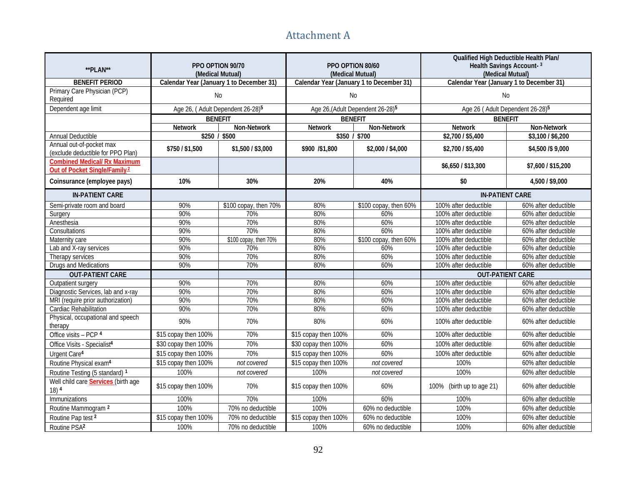# Attachment A **Addendum E - Attachment A**

| **PLAN**                                                                        | PPO OPTION 90/70<br>(Medical Mutual)         |                       | PPO OPTION 80/60<br>(Medical Mutual)     |                                              | Qualified High Deductible Health Plan/<br>Health Savings Account-3<br>(Medical Mutual) |                      |  |
|---------------------------------------------------------------------------------|----------------------------------------------|-----------------------|------------------------------------------|----------------------------------------------|----------------------------------------------------------------------------------------|----------------------|--|
| <b>BENEFIT PERIOD</b>                                                           | Calendar Year (January 1 to December 31)     |                       | Calendar Year (January 1 to December 31) |                                              | Calendar Year (January 1 to December 31)                                               |                      |  |
| Primary Care Physician (PCP)<br>Required                                        | No                                           |                       |                                          | No                                           | No                                                                                     |                      |  |
| Dependent age limit                                                             | Age 26, (Adult Dependent 26-28) <sup>5</sup> |                       |                                          | Age 26, (Adult Dependent 26-28) <sup>5</sup> | Age 26 (Adult Dependent 26-28) <sup>5</sup>                                            |                      |  |
|                                                                                 | <b>BENEFIT</b>                               |                       | <b>BENEFIT</b>                           |                                              |                                                                                        | <b>BENEFIT</b>       |  |
|                                                                                 | <b>Network</b>                               | Non-Network           | Network                                  | Non-Network                                  | <b>Network</b>                                                                         | Non-Network          |  |
| Annual Deductible                                                               | \$250 / \$500                                |                       | \$350 / \$700                            |                                              | \$2,700 / \$5,400                                                                      | \$3,100 / \$6,200    |  |
| Annual out-of-pocket max<br>(exclude deductible for PPO Plan)                   | \$750/\$1,500                                | \$1,500 / \$3,000     | \$900 /\$1,800                           | \$2,000 / \$4,000                            | \$2,700 / \$5,400                                                                      | \$4,500 /\$ 9,000    |  |
| <b>Combined Medical/ Rx Maximum</b><br>Out of Pocket Single/Family <sup>2</sup> |                                              |                       |                                          |                                              | \$6,650 / \$13,300                                                                     | \$7,600 / \$15,200   |  |
| Coinsurance (employee pays)                                                     | 10%                                          | 30%                   | 20%                                      | 40%                                          | \$0                                                                                    | 4,500 / \$9,000      |  |
| <b>IN-PATIENT CARE</b>                                                          |                                              |                       |                                          |                                              | <b>IN-PATIENT CARE</b>                                                                 |                      |  |
| Semi-private room and board                                                     | 90%                                          | \$100 copay, then 70% | 80%                                      | \$100 copay, then 60%                        | 100% after deductible                                                                  | 60% after deductible |  |
| Surgery                                                                         | 90%                                          | 70%                   | 80%                                      | 60%                                          | 100% after deductible                                                                  | 60% after deductible |  |
| Anesthesia                                                                      | 90%                                          | 70%                   | 80%                                      | 60%                                          | 100% after deductible                                                                  | 60% after deductible |  |
| Consultations                                                                   | 90%                                          | 70%                   | 80%                                      | 60%                                          | 100% after deductible                                                                  | 60% after deductible |  |
| Maternity care                                                                  | 90%                                          | \$100 copay, then 70% | 80%                                      | \$100 copay, then 60%                        | 100% after deductible                                                                  | 60% after deductible |  |
| Lab and X-ray services                                                          | 90%                                          | 70%                   | 80%                                      | 60%                                          | 100% after deductible                                                                  | 60% after deductible |  |
| Therapy services                                                                | 90%                                          | 70%                   | 80%                                      | 60%                                          | 100% after deductible                                                                  | 60% after deductible |  |
| Drugs and Medications                                                           | 90%                                          | 70%                   | 80%                                      | 60%                                          | 100% after deductible                                                                  | 60% after deductible |  |
| <b>OUT-PATIENT CARE</b>                                                         |                                              |                       |                                          |                                              | <b>OUT-PATIENT CARE</b>                                                                |                      |  |
| Outpatient surgery                                                              | 90%                                          | 70%                   | 80%                                      | 60%                                          | 100% after deductible                                                                  | 60% after deductible |  |
| Diagnostic Services, lab and x-ray                                              | 90%                                          | 70%                   | 80%                                      | 60%                                          | 100% after deductible                                                                  | 60% after deductible |  |
| MRI (require prior authorization)                                               | 90%                                          | 70%                   | 80%                                      | 60%                                          | 100% after deductible                                                                  | 60% after deductible |  |
| Cardiac Rehabilitation                                                          | 90%                                          | 70%                   | 80%                                      | 60%                                          | 100% after deductible                                                                  | 60% after deductible |  |
| Physical, occupational and speech<br>therapy                                    | 90%                                          | 70%                   | 80%                                      | 60%                                          | 100% after deductible                                                                  | 60% after deductible |  |
| Office visits - PCP 4                                                           | \$15 copay then 100%                         | 70%                   | \$15 copay then 100%                     | 60%                                          | 100% after deductible                                                                  | 60% after deductible |  |
| Office Visits - Specialist <sup>4</sup>                                         | \$30 copay then 100%                         | 70%                   | \$30 copay then 100%                     | 60%                                          | 100% after deductible                                                                  | 60% after deductible |  |
| Urgent Care <sup>4</sup>                                                        | \$15 copay then 100%                         | 70%                   | \$15 copay then 100%                     | 60%                                          | 100% after deductible                                                                  | 60% after deductible |  |
| Routine Physical exam <sup>4</sup>                                              | \$15 copay then 100%                         | not covered           | \$15 copay then 100%                     | not covered                                  | 100%                                                                                   | 60% after deductible |  |
| Routine Testing (5 standard) 1                                                  | 100%                                         | not covered           | 100%                                     | not covered                                  | 100%                                                                                   | 60% after deductible |  |
| Well child care Services (birth age<br>$18)$ <sup>4</sup>                       | \$15 copay then 100%                         | 70%                   | \$15 copay then 100%                     | 60%                                          | 100% (birth up to age 21)                                                              | 60% after deductible |  |
| Immunizations                                                                   | 100%                                         | 70%                   | 100%                                     | 60%                                          | 100%                                                                                   | 60% after deductible |  |
| Routine Mammogram <sup>2</sup>                                                  | 100%                                         | 70% no deductible     | 100%                                     | 60% no deductible                            | 100%                                                                                   | 60% after deductible |  |
| Routine Pap test 2                                                              | \$15 copay then 100%                         | 70% no deductible     | \$15 copay then 100%                     | 60% no deductible                            | 100%                                                                                   | 60% after deductible |  |
| Routine PSA <sup>2</sup>                                                        | 100%                                         | 70% no deductible     | 100%                                     | 60% no deductible                            | 100%                                                                                   | 60% after deductible |  |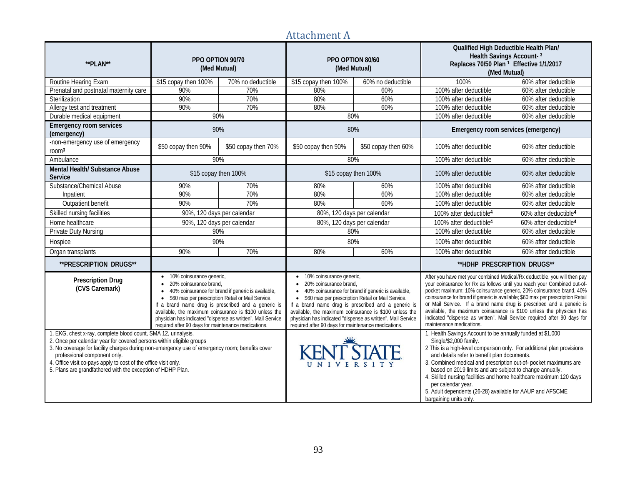# Attachment A

| **PLAN**                                                                                                                                                                                                                                                                                                                                                                                                   | PPO OPTION 90/70<br>(Med Mutual)                                                                                                                                                                                                                                                                                                                                                                             |                     | (Med Mutual)                                                                                                                                                                               | PPO OPTION 80/60                                                                                                                                                                                                                   | Qualified High Deductible Health Plan/<br>Health Savings Account-3<br>Replaces 70/50 Plan <sup>1</sup> Effective 1/1/2017<br>(Med Mutual)                                                                                                                                                                                                                                                                                                                                                                                                                               |                                   |  |
|------------------------------------------------------------------------------------------------------------------------------------------------------------------------------------------------------------------------------------------------------------------------------------------------------------------------------------------------------------------------------------------------------------|--------------------------------------------------------------------------------------------------------------------------------------------------------------------------------------------------------------------------------------------------------------------------------------------------------------------------------------------------------------------------------------------------------------|---------------------|--------------------------------------------------------------------------------------------------------------------------------------------------------------------------------------------|------------------------------------------------------------------------------------------------------------------------------------------------------------------------------------------------------------------------------------|-------------------------------------------------------------------------------------------------------------------------------------------------------------------------------------------------------------------------------------------------------------------------------------------------------------------------------------------------------------------------------------------------------------------------------------------------------------------------------------------------------------------------------------------------------------------------|-----------------------------------|--|
| Routine Hearing Exam                                                                                                                                                                                                                                                                                                                                                                                       | \$15 copay then 100%                                                                                                                                                                                                                                                                                                                                                                                         | 70% no deductible   | \$15 copay then 100%                                                                                                                                                                       | 60% no deductible                                                                                                                                                                                                                  | 100%                                                                                                                                                                                                                                                                                                                                                                                                                                                                                                                                                                    | 60% after deductible              |  |
| Prenatal and postnatal maternity care                                                                                                                                                                                                                                                                                                                                                                      | 90%                                                                                                                                                                                                                                                                                                                                                                                                          | 70%                 | 80%                                                                                                                                                                                        | 60%                                                                                                                                                                                                                                | 100% after deductible                                                                                                                                                                                                                                                                                                                                                                                                                                                                                                                                                   | 60% after deductible              |  |
| Sterilization                                                                                                                                                                                                                                                                                                                                                                                              | 90%                                                                                                                                                                                                                                                                                                                                                                                                          | 70%                 | 80%                                                                                                                                                                                        | 60%                                                                                                                                                                                                                                | 100% after deductible                                                                                                                                                                                                                                                                                                                                                                                                                                                                                                                                                   | 60% after deductible              |  |
| Allergy test and treatment                                                                                                                                                                                                                                                                                                                                                                                 | 90%                                                                                                                                                                                                                                                                                                                                                                                                          | 70%                 | 80%                                                                                                                                                                                        | 60%                                                                                                                                                                                                                                | 100% after deductible                                                                                                                                                                                                                                                                                                                                                                                                                                                                                                                                                   | 60% after deductible              |  |
| Durable medical equipment                                                                                                                                                                                                                                                                                                                                                                                  | 90%                                                                                                                                                                                                                                                                                                                                                                                                          |                     | 80%                                                                                                                                                                                        |                                                                                                                                                                                                                                    | 100% after deductible                                                                                                                                                                                                                                                                                                                                                                                                                                                                                                                                                   | 60% after deductible              |  |
| <b>Emergency room services</b><br>(emergency)                                                                                                                                                                                                                                                                                                                                                              | 90%                                                                                                                                                                                                                                                                                                                                                                                                          |                     |                                                                                                                                                                                            | 80%                                                                                                                                                                                                                                | Emergency room services (emergency)                                                                                                                                                                                                                                                                                                                                                                                                                                                                                                                                     |                                   |  |
| -non-emergency use of emergency<br>room <sup>3</sup>                                                                                                                                                                                                                                                                                                                                                       | \$50 copay then 90%                                                                                                                                                                                                                                                                                                                                                                                          | \$50 copay then 70% | \$50 copay then 90%                                                                                                                                                                        | \$50 copay then 60%                                                                                                                                                                                                                | 100% after deductible                                                                                                                                                                                                                                                                                                                                                                                                                                                                                                                                                   | 60% after deductible              |  |
| Ambulance                                                                                                                                                                                                                                                                                                                                                                                                  | 90%                                                                                                                                                                                                                                                                                                                                                                                                          |                     | 80%                                                                                                                                                                                        |                                                                                                                                                                                                                                    | 100% after deductible                                                                                                                                                                                                                                                                                                                                                                                                                                                                                                                                                   | 60% after deductible              |  |
| Mental Health/ Substance Abuse<br>Service                                                                                                                                                                                                                                                                                                                                                                  | \$15 copay then 100%                                                                                                                                                                                                                                                                                                                                                                                         |                     | \$15 copay then 100%                                                                                                                                                                       |                                                                                                                                                                                                                                    | 100% after deductible                                                                                                                                                                                                                                                                                                                                                                                                                                                                                                                                                   | 60% after deductible              |  |
| Substance/Chemical Abuse                                                                                                                                                                                                                                                                                                                                                                                   | 90%                                                                                                                                                                                                                                                                                                                                                                                                          | 70%                 | 80%                                                                                                                                                                                        | 60%                                                                                                                                                                                                                                | 100% after deductible                                                                                                                                                                                                                                                                                                                                                                                                                                                                                                                                                   | 60% after deductible              |  |
| Inpatient                                                                                                                                                                                                                                                                                                                                                                                                  | 90%                                                                                                                                                                                                                                                                                                                                                                                                          | 70%                 | 80%                                                                                                                                                                                        | 60%                                                                                                                                                                                                                                | 100% after deductible                                                                                                                                                                                                                                                                                                                                                                                                                                                                                                                                                   | 60% after deductible              |  |
| Outpatient benefit                                                                                                                                                                                                                                                                                                                                                                                         | 90%                                                                                                                                                                                                                                                                                                                                                                                                          | 70%                 | 80%                                                                                                                                                                                        | 60%                                                                                                                                                                                                                                | 100% after deductible                                                                                                                                                                                                                                                                                                                                                                                                                                                                                                                                                   | 60% after deductible              |  |
| Skilled nursing facilities                                                                                                                                                                                                                                                                                                                                                                                 | 90%, 120 days per calendar                                                                                                                                                                                                                                                                                                                                                                                   |                     | 80%, 120 days per calendar                                                                                                                                                                 |                                                                                                                                                                                                                                    | 100% after deductible <sup>4</sup>                                                                                                                                                                                                                                                                                                                                                                                                                                                                                                                                      | 60% after deductible <sup>4</sup> |  |
| Home healthcare                                                                                                                                                                                                                                                                                                                                                                                            | 90%, 120 days per calendar                                                                                                                                                                                                                                                                                                                                                                                   |                     | 80%, 120 days per calendar                                                                                                                                                                 |                                                                                                                                                                                                                                    | 100% after deductible <sup>4</sup>                                                                                                                                                                                                                                                                                                                                                                                                                                                                                                                                      | 60% after deductible <sup>4</sup> |  |
| Private Duty Nursing                                                                                                                                                                                                                                                                                                                                                                                       | 90%                                                                                                                                                                                                                                                                                                                                                                                                          |                     |                                                                                                                                                                                            | 80%                                                                                                                                                                                                                                | 100% after deductible<br>60% after deductible                                                                                                                                                                                                                                                                                                                                                                                                                                                                                                                           |                                   |  |
| Hospice                                                                                                                                                                                                                                                                                                                                                                                                    | 90%                                                                                                                                                                                                                                                                                                                                                                                                          |                     |                                                                                                                                                                                            | 80%                                                                                                                                                                                                                                | 100% after deductible                                                                                                                                                                                                                                                                                                                                                                                                                                                                                                                                                   | 60% after deductible              |  |
| Organ transplants                                                                                                                                                                                                                                                                                                                                                                                          | 90%                                                                                                                                                                                                                                                                                                                                                                                                          | 70%                 | 80%                                                                                                                                                                                        | 60%                                                                                                                                                                                                                                | 100% after deductible                                                                                                                                                                                                                                                                                                                                                                                                                                                                                                                                                   | 60% after deductible              |  |
| **PRESCRIPTION DRUGS**                                                                                                                                                                                                                                                                                                                                                                                     |                                                                                                                                                                                                                                                                                                                                                                                                              |                     |                                                                                                                                                                                            |                                                                                                                                                                                                                                    | **HDHP PRESCRIPTION DRUGS**                                                                                                                                                                                                                                                                                                                                                                                                                                                                                                                                             |                                   |  |
| <b>Prescription Drug</b><br>(CVS Caremark)                                                                                                                                                                                                                                                                                                                                                                 | • 10% coinsurance generic,<br>• 20% coinsurance brand,<br>• 40% coinsurance for brand if generic is available,<br>• \$60 max per prescription Retail or Mail Service.<br>If a brand name drug is prescribed and a generic is<br>available, the maximum coinsurance is \$100 unless the<br>physician has indicated "dispense as written". Mail Service<br>required after 90 days for maintenance medications. |                     | 10% coinsurance generic,<br>$\bullet$<br>20% coinsurance brand,<br>$\bullet$<br>• \$60 max per prescription Retail or Mail Service.<br>required after 90 days for maintenance medications. | 40% coinsurance for brand if generic is available,<br>If a brand name drug is prescribed and a generic is<br>available, the maximum coinsurance is \$100 unless the<br>physician has indicated "dispense as written". Mail Service | After you have met your combined Medical/Rx deductible, you will then pay<br>your coinsurance for Rx as follows until you reach your Combined out-of-<br>pocket maximum: 10% coinsurance generic, 20% coinsurance brand, 40%<br>coinsurance for brand if generic is available; \$60 max per prescription Retail<br>or Mail Service. If a brand name drug is prescribed and a generic is<br>available, the maximum coinsurance is \$100 unless the physician has<br>indicated "dispense as written". Mail Service required after 90 days for<br>maintenance medications. |                                   |  |
| 1. EKG, chest x-ray, complete blood count, SMA 12, urinalysis.<br>2. Once per calendar year for covered persons within eligible groups<br>3. No coverage for facility charges during non-emergency use of emergency room; benefits cover<br>professional component only.<br>4. Office visit co-pays apply to cost of the office visit only.<br>5. Plans are grandfathered with the exception of HDHP Plan. |                                                                                                                                                                                                                                                                                                                                                                                                              |                     | <b>KENT STATE</b><br>UNIVERSITY                                                                                                                                                            |                                                                                                                                                                                                                                    | 1. Health Savings Account to be annually funded at \$1,000<br>Single/\$2,000 family.<br>2 This is a high-level comparison only. For additional plan provisions<br>and details refer to benefit plan documents.<br>3. Combined medical and prescription out-of- pocket maximums are<br>based on 2019 limits and are subject to change annually.<br>4. Skilled nursing facilities and home healthcare maximum 120 days<br>per calendar year.<br>5. Adult dependents (26-28) available for AAUP and AFSCME<br>bargaining units only.                                       |                                   |  |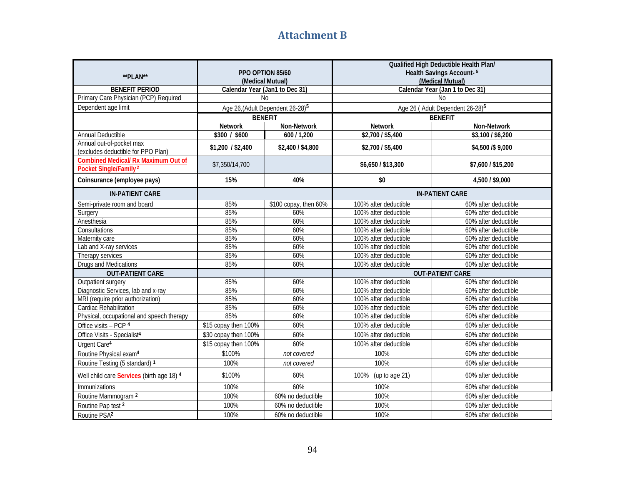# **Attachment B**

| **PLAN**                                                                        | PPO OPTION 85/60<br>(Medical Mutual) |                                              |                       | Qualified High Deductible Health Plan/<br>Health Savings Account-5<br>(Medical Mutual) |
|---------------------------------------------------------------------------------|--------------------------------------|----------------------------------------------|-----------------------|----------------------------------------------------------------------------------------|
| <b>BENEFIT PERIOD</b>                                                           | Calendar Year (Jan1 to Dec 31)       |                                              |                       | Calendar Year (Jan 1 to Dec 31)                                                        |
| Primary Care Physician (PCP) Required                                           | N <sub>0</sub>                       |                                              |                       | N <sub>0</sub>                                                                         |
| Dependent age limit                                                             |                                      | Age 26, (Adult Dependent 26-28) <sup>5</sup> |                       | Age 26 (Adult Dependent 26-28) <sup>5</sup>                                            |
|                                                                                 | <b>BENEFIT</b>                       |                                              |                       | <b>BENEFIT</b>                                                                         |
|                                                                                 | <b>Network</b>                       | Non-Network                                  | <b>Network</b>        | Non-Network                                                                            |
| Annual Deductible                                                               | \$300 / \$600                        | 600 / 1,200                                  | \$2,700 / \$5,400     | \$3,100 / \$6,200                                                                      |
| Annual out-of-pocket max<br>(excludes deductible for PPO Plan)                  | \$1,200 / \$2,400                    | \$2,400 / \$4,800                            | \$2,700 / \$5,400     | \$4,500 /\$9,000                                                                       |
| <b>Combined Medical/ Rx Maximum Out of</b><br>Pocket Single/Family <sup>2</sup> | \$7,350/14,700                       |                                              | \$6,650 / \$13,300    | \$7,600 / \$15,200                                                                     |
| Coinsurance (employee pays)                                                     | 15%                                  | 40%                                          | \$0                   | 4,500 / \$9,000                                                                        |
| <b>IN-PATIENT CARE</b>                                                          |                                      |                                              |                       | <b>IN-PATIENT CARE</b>                                                                 |
| Semi-private room and board                                                     | 85%                                  | \$100 copay, then 60%                        | 100% after deductible | 60% after deductible                                                                   |
| Surgery                                                                         | 85%                                  | 60%                                          | 100% after deductible | 60% after deductible                                                                   |
| Anesthesia                                                                      | 85%                                  | 60%                                          | 100% after deductible | 60% after deductible                                                                   |
| Consultations                                                                   | 85%                                  | 60%                                          | 100% after deductible | 60% after deductible                                                                   |
| Maternity care                                                                  | 85%                                  | 60%                                          | 100% after deductible | 60% after deductible                                                                   |
| Lab and X-ray services                                                          | 85%                                  | 60%                                          | 100% after deductible | 60% after deductible                                                                   |
| Therapy services                                                                | 85%                                  | 60%                                          | 100% after deductible | 60% after deductible                                                                   |
| Drugs and Medications                                                           | 85%                                  | 60%                                          | 100% after deductible | 60% after deductible                                                                   |
| <b>OUT-PATIENT CARE</b>                                                         |                                      |                                              |                       | <b>OUT-PATIENT CARE</b>                                                                |
| Outpatient surgery                                                              | 85%                                  | 60%                                          | 100% after deductible | 60% after deductible                                                                   |
| Diagnostic Services, lab and x-ray                                              | 85%                                  | 60%                                          | 100% after deductible | 60% after deductible                                                                   |
| MRI (require prior authorization)                                               | 85%                                  | 60%                                          | 100% after deductible | 60% after deductible                                                                   |
| Cardiac Rehabilitation                                                          | 85%                                  | 60%                                          | 100% after deductible | 60% after deductible                                                                   |
| Physical, occupational and speech therapy                                       | 85%                                  | 60%                                          | 100% after deductible | 60% after deductible                                                                   |
| Office visits - PCP 4                                                           | \$15 copay then 100%                 | 60%                                          | 100% after deductible | 60% after deductible                                                                   |
| Office Visits - Specialist <sup>4</sup>                                         | \$30 copay then 100%                 | 60%                                          | 100% after deductible | 60% after deductible                                                                   |
| Urgent Care <sup>4</sup>                                                        | \$15 copay then 100%                 | 60%                                          | 100% after deductible | 60% after deductible                                                                   |
| Routine Physical exam <sup>4</sup>                                              | \$100%                               | not covered                                  | 100%                  | 60% after deductible                                                                   |
| Routine Testing (5 standard) 1                                                  | 100%                                 | not covered                                  | 100%                  | 60% after deductible                                                                   |
| Well child care Services (birth age 18) 4                                       | \$100%                               | 60%                                          | 100% (up to age 21)   | 60% after deductible                                                                   |
| Immunizations                                                                   | 100%                                 | 60%                                          | 100%                  | 60% after deductible                                                                   |
| Routine Mammogram <sup>2</sup>                                                  | 100%                                 | 60% no deductible                            | 100%                  | 60% after deductible                                                                   |
| Routine Pap test 2                                                              | 100%                                 | 60% no deductible                            | 100%                  | 60% after deductible                                                                   |
| Routine PSA <sup>2</sup>                                                        | 100%                                 | 60% no deductible                            | 100%                  | 60% after deductible                                                                   |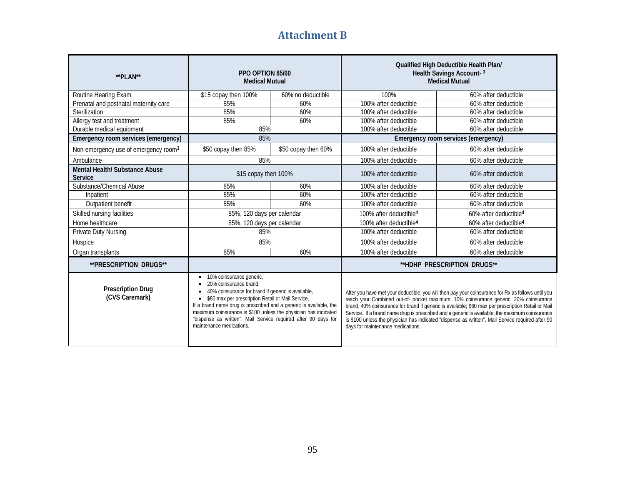# **Attachment B**

| **PLAN**                                         | PPO OPTION 85/60<br><b>Medical Mutual</b>                                                                                                                                                                                                                                                                                                                                                                         |                     | Qualified High Deductible Health Plan/<br>Health Savings Account-3<br><b>Medical Mutual</b>                                                                                                                                                                                                                                                                                                                                                                                                                                                   |                                     |  |  |  |
|--------------------------------------------------|-------------------------------------------------------------------------------------------------------------------------------------------------------------------------------------------------------------------------------------------------------------------------------------------------------------------------------------------------------------------------------------------------------------------|---------------------|-----------------------------------------------------------------------------------------------------------------------------------------------------------------------------------------------------------------------------------------------------------------------------------------------------------------------------------------------------------------------------------------------------------------------------------------------------------------------------------------------------------------------------------------------|-------------------------------------|--|--|--|
| Routine Hearing Exam                             | \$15 copay then 100%                                                                                                                                                                                                                                                                                                                                                                                              | 60% no deductible   | 100%<br>100% after deductible                                                                                                                                                                                                                                                                                                                                                                                                                                                                                                                 | 60% after deductible                |  |  |  |
| Prenatal and postnatal maternity care            | 85%                                                                                                                                                                                                                                                                                                                                                                                                               | 60%                 |                                                                                                                                                                                                                                                                                                                                                                                                                                                                                                                                               | 60% after deductible                |  |  |  |
| Sterilization                                    | 85%                                                                                                                                                                                                                                                                                                                                                                                                               | 60%                 | 100% after deductible                                                                                                                                                                                                                                                                                                                                                                                                                                                                                                                         | 60% after deductible                |  |  |  |
| Allergy test and treatment                       | 85%                                                                                                                                                                                                                                                                                                                                                                                                               | 60%                 | 100% after deductible                                                                                                                                                                                                                                                                                                                                                                                                                                                                                                                         | 60% after deductible                |  |  |  |
| Durable medical equipment                        | 85%                                                                                                                                                                                                                                                                                                                                                                                                               |                     | 100% after deductible                                                                                                                                                                                                                                                                                                                                                                                                                                                                                                                         | 60% after deductible                |  |  |  |
| Emergency room services (emergency)              | 85%                                                                                                                                                                                                                                                                                                                                                                                                               |                     |                                                                                                                                                                                                                                                                                                                                                                                                                                                                                                                                               | Emergency room services (emergency) |  |  |  |
| Non-emergency use of emergency room <sup>3</sup> | \$50 copay then 85%                                                                                                                                                                                                                                                                                                                                                                                               | \$50 copay then 60% | 100% after deductible                                                                                                                                                                                                                                                                                                                                                                                                                                                                                                                         | 60% after deductible                |  |  |  |
| Ambulance                                        | 85%                                                                                                                                                                                                                                                                                                                                                                                                               |                     | 100% after deductible                                                                                                                                                                                                                                                                                                                                                                                                                                                                                                                         | 60% after deductible                |  |  |  |
| Mental Health/ Substance Abuse<br>Service        | \$15 copay then 100%                                                                                                                                                                                                                                                                                                                                                                                              |                     | 100% after deductible                                                                                                                                                                                                                                                                                                                                                                                                                                                                                                                         | 60% after deductible                |  |  |  |
| Substance/Chemical Abuse                         | 85%                                                                                                                                                                                                                                                                                                                                                                                                               | 60%                 | 100% after deductible                                                                                                                                                                                                                                                                                                                                                                                                                                                                                                                         | 60% after deductible                |  |  |  |
| Inpatient                                        | 85%                                                                                                                                                                                                                                                                                                                                                                                                               | 60%                 | 100% after deductible                                                                                                                                                                                                                                                                                                                                                                                                                                                                                                                         | 60% after deductible                |  |  |  |
| Outpatient benefit                               | 85%                                                                                                                                                                                                                                                                                                                                                                                                               | 60%                 | 100% after deductible                                                                                                                                                                                                                                                                                                                                                                                                                                                                                                                         | 60% after deductible                |  |  |  |
| Skilled nursing facilities                       | 85%, 120 days per calendar                                                                                                                                                                                                                                                                                                                                                                                        |                     | 100% after deductible <sup>4</sup>                                                                                                                                                                                                                                                                                                                                                                                                                                                                                                            | 60% after deductible <sup>4</sup>   |  |  |  |
| Home healthcare                                  | 85%, 120 days per calendar                                                                                                                                                                                                                                                                                                                                                                                        |                     | 100% after deductible <sup>4</sup>                                                                                                                                                                                                                                                                                                                                                                                                                                                                                                            | 60% after deductible <sup>4</sup>   |  |  |  |
| <b>Private Duty Nursing</b>                      | 85%                                                                                                                                                                                                                                                                                                                                                                                                               |                     | 100% after deductible                                                                                                                                                                                                                                                                                                                                                                                                                                                                                                                         | 60% after deductible                |  |  |  |
| Hospice                                          | 85%                                                                                                                                                                                                                                                                                                                                                                                                               |                     | 100% after deductible                                                                                                                                                                                                                                                                                                                                                                                                                                                                                                                         | 60% after deductible                |  |  |  |
| Organ transplants                                | 85%                                                                                                                                                                                                                                                                                                                                                                                                               | 60%                 | 100% after deductible                                                                                                                                                                                                                                                                                                                                                                                                                                                                                                                         | 60% after deductible                |  |  |  |
| <b>**PRESCRIPTION DRUGS**</b>                    |                                                                                                                                                                                                                                                                                                                                                                                                                   |                     |                                                                                                                                                                                                                                                                                                                                                                                                                                                                                                                                               | **HDHP PRESCRIPTION DRUGS**         |  |  |  |
| <b>Prescription Drug</b><br>(CVS Caremark)       | 10% coinsurance generic,<br>20% coinsurance brand.<br>40% coinsurance for brand if generic is available,<br>\$80 max per prescription Retail or Mail Service.<br>$\bullet$<br>If a brand name drug is prescribed and a generic is available, the<br>maximum coinsurance is \$100 unless the physician has indicated<br>"dispense as written". Mail Service required after 90 days for<br>maintenance medications. |                     | After you have met your deductible, you will then pay your coinsurance for Rx as follows until you<br>reach your Combined out-of- pocket maximum: 10% coinsurance generic, 20% coinsurance<br>brand, 40% coinsurance for brand if generic is available; \$60 max per prescription Retail or Mail<br>Service. If a brand name drug is prescribed and a generic is available, the maximum coinsurance<br>is \$100 unless the physician has indicated "dispense as written". Mail Service required after 90<br>days for maintenance medications. |                                     |  |  |  |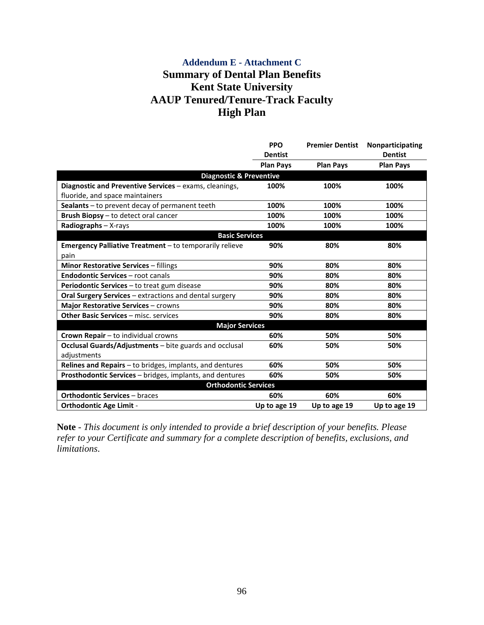# **Addendum E - Attachment C Summary of Dental Plan Benefits Kent State University AAUP Tenured/Tenure-Track Faculty High Plan**

|                                                                | <b>PPO</b><br><b>Dentist</b> | <b>Premier Dentist</b> | Nonparticipating<br><b>Dentist</b> |
|----------------------------------------------------------------|------------------------------|------------------------|------------------------------------|
|                                                                | <b>Plan Pays</b>             | <b>Plan Pays</b>       | <b>Plan Pays</b>                   |
| <b>Diagnostic &amp; Preventive</b>                             |                              |                        |                                    |
| Diagnostic and Preventive Services - exams, cleanings,         | 100%                         | 100%                   | 100%                               |
| fluoride, and space maintainers                                |                              |                        |                                    |
| Sealants - to prevent decay of permanent teeth                 | 100%                         | 100%                   | 100%                               |
| Brush Biopsy - to detect oral cancer                           | 100%                         | 100%                   | 100%                               |
| Radiographs - X-rays                                           | 100%                         | 100%                   | 100%                               |
| <b>Basic Services</b>                                          |                              |                        |                                    |
| <b>Emergency Palliative Treatment</b> – to temporarily relieve | 90%                          | 80%                    | 80%                                |
| pain                                                           |                              |                        |                                    |
| <b>Minor Restorative Services - fillings</b>                   | 90%                          | 80%                    | 80%                                |
| <b>Endodontic Services - root canals</b>                       | 90%                          | 80%                    | 80%                                |
| Periodontic Services - to treat gum disease                    | 90%                          | 80%                    | 80%                                |
| <b>Oral Surgery Services</b> – extractions and dental surgery  | 90%                          | 80%                    | 80%                                |
| <b>Major Restorative Services - crowns</b>                     | 90%                          | 80%                    | 80%                                |
| Other Basic Services - misc. services                          | 90%                          | 80%                    | 80%                                |
| <b>Major Services</b>                                          |                              |                        |                                    |
| Crown Repair - to individual crowns                            | 60%                          | 50%                    | 50%                                |
| <b>Occlusal Guards/Adjustments</b> – bite guards and occlusal  | 60%                          | 50%                    | 50%                                |
| adjustments                                                    |                              |                        |                                    |
| Relines and Repairs - to bridges, implants, and dentures       | 60%                          | 50%                    | 50%                                |
| Prosthodontic Services - bridges, implants, and dentures       | 60%                          | 50%                    | 50%                                |
| <b>Orthodontic Services</b>                                    |                              |                        |                                    |
| <b>Orthodontic Services - braces</b>                           | 60%                          | 60%                    | 60%                                |
| <b>Orthodontic Age Limit -</b>                                 | Up to age 19                 | Up to age 19           | Up to age 19                       |

**Note** - *This document is only intended to provide a brief description of your benefits. Please refer to your Certificate and summary for a complete description of benefits, exclusions, and limitations*.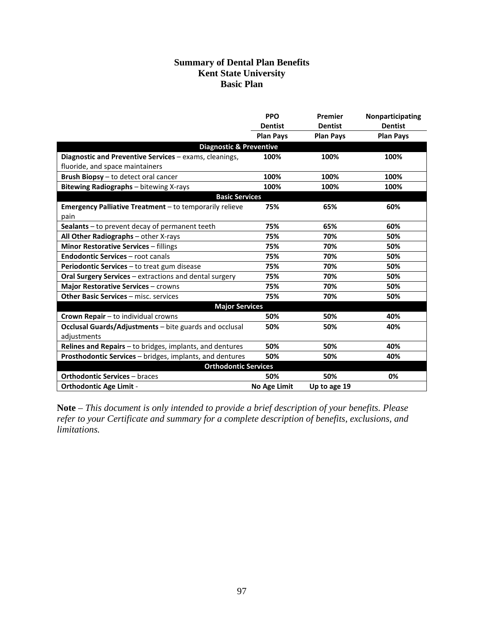# **Summary of Dental Plan Benefits Kent State University Basic Plan**

|                                                               | <b>PPO</b>       | Premier          | Nonparticipating |  |  |
|---------------------------------------------------------------|------------------|------------------|------------------|--|--|
|                                                               | <b>Dentist</b>   | <b>Dentist</b>   | <b>Dentist</b>   |  |  |
|                                                               | <b>Plan Pays</b> | <b>Plan Pays</b> | <b>Plan Pays</b> |  |  |
| <b>Diagnostic &amp; Preventive</b>                            |                  |                  |                  |  |  |
| Diagnostic and Preventive Services - exams, cleanings,        | 100%             | 100%             | 100%             |  |  |
| fluoride, and space maintainers                               |                  |                  |                  |  |  |
| Brush Biopsy - to detect oral cancer                          | 100%             | 100%             | 100%             |  |  |
| Bitewing Radiographs - bitewing X-rays                        | 100%             | 100%             | 100%             |  |  |
| <b>Basic Services</b>                                         |                  |                  |                  |  |  |
| Emergency Palliative Treatment - to temporarily relieve       | 75%              | 65%              | 60%              |  |  |
| pain                                                          |                  |                  |                  |  |  |
| Sealants - to prevent decay of permanent teeth                | 75%              | 65%              | 60%              |  |  |
| All Other Radiographs - other X-rays                          | 75%              | 70%              | 50%              |  |  |
| <b>Minor Restorative Services - fillings</b>                  | 75%              | 70%              | 50%              |  |  |
| <b>Endodontic Services - root canals</b>                      | 75%              | 70%              | 50%              |  |  |
| Periodontic Services - to treat gum disease                   | 75%              | 70%              | 50%              |  |  |
| Oral Surgery Services - extractions and dental surgery        | 75%              | 70%              | 50%              |  |  |
| <b>Major Restorative Services - crowns</b>                    | 75%              | 70%              | 50%              |  |  |
| <b>Other Basic Services - misc. services</b>                  | 75%              | 70%              | 50%              |  |  |
| <b>Major Services</b>                                         |                  |                  |                  |  |  |
| Crown Repair - to individual crowns                           | 50%              | 50%              | 40%              |  |  |
| <b>Occlusal Guards/Adjustments</b> – bite guards and occlusal | 50%              | 50%              | 40%              |  |  |
| adjustments                                                   |                  |                  |                  |  |  |
| Relines and Repairs - to bridges, implants, and dentures      | 50%              | 50%              | 40%              |  |  |
| Prosthodontic Services - bridges, implants, and dentures      | 50%              | 50%              | 40%              |  |  |
| <b>Orthodontic Services</b>                                   |                  |                  |                  |  |  |
| <b>Orthodontic Services - braces</b>                          | 50%              | 50%              | 0%               |  |  |
| <b>Orthodontic Age Limit -</b>                                | No Age Limit     | Up to age 19     |                  |  |  |

**Note** – *This document is only intended to provide a brief description of your benefits. Please refer to your Certificate and summary for a complete description of benefits, exclusions, and limitations.*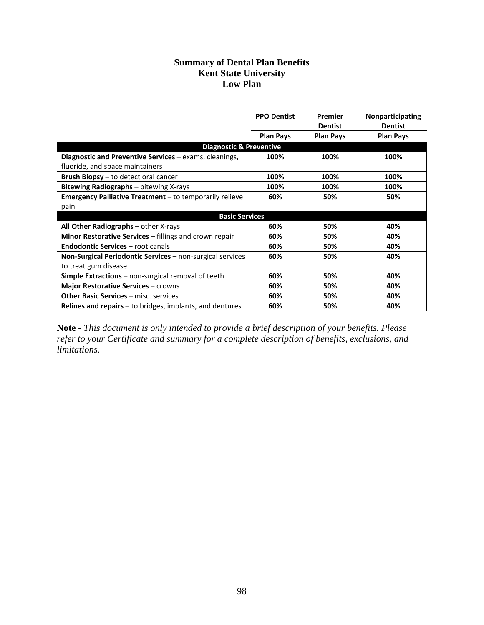# **Summary of Dental Plan Benefits Kent State University Low Plan**

|                                                               | <b>PPO Dentist</b> | Premier<br><b>Dentist</b> | <b>Nonparticipating</b><br><b>Dentist</b> |
|---------------------------------------------------------------|--------------------|---------------------------|-------------------------------------------|
|                                                               | <b>Plan Pays</b>   | <b>Plan Pays</b>          | <b>Plan Pays</b>                          |
| <b>Diagnostic &amp; Preventive</b>                            |                    |                           |                                           |
| Diagnostic and Preventive Services - exams, cleanings,        | 100%               | 100%                      | 100%                                      |
| fluoride, and space maintainers                               |                    |                           |                                           |
| Brush Biopsy - to detect oral cancer                          | 100%               | 100%                      | 100%                                      |
| <b>Bitewing Radiographs</b> - bitewing X-rays                 | 100%               | 100%                      | 100%                                      |
| Emergency Palliative Treatment - to temporarily relieve       | 60%                | 50%                       | 50%                                       |
| pain                                                          |                    |                           |                                           |
| <b>Basic Services</b>                                         |                    |                           |                                           |
| All Other Radiographs - other X-rays                          | 60%                | 50%                       | 40%                                       |
| <b>Minor Restorative Services</b> – fillings and crown repair | 60%                | 50%                       | 40%                                       |
| <b>Endodontic Services</b> - root canals                      | 60%                | 50%                       | 40%                                       |
| Non-Surgical Periodontic Services - non-surgical services     | 60%                | 50%                       | 40%                                       |
| to treat gum disease                                          |                    |                           |                                           |
| <b>Simple Extractions</b> – non-surgical removal of teeth     | 60%                | 50%                       | 40%                                       |
| <b>Major Restorative Services - crowns</b>                    | 60%                | 50%                       | 40%                                       |
| <b>Other Basic Services - misc. services</b>                  | 60%                | 50%                       | 40%                                       |
| Relines and repairs $-$ to bridges, implants, and dentures    | 60%                | 50%                       | 40%                                       |

**Note** - *This document is only intended to provide a brief description of your benefits. Please refer to your Certificate and summary for a complete description of benefits, exclusions, and limitations.*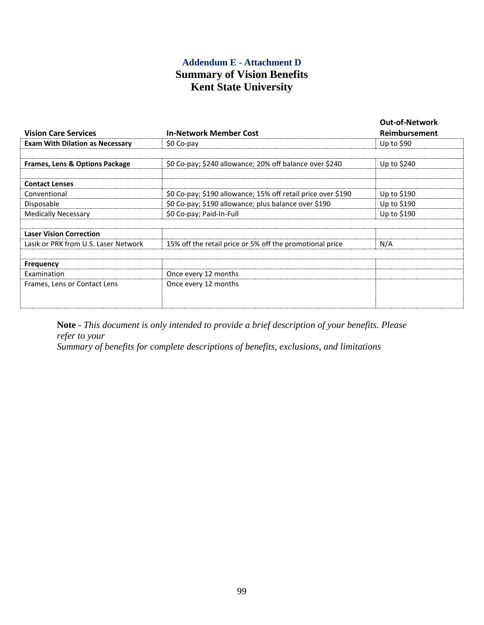# **Addendum E - Attachment D Summary of Vision Benefits Kent State University**

| <b>Vision Care Services</b>               | <b>In-Network Member Cost</b>                                | <b>Out-of-Network</b><br>Reimbursement |
|-------------------------------------------|--------------------------------------------------------------|----------------------------------------|
| <b>Exam With Dilation as Necessary</b>    | \$0 Co-pay                                                   | Up to $$90$                            |
|                                           |                                                              |                                        |
| <b>Frames, Lens &amp; Options Package</b> | \$0 Co-pay; \$240 allowance; 20% off balance over \$240      | Up to $$240$                           |
| <b>Contact Lenses</b>                     |                                                              |                                        |
| Conventional                              | \$0 Co-pay; \$190 allowance; 15% off retail price over \$190 | Up to \$190                            |
| Disposable                                | \$0 Co-pay; \$190 allowance; plus balance over \$190         | Up to \$190                            |
| <b>Medically Necessary</b>                | \$0 Co-pay; Paid-In-Full                                     | Up to \$190                            |
| <b>Laser Vision Correction</b>            |                                                              |                                        |
| Lasik or PRK from U.S. Laser Network      | 15% off the retail price or 5% off the promotional price     | N/A                                    |
| <b>Frequency</b>                          |                                                              |                                        |
| <b>Fxamination</b>                        | Once every 12 months                                         |                                        |
| Frames, Lens or Contact Lens              | Once every 12 months                                         |                                        |
|                                           |                                                              |                                        |

**Note** - *This document is only intended to provide a brief description of your benefits. Please refer to your*

*Summary of benefits for complete descriptions of benefits, exclusions, and limitations*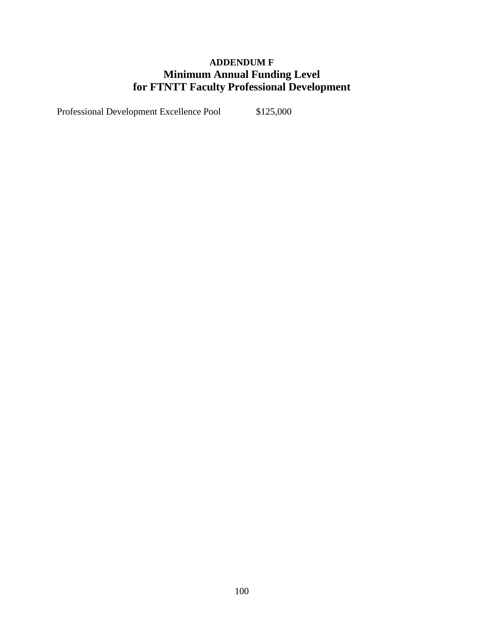# **ADDENDUM F Minimum Annual Funding Level for FTNTT Faculty Professional Development**

Professional Development Excellence Pool \$125,000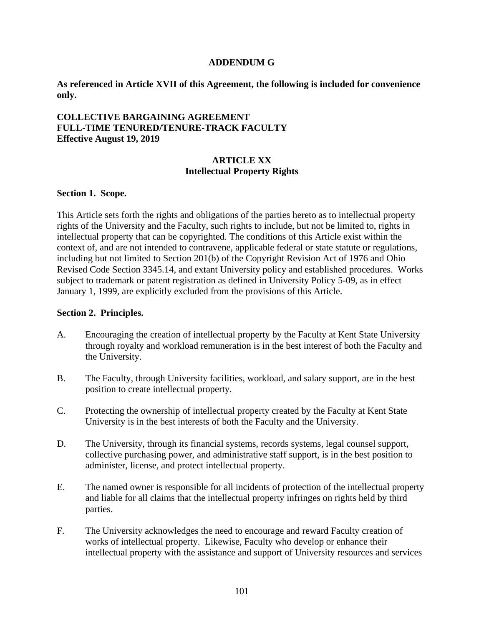#### **ADDENDUM G**

**As referenced in Article XVII of this Agreement, the following is included for convenience only.**

# **COLLECTIVE BARGAINING AGREEMENT FULL-TIME TENURED/TENURE-TRACK FACULTY Effective August 19, 2019**

# **ARTICLE XX Intellectual Property Rights**

#### **Section 1. Scope.**

This Article sets forth the rights and obligations of the parties hereto as to intellectual property rights of the University and the Faculty, such rights to include, but not be limited to, rights in intellectual property that can be copyrighted. The conditions of this Article exist within the context of, and are not intended to contravene, applicable federal or state statute or regulations, including but not limited to Section 201(b) of the Copyright Revision Act of 1976 and Ohio Revised Code Section 3345.14, and extant University policy and established procedures. Works subject to trademark or patent registration as defined in University Policy 5-09, as in effect January 1, 1999, are explicitly excluded from the provisions of this Article.

#### **Section 2. Principles.**

- A. Encouraging the creation of intellectual property by the Faculty at Kent State University through royalty and workload remuneration is in the best interest of both the Faculty and the University.
- B. The Faculty, through University facilities, workload, and salary support, are in the best position to create intellectual property.
- C. Protecting the ownership of intellectual property created by the Faculty at Kent State University is in the best interests of both the Faculty and the University.
- D. The University, through its financial systems, records systems, legal counsel support, collective purchasing power, and administrative staff support, is in the best position to administer, license, and protect intellectual property.
- E. The named owner is responsible for all incidents of protection of the intellectual property and liable for all claims that the intellectual property infringes on rights held by third parties.
- F. The University acknowledges the need to encourage and reward Faculty creation of works of intellectual property. Likewise, Faculty who develop or enhance their intellectual property with the assistance and support of University resources and services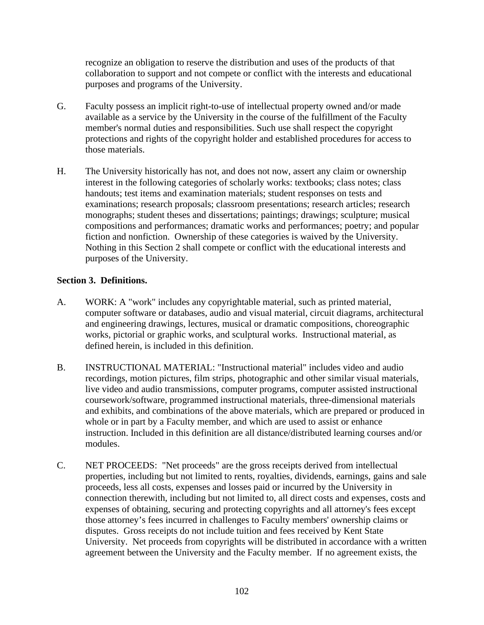recognize an obligation to reserve the distribution and uses of the products of that collaboration to support and not compete or conflict with the interests and educational purposes and programs of the University.

- G. Faculty possess an implicit right-to-use of intellectual property owned and/or made available as a service by the University in the course of the fulfillment of the Faculty member's normal duties and responsibilities. Such use shall respect the copyright protections and rights of the copyright holder and established procedures for access to those materials.
- H. The University historically has not, and does not now, assert any claim or ownership interest in the following categories of scholarly works: textbooks; class notes; class handouts; test items and examination materials; student responses on tests and examinations; research proposals; classroom presentations; research articles; research monographs; student theses and dissertations; paintings; drawings; sculpture; musical compositions and performances; dramatic works and performances; poetry; and popular fiction and nonfiction. Ownership of these categories is waived by the University. Nothing in this Section 2 shall compete or conflict with the educational interests and purposes of the University.

# **Section 3. Definitions.**

- A. WORK: A "work" includes any copyrightable material, such as printed material, computer software or databases, audio and visual material, circuit diagrams, architectural and engineering drawings, lectures, musical or dramatic compositions, choreographic works, pictorial or graphic works, and sculptural works. Instructional material, as defined herein, is included in this definition.
- B. INSTRUCTIONAL MATERIAL: "Instructional material" includes video and audio recordings, motion pictures, film strips, photographic and other similar visual materials, live video and audio transmissions, computer programs, computer assisted instructional coursework/software, programmed instructional materials, three-dimensional materials and exhibits, and combinations of the above materials, which are prepared or produced in whole or in part by a Faculty member, and which are used to assist or enhance instruction. Included in this definition are all distance/distributed learning courses and/or modules.
- C. NET PROCEEDS: "Net proceeds" are the gross receipts derived from intellectual properties, including but not limited to rents, royalties, dividends, earnings, gains and sale proceeds, less all costs, expenses and losses paid or incurred by the University in connection therewith, including but not limited to, all direct costs and expenses, costs and expenses of obtaining, securing and protecting copyrights and all attorney's fees except those attorney's fees incurred in challenges to Faculty members' ownership claims or disputes. Gross receipts do not include tuition and fees received by Kent State University. Net proceeds from copyrights will be distributed in accordance with a written agreement between the University and the Faculty member. If no agreement exists, the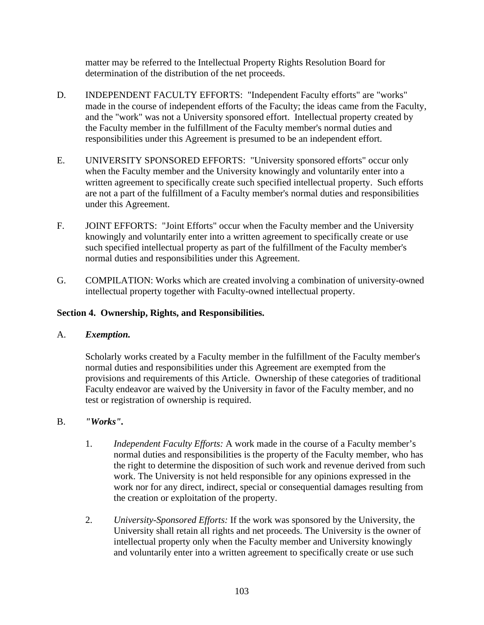matter may be referred to the Intellectual Property Rights Resolution Board for determination of the distribution of the net proceeds.

- D. INDEPENDENT FACULTY EFFORTS: "Independent Faculty efforts" are "works" made in the course of independent efforts of the Faculty; the ideas came from the Faculty, and the "work" was not a University sponsored effort. Intellectual property created by the Faculty member in the fulfillment of the Faculty member's normal duties and responsibilities under this Agreement is presumed to be an independent effort.
- E. UNIVERSITY SPONSORED EFFORTS: "University sponsored efforts" occur only when the Faculty member and the University knowingly and voluntarily enter into a written agreement to specifically create such specified intellectual property. Such efforts are not a part of the fulfillment of a Faculty member's normal duties and responsibilities under this Agreement.
- F. JOINT EFFORTS: "Joint Efforts" occur when the Faculty member and the University knowingly and voluntarily enter into a written agreement to specifically create or use such specified intellectual property as part of the fulfillment of the Faculty member's normal duties and responsibilities under this Agreement.
- G. COMPILATION: Works which are created involving a combination of university-owned intellectual property together with Faculty-owned intellectual property.

# **Section 4. Ownership, Rights, and Responsibilities.**

# A. *Exemption.*

Scholarly works created by a Faculty member in the fulfillment of the Faculty member's normal duties and responsibilities under this Agreement are exempted from the provisions and requirements of this Article. Ownership of these categories of traditional Faculty endeavor are waived by the University in favor of the Faculty member, and no test or registration of ownership is required.

# B. *"Works".*

- 1. *Independent Faculty Efforts:* A work made in the course of a Faculty member's normal duties and responsibilities is the property of the Faculty member, who has the right to determine the disposition of such work and revenue derived from such work. The University is not held responsible for any opinions expressed in the work nor for any direct, indirect, special or consequential damages resulting from the creation or exploitation of the property.
- 2. *University-Sponsored Efforts:* If the work was sponsored by the University, the University shall retain all rights and net proceeds. The University is the owner of intellectual property only when the Faculty member and University knowingly and voluntarily enter into a written agreement to specifically create or use such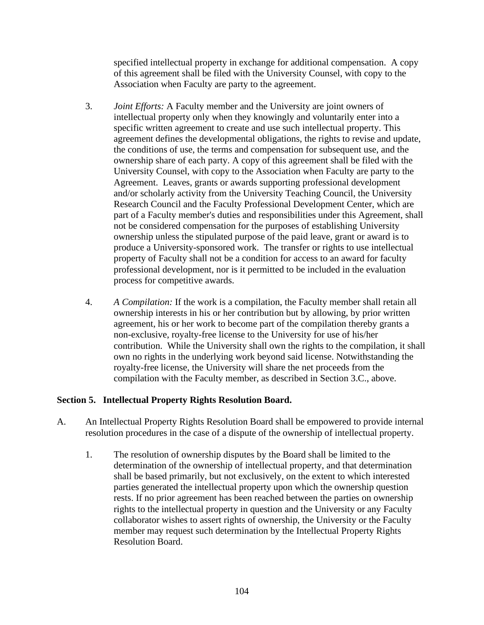specified intellectual property in exchange for additional compensation. A copy of this agreement shall be filed with the University Counsel, with copy to the Association when Faculty are party to the agreement.

- 3. *Joint Efforts:* A Faculty member and the University are joint owners of intellectual property only when they knowingly and voluntarily enter into a specific written agreement to create and use such intellectual property. This agreement defines the developmental obligations, the rights to revise and update, the conditions of use, the terms and compensation for subsequent use, and the ownership share of each party. A copy of this agreement shall be filed with the University Counsel, with copy to the Association when Faculty are party to the Agreement. Leaves, grants or awards supporting professional development and/or scholarly activity from the University Teaching Council, the University Research Council and the Faculty Professional Development Center, which are part of a Faculty member's duties and responsibilities under this Agreement, shall not be considered compensation for the purposes of establishing University ownership unless the stipulated purpose of the paid leave, grant or award is to produce a University-sponsored work. The transfer or rights to use intellectual property of Faculty shall not be a condition for access to an award for faculty professional development, nor is it permitted to be included in the evaluation process for competitive awards.
- 4. *A Compilation:* If the work is a compilation, the Faculty member shall retain all ownership interests in his or her contribution but by allowing, by prior written agreement, his or her work to become part of the compilation thereby grants a non-exclusive, royalty-free license to the University for use of his/her contribution. While the University shall own the rights to the compilation, it shall own no rights in the underlying work beyond said license. Notwithstanding the royalty-free license, the University will share the net proceeds from the compilation with the Faculty member, as described in Section 3.C., above.

# **Section 5. Intellectual Property Rights Resolution Board.**

- A. An Intellectual Property Rights Resolution Board shall be empowered to provide internal resolution procedures in the case of a dispute of the ownership of intellectual property.
	- 1. The resolution of ownership disputes by the Board shall be limited to the determination of the ownership of intellectual property, and that determination shall be based primarily, but not exclusively, on the extent to which interested parties generated the intellectual property upon which the ownership question rests. If no prior agreement has been reached between the parties on ownership rights to the intellectual property in question and the University or any Faculty collaborator wishes to assert rights of ownership, the University or the Faculty member may request such determination by the Intellectual Property Rights Resolution Board.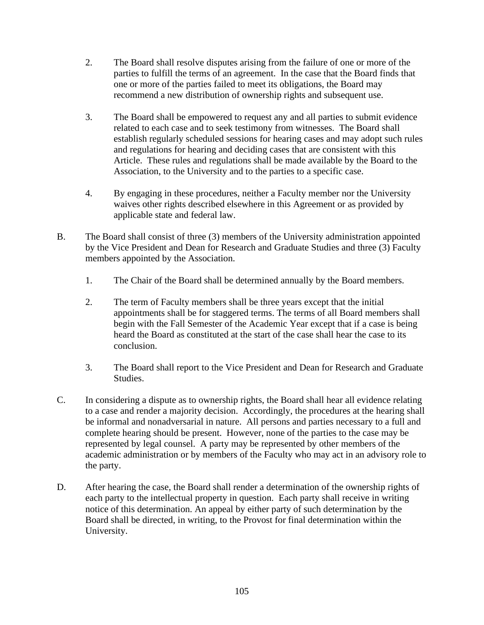- 2. The Board shall resolve disputes arising from the failure of one or more of the parties to fulfill the terms of an agreement. In the case that the Board finds that one or more of the parties failed to meet its obligations, the Board may recommend a new distribution of ownership rights and subsequent use.
- 3. The Board shall be empowered to request any and all parties to submit evidence related to each case and to seek testimony from witnesses. The Board shall establish regularly scheduled sessions for hearing cases and may adopt such rules and regulations for hearing and deciding cases that are consistent with this Article. These rules and regulations shall be made available by the Board to the Association, to the University and to the parties to a specific case.
- 4. By engaging in these procedures, neither a Faculty member nor the University waives other rights described elsewhere in this Agreement or as provided by applicable state and federal law.
- B. The Board shall consist of three (3) members of the University administration appointed by the Vice President and Dean for Research and Graduate Studies and three (3) Faculty members appointed by the Association.
	- 1. The Chair of the Board shall be determined annually by the Board members.
	- 2. The term of Faculty members shall be three years except that the initial appointments shall be for staggered terms. The terms of all Board members shall begin with the Fall Semester of the Academic Year except that if a case is being heard the Board as constituted at the start of the case shall hear the case to its conclusion.
	- 3. The Board shall report to the Vice President and Dean for Research and Graduate Studies.
- C. In considering a dispute as to ownership rights, the Board shall hear all evidence relating to a case and render a majority decision. Accordingly, the procedures at the hearing shall be informal and nonadversarial in nature. All persons and parties necessary to a full and complete hearing should be present. However, none of the parties to the case may be represented by legal counsel. A party may be represented by other members of the academic administration or by members of the Faculty who may act in an advisory role to the party.
- D. After hearing the case, the Board shall render a determination of the ownership rights of each party to the intellectual property in question. Each party shall receive in writing notice of this determination. An appeal by either party of such determination by the Board shall be directed, in writing, to the Provost for final determination within the University.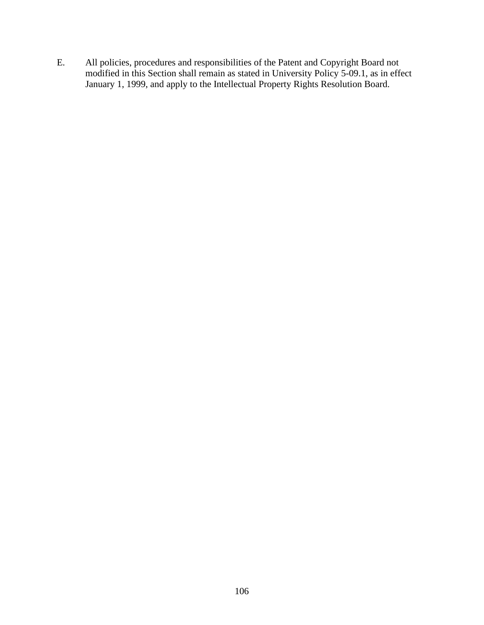E. All policies, procedures and responsibilities of the Patent and Copyright Board not modified in this Section shall remain as stated in University Policy 5-09.1, as in effect January 1, 1999, and apply to the Intellectual Property Rights Resolution Board.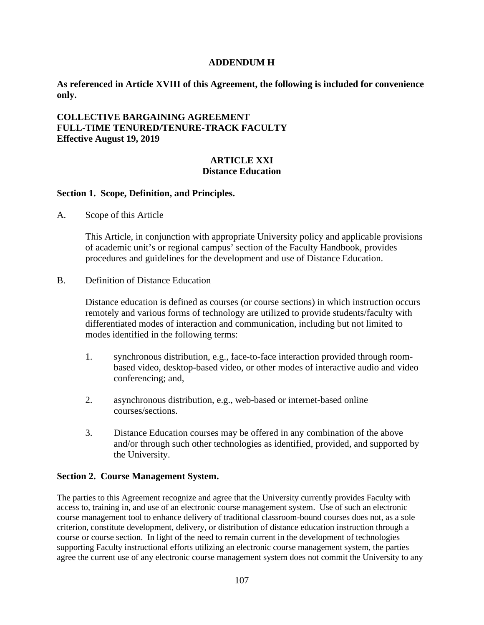#### **ADDENDUM H**

**As referenced in Article XVIII of this Agreement, the following is included for convenience only.**

# **COLLECTIVE BARGAINING AGREEMENT FULL-TIME TENURED/TENURE-TRACK FACULTY Effective August 19, 2019**

### **ARTICLE XXI Distance Education**

#### **Section 1. Scope, Definition, and Principles.**

A. Scope of this Article

This Article, in conjunction with appropriate University policy and applicable provisions of academic unit's or regional campus' section of the Faculty Handbook, provides procedures and guidelines for the development and use of Distance Education.

B. Definition of Distance Education

Distance education is defined as courses (or course sections) in which instruction occurs remotely and various forms of technology are utilized to provide students/faculty with differentiated modes of interaction and communication, including but not limited to modes identified in the following terms:

- 1. synchronous distribution, e.g., face-to-face interaction provided through roombased video, desktop-based video, or other modes of interactive audio and video conferencing; and,
- 2. asynchronous distribution, e.g., web-based or internet-based online courses/sections.
- 3. Distance Education courses may be offered in any combination of the above and/or through such other technologies as identified, provided, and supported by the University.

### **Section 2. Course Management System.**

The parties to this Agreement recognize and agree that the University currently provides Faculty with access to, training in, and use of an electronic course management system. Use of such an electronic course management tool to enhance delivery of traditional classroom-bound courses does not, as a sole criterion, constitute development, delivery, or distribution of distance education instruction through a course or course section. In light of the need to remain current in the development of technologies supporting Faculty instructional efforts utilizing an electronic course management system, the parties agree the current use of any electronic course management system does not commit the University to any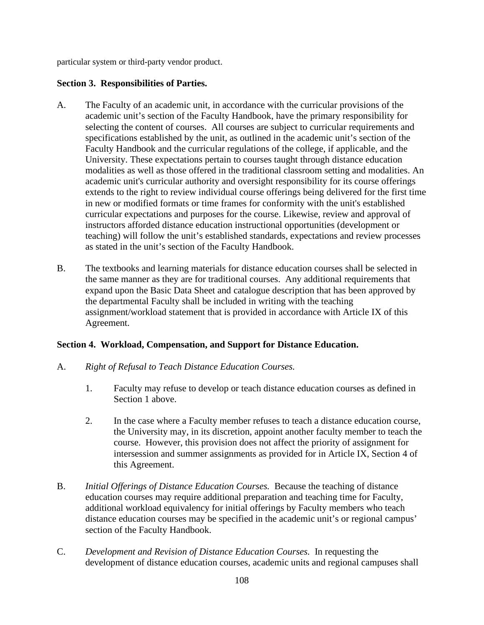particular system or third-party vendor product.

## **Section 3. Responsibilities of Parties.**

- A. The Faculty of an academic unit, in accordance with the curricular provisions of the academic unit's section of the Faculty Handbook, have the primary responsibility for selecting the content of courses. All courses are subject to curricular requirements and specifications established by the unit, as outlined in the academic unit's section of the Faculty Handbook and the curricular regulations of the college, if applicable, and the University. These expectations pertain to courses taught through distance education modalities as well as those offered in the traditional classroom setting and modalities. An academic unit's curricular authority and oversight responsibility for its course offerings extends to the right to review individual course offerings being delivered for the first time in new or modified formats or time frames for conformity with the unit's established curricular expectations and purposes for the course. Likewise, review and approval of instructors afforded distance education instructional opportunities (development or teaching) will follow the unit's established standards, expectations and review processes as stated in the unit's section of the Faculty Handbook.
- B. The textbooks and learning materials for distance education courses shall be selected in the same manner as they are for traditional courses. Any additional requirements that expand upon the Basic Data Sheet and catalogue description that has been approved by the departmental Faculty shall be included in writing with the teaching assignment/workload statement that is provided in accordance with Article IX of this Agreement.

# **Section 4. Workload, Compensation, and Support for Distance Education.**

- A. *Right of Refusal to Teach Distance Education Courses.*
	- 1. Faculty may refuse to develop or teach distance education courses as defined in Section 1 above.
	- 2. In the case where a Faculty member refuses to teach a distance education course, the University may, in its discretion, appoint another faculty member to teach the course. However, this provision does not affect the priority of assignment for intersession and summer assignments as provided for in Article IX, Section 4 of this Agreement.
- B. *Initial Offerings of Distance Education Courses.* Because the teaching of distance education courses may require additional preparation and teaching time for Faculty, additional workload equivalency for initial offerings by Faculty members who teach distance education courses may be specified in the academic unit's or regional campus' section of the Faculty Handbook.
- C. *Development and Revision of Distance Education Courses.* In requesting the development of distance education courses, academic units and regional campuses shall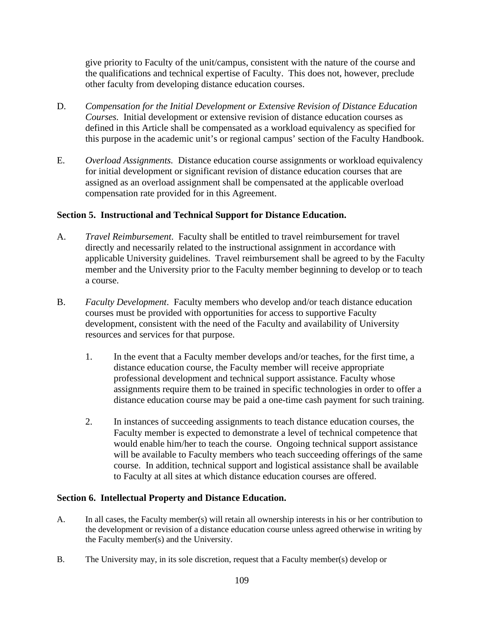give priority to Faculty of the unit/campus, consistent with the nature of the course and the qualifications and technical expertise of Faculty. This does not, however, preclude other faculty from developing distance education courses.

- D. *Compensation for the Initial Development or Extensive Revision of Distance Education Courses.* Initial development or extensive revision of distance education courses as defined in this Article shall be compensated as a workload equivalency as specified for this purpose in the academic unit's or regional campus' section of the Faculty Handbook.
- E. *Overload Assignments.* Distance education course assignments or workload equivalency for initial development or significant revision of distance education courses that are assigned as an overload assignment shall be compensated at the applicable overload compensation rate provided for in this Agreement.

# **Section 5. Instructional and Technical Support for Distance Education.**

- A. *Travel Reimbursement*. Faculty shall be entitled to travel reimbursement for travel directly and necessarily related to the instructional assignment in accordance with applicable University guidelines. Travel reimbursement shall be agreed to by the Faculty member and the University prior to the Faculty member beginning to develop or to teach a course.
- B. *Faculty Development*. Faculty members who develop and/or teach distance education courses must be provided with opportunities for access to supportive Faculty development, consistent with the need of the Faculty and availability of University resources and services for that purpose.
	- 1. In the event that a Faculty member develops and/or teaches, for the first time, a distance education course, the Faculty member will receive appropriate professional development and technical support assistance. Faculty whose assignments require them to be trained in specific technologies in order to offer a distance education course may be paid a one-time cash payment for such training.
	- 2. In instances of succeeding assignments to teach distance education courses, the Faculty member is expected to demonstrate a level of technical competence that would enable him/her to teach the course. Ongoing technical support assistance will be available to Faculty members who teach succeeding offerings of the same course. In addition, technical support and logistical assistance shall be available to Faculty at all sites at which distance education courses are offered.

### **Section 6. Intellectual Property and Distance Education.**

- A. In all cases, the Faculty member(s) will retain all ownership interests in his or her contribution to the development or revision of a distance education course unless agreed otherwise in writing by the Faculty member(s) and the University.
- B. The University may, in its sole discretion, request that a Faculty member(s) develop or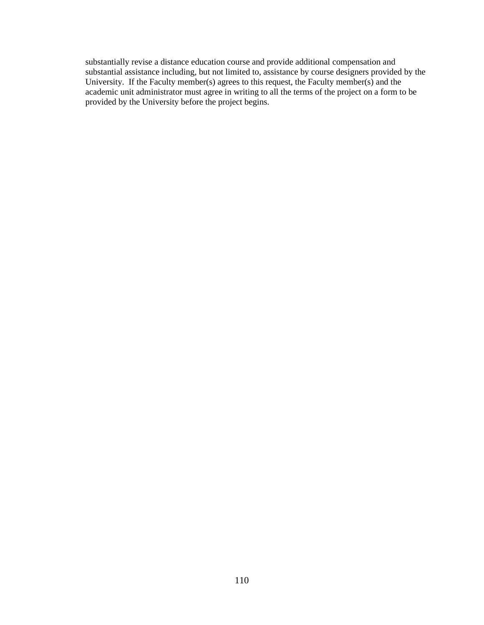substantially revise a distance education course and provide additional compensation and substantial assistance including, but not limited to, assistance by course designers provided by the University. If the Faculty member(s) agrees to this request, the Faculty member(s) and the academic unit administrator must agree in writing to all the terms of the project on a form to be provided by the University before the project begins.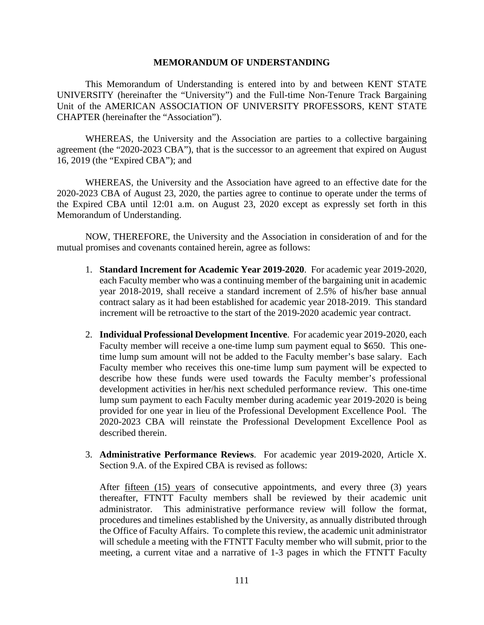#### **MEMORANDUM OF UNDERSTANDING**

This Memorandum of Understanding is entered into by and between KENT STATE UNIVERSITY (hereinafter the "University") and the Full-time Non-Tenure Track Bargaining Unit of the AMERICAN ASSOCIATION OF UNIVERSITY PROFESSORS, KENT STATE CHAPTER (hereinafter the "Association").

WHEREAS, the University and the Association are parties to a collective bargaining agreement (the "2020-2023 CBA"), that is the successor to an agreement that expired on August 16, 2019 (the "Expired CBA"); and

WHEREAS, the University and the Association have agreed to an effective date for the 2020-2023 CBA of August 23, 2020, the parties agree to continue to operate under the terms of the Expired CBA until 12:01 a.m. on August 23, 2020 except as expressly set forth in this Memorandum of Understanding.

NOW, THEREFORE, the University and the Association in consideration of and for the mutual promises and covenants contained herein, agree as follows:

- 1. **Standard Increment for Academic Year 2019-2020**. For academic year 2019-2020, each Faculty member who was a continuing member of the bargaining unit in academic year 2018-2019, shall receive a standard increment of 2.5% of his/her base annual contract salary as it had been established for academic year 2018-2019. This standard increment will be retroactive to the start of the 2019-2020 academic year contract.
- 2. **Individual Professional Development Incentive**. For academic year 2019-2020, each Faculty member will receive a one-time lump sum payment equal to \$650. This onetime lump sum amount will not be added to the Faculty member's base salary. Each Faculty member who receives this one-time lump sum payment will be expected to describe how these funds were used towards the Faculty member's professional development activities in her/his next scheduled performance review. This one-time lump sum payment to each Faculty member during academic year 2019-2020 is being provided for one year in lieu of the Professional Development Excellence Pool. The 2020-2023 CBA will reinstate the Professional Development Excellence Pool as described therein.
- 3. **Administrative Performance Reviews**. For academic year 2019-2020, Article X. Section 9.A. of the Expired CBA is revised as follows:

After <u>fifteen (15) years</u> of consecutive appointments, and every three (3) years thereafter, FTNTT Faculty members shall be reviewed by their academic unit administrator. This administrative performance review will follow the format, procedures and timelines established by the University, as annually distributed through the Office of Faculty Affairs. To complete this review, the academic unit administrator will schedule a meeting with the FTNTT Faculty member who will submit, prior to the meeting, a current vitae and a narrative of 1-3 pages in which the FTNTT Faculty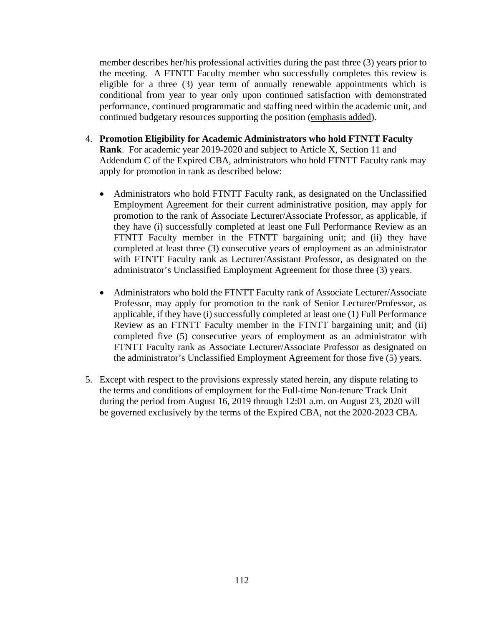member describes her/his professional activities during the past three (3) years prior to the meeting. A FTNTT Faculty member who successfully completes this review is eligible for a three (3) year term of annually renewable appointments which is conditional from year to year only upon continued satisfaction with demonstrated performance, continued programmatic and staffing need within the academic unit, and continued budgetary resources supporting the position (emphasis added).

- 4. **Promotion Eligibility for Academic Administrators who hold FTNTT Faculty Rank**. For academic year 2019-2020 and subject to Article X, Section 11 and Addendum C of the Expired CBA, administrators who hold FTNTT Faculty rank may apply for promotion in rank as described below:
	- Administrators who hold FTNTT Faculty rank, as designated on the Unclassified Employment Agreement for their current administrative position, may apply for promotion to the rank of Associate Lecturer/Associate Professor, as applicable, if they have (i) successfully completed at least one Full Performance Review as an FTNTT Faculty member in the FTNTT bargaining unit; and (ii) they have completed at least three (3) consecutive years of employment as an administrator with FTNTT Faculty rank as Lecturer/Assistant Professor, as designated on the administrator's Unclassified Employment Agreement for those three (3) years.
	- Administrators who hold the FTNTT Faculty rank of Associate Lecturer/Associate Professor, may apply for promotion to the rank of Senior Lecturer/Professor, as applicable, if they have (i) successfully completed at least one (1) Full Performance Review as an FTNTT Faculty member in the FTNTT bargaining unit; and (ii) completed five (5) consecutive years of employment as an administrator with FTNTT Faculty rank as Associate Lecturer/Associate Professor as designated on the administrator's Unclassified Employment Agreement for those five (5) years.
- 5. Except with respect to the provisions expressly stated herein, any dispute relating to the terms and conditions of employment for the Full-time Non-tenure Track Unit during the period from August 16, 2019 through 12:01 a.m. on August 23, 2020 will be governed exclusively by the terms of the Expired CBA, not the 2020-2023 CBA.